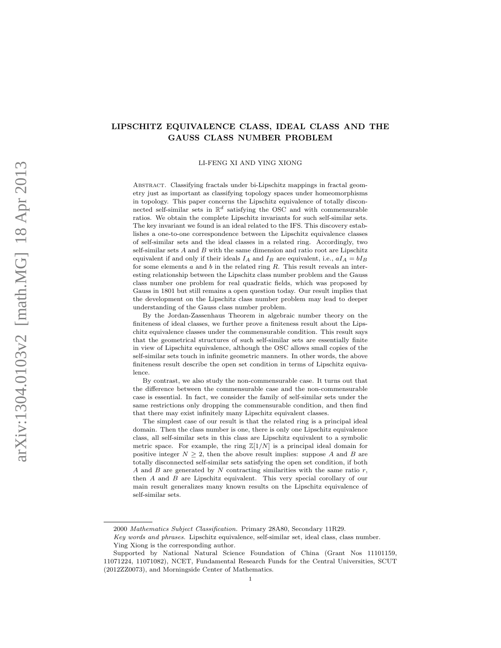# LIPSCHITZ EQUIVALENCE CLASS, IDEAL CLASS AND THE GAUSS CLASS NUMBER PROBLEM

LI-FENG XI AND YING XIONG

Abstract. Classifying fractals under bi-Lipschitz mappings in fractal geometry just as important as classifying topology spaces under homeomorphisms in topology. This paper concerns the Lipschitz equivalence of totally disconnected self-similar sets in  $\mathbb{R}^d$  satisfying the OSC and with commensurable ratios. We obtain the complete Lipschitz invariants for such self-similar sets. The key invariant we found is an ideal related to the IFS. This discovery establishes a one-to-one correspondence between the Lipschitz equivalence classes of self-similar sets and the ideal classes in a related ring. Accordingly, two self-similar sets  $A$  and  $B$  with the same dimension and ratio root are Lipschitz equivalent if and only if their ideals  $I_A$  and  $I_B$  are equivalent, i.e.,  $aI_A = bI_B$ for some elements  $a$  and  $b$  in the related ring  $R$ . This result reveals an interesting relationship between the Lipschitz class number problem and the Gauss class number one problem for real quadratic fields, which was proposed by Gauss in 1801 but still remains a open question today. Our result implies that the development on the Lipschitz class number problem may lead to deeper understanding of the Gauss class number problem.

By the Jordan-Zassenhaus Theorem in algebraic number theory on the finiteness of ideal classes, we further prove a finiteness result about the Lipschitz equivalence classes under the commensurable condition. This result says that the geometrical structures of such self-similar sets are essentially finite in view of Lipschitz equivalence, although the OSC allows small copies of the self-similar sets touch in infinite geometric manners. In other words, the above finiteness result describe the open set condition in terms of Lipschitz equivalence.

By contrast, we also study the non-commensurable case. It turns out that the difference between the commensurable case and the non-commensurable case is essential. In fact, we consider the family of self-similar sets under the same restrictions only dropping the commensurable condition, and then find that there may exist infinitely many Lipschitz equivalent classes.

The simplest case of our result is that the related ring is a principal ideal domain. Then the class number is one, there is only one Lipschitz equivalence class, all self-similar sets in this class are Lipschitz equivalent to a symbolic metric space. For example, the ring  $\mathbb{Z}[1/N]$  is a principal ideal domain for positive integer  $N \geq 2$ , then the above result implies: suppose A and B are totally disconnected self-similar sets satisfying the open set condition, if both A and B are generated by  $N$  contracting similarities with the same ratio  $r$ , then A and B are Lipschitz equivalent. This very special corollary of our main result generalizes many known results on the Lipschitz equivalence of self-similar sets.

<sup>2000</sup> Mathematics Subject Classification. Primary 28A80, Secondary 11R29.

Key words and phrases. Lipschitz equivalence, self-similar set, ideal class, class number. Ying Xiong is the corresponding author.

Supported by National Natural Science Foundation of China (Grant Nos 11101159, 11071224, 11071082), NCET, Fundamental Research Funds for the Central Universities, SCUT (2012ZZ0073), and Morningside Center of Mathematics.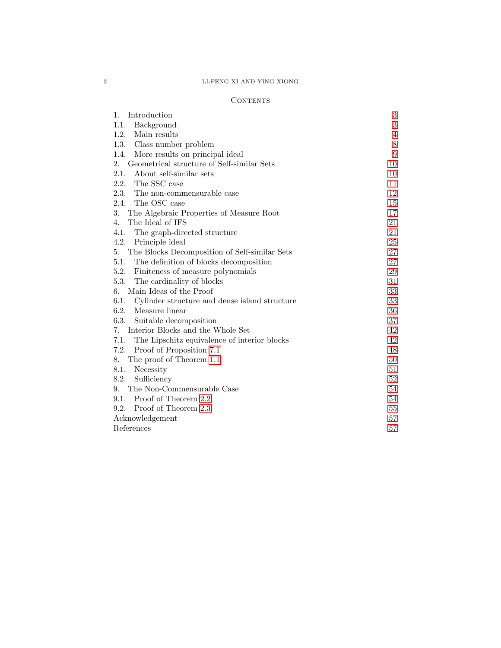# 2 LI-FENG XI AND YING XIONG

# CONTENTS

| Introduction<br>1.                                    | 3      |
|-------------------------------------------------------|--------|
| 1.1.<br>Background                                    | 3      |
| Main results<br>1.2.                                  | 4      |
| 1.3.<br>Class number problem                          | 8      |
| More results on principal ideal<br>1.4.               | 9      |
| Geometrical structure of Self-similar Sets<br>2.      | 10     |
| 2.1.<br>About self-similar sets                       | 10     |
| 2.2. The SSC case                                     | 11     |
| 2.3.<br>The non-commensurable case                    | 12     |
| The OSC case<br>2.4.                                  | 15     |
| 3.<br>The Algebraic Properties of Measure Root        | 17     |
| $\overline{4}$ .<br>The Ideal of IFS                  | 21     |
| 4.1.<br>The graph-directed structure                  | 21     |
| 4.2.<br>Principle ideal                               | 25     |
| The Blocks Decomposition of Self-similar Sets<br>5.   | 27     |
| 5.1.<br>The definition of blocks decomposition        | 27     |
| 5.2.<br>Finiteness of measure polynomials             | 29     |
| 5.3.<br>The cardinality of blocks                     | 31     |
| Main Ideas of the Proof<br>6.                         | 33     |
| 6.1.<br>Cylinder structure and dense island structure | 33     |
| 6.2. Measure linear                                   | 36     |
| 6.3.<br>Suitable decomposition                        | 37     |
| Interior Blocks and the Whole Set<br>7.               | 42     |
| 7.1.<br>The Lipschitz equivalence of interior blocks  | 42     |
| 7.2.<br>Proof of Proposition 7.1                      | 48     |
| The proof of Theorem 1.1<br>8.                        | $50\,$ |
| 8.1.<br>Necessity                                     | 51     |
| 8.2.<br>Sufficiency                                   | 52     |
| The Non-Commensurable Case<br>9.                      | 54     |
| Proof of Theorem 2.2<br>9.1.                          | 54     |
| Proof of Theorem 2.3<br>9.2.                          | 55     |
| Acknowledgement                                       | 57     |
| References                                            | 57     |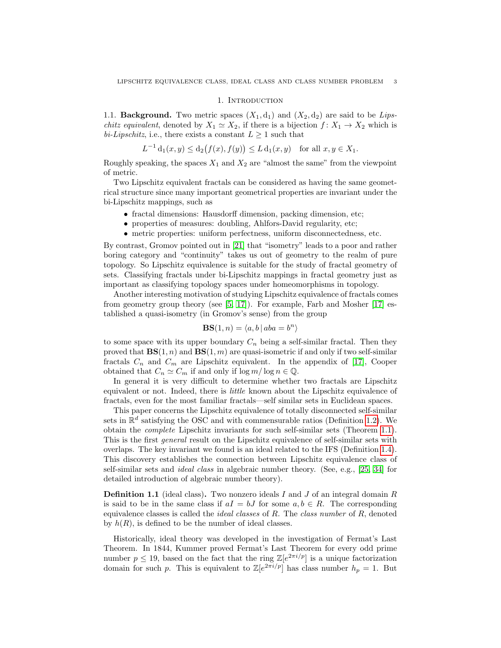#### 1. INTRODUCTION

<span id="page-2-1"></span><span id="page-2-0"></span>1.1. **Background.** Two metric spaces  $(X_1, d_1)$  and  $(X_2, d_2)$  are said to be Lips*chitz equivalent*, denoted by  $X_1 \simeq X_2$ , if there is a bijection  $f: X_1 \to X_2$  which is bi-Lipschitz, i.e., there exists a constant  $L \geq 1$  such that

$$
L^{-1} d_1(x, y) \le d_2(f(x), f(y)) \le L d_1(x, y) \text{ for all } x, y \in X_1.
$$

Roughly speaking, the spaces  $X_1$  and  $X_2$  are "almost the same" from the viewpoint of metric.

Two Lipschitz equivalent fractals can be considered as having the same geometrical structure since many important geometrical properties are invariant under the bi-Lipschitz mappings, such as

- fractal dimensions: Hausdorff dimension, packing dimension, etc;
- properties of measures: doubling, Ahlfors-David regularity, etc;
- metric properties: uniform perfectness, uniform disconnectedness, etc.

By contrast, Gromov pointed out in [\[21\]](#page-57-0) that "isometry" leads to a poor and rather boring category and "continuity" takes us out of geometry to the realm of pure topology. So Lipschitz equivalence is suitable for the study of fractal geometry of sets. Classifying fractals under bi-Lipschitz mappings in fractal geometry just as important as classifying topology spaces under homeomorphisms in topology.

Another interesting motivation of studying Lipschitz equivalence of fractals comes from geometry group theory (see  $[5, 17]$  $[5, 17]$ ). For example, Farb and Mosher  $[17]$  established a quasi-isometry (in Gromov's sense) from the group

$$
\mathbf{BS}(1, n) = \langle a, b \, | \, aba = b^n \rangle
$$

to some space with its upper boundary  $C_n$  being a self-similar fractal. Then they proved that  $\mathbf{BS}(1,n)$  and  $\mathbf{BS}(1,m)$  are quasi-isometric if and only if two self-similar fractals  $C_n$  and  $C_m$  are Lipschitz equivalent. In the appendix of [\[17\]](#page-57-1), Cooper obtained that  $C_n \simeq C_m$  if and only if  $\log m / \log n \in \mathbb{Q}$ .

In general it is very difficult to determine whether two fractals are Lipschitz equivalent or not. Indeed, there is little known about the Lipschitz equivalence of fractals, even for the most familiar fractals—self similar sets in Euclidean spaces.

This paper concerns the Lipschitz equivalence of totally disconnected self-similar sets in  $\mathbb{R}^d$  satisfying the OSC and with commensurable ratios (Definition [1.2\)](#page-4-0). We obtain the complete Lipschitz invariants for such self-similar sets (Theorem [1.1\)](#page-5-0). This is the first *general* result on the Lipschitz equivalence of self-similar sets with overlaps. The key invariant we found is an ideal related to the IFS (Definition [1.4\)](#page-4-1). This discovery establishes the connection between Lipschitz equivalence class of self-similar sets and ideal class in algebraic number theory. (See, e.g., [\[25,](#page-57-2) [34\]](#page-57-3) for detailed introduction of algebraic number theory).

**Definition 1.1** (ideal class). Two nonzero ideals I and J of an integral domain R is said to be in the same class if  $aI = bJ$  for some  $a, b \in R$ . The corresponding equivalence classes is called the *ideal classes* of  $R$ . The *class number* of  $R$ , denoted by  $h(R)$ , is defined to be the number of ideal classes.

Historically, ideal theory was developed in the investigation of Fermat's Last Theorem. In 1844, Kummer proved Fermat's Last Theorem for every odd prime number  $p \leq 19$ , based on the fact that the ring  $\mathbb{Z}[e^{2\pi i/p}]$  is a unique factorization domain for such p. This is equivalent to  $\mathbb{Z}[e^{2\pi i/p}]$  has class number  $h_p = 1$ . But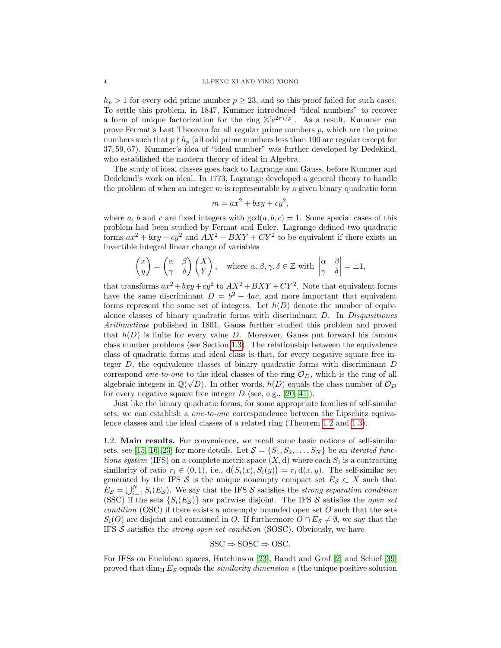$h_p > 1$  for every odd prime number  $p \geq 23$ , and so this proof failed for such cases. To settle this problem, in 1847, Kummer introduced "ideal numbers" to recover a form of unique factorization for the ring  $\mathbb{Z}[e^{2\pi i/p}]$ . As a result, Kummer can prove Fermat's Last Theorem for all regular prime numbers  $p$ , which are the prime numbers such that  $p \nmid h_p$  (all odd prime numbers less than 100 are regular except for 37, 59, 67). Kummer's idea of "ideal number" was further developed by Dedekind, who established the modern theory of ideal in Algebra.

The study of ideal classes goes back to Lagrange and Gauss, before Kummer and Dedekind's work on ideal. In 1773, Lagrange developed a general theory to handle the problem of when an integer  $m$  is representable by a given binary quadratic form

$$
m = ax^2 + bxy + cy^2,
$$

where a, b and c are fixed integers with  $gcd(a, b, c) = 1$ . Some special cases of this problem had been studied by Fermat and Euler. Lagrange defined two quadratic forms  $ax^2 + bxy + cy^2$  and  $AX^2 + BXY + CY^2$  to be equivalent if there exists an invertible integral linear change of variables

$$
\begin{pmatrix} x \\ y \end{pmatrix} = \begin{pmatrix} \alpha & \beta \\ \gamma & \delta \end{pmatrix} \begin{pmatrix} X \\ Y \end{pmatrix}, \text{ where } \alpha, \beta, \gamma, \delta \in \mathbb{Z} \text{ with } \begin{vmatrix} \alpha & \beta \\ \gamma & \delta \end{vmatrix} = \pm 1,
$$

that transforms  $ax^2 + bxy + cy^2$  to  $AX^2 + BXY + CY^2$ . Note that equivalent forms have the same discriminant  $D = b^2 - 4ac$ , and more important that equivalent forms represent the same set of integers. Let  $h(D)$  denote the number of equivalence classes of binary quadratic forms with discriminant D. In Disquisitiones Arithmeticae published in 1801, Gauss further studied this problem and proved that  $h(D)$  is finite for every value D. Moreover, Gauss put forward his famous class number problems (see Section [1.3\)](#page-7-0). The relationship between the equivalence class of quadratic forms and ideal class is that, for every negative square free integer  $D$ , the equivalence classes of binary quadratic forms with discriminant  $D$ correspond *one-to-one* to the ideal classes of the ring  $\mathcal{O}_D$ , which is the ring of all algebraic integers in  $\mathbb{Q}(\sqrt{D})$ . In other words,  $h(D)$  equals the class number of  $\mathcal{O}_D$ for every negative square free integer  $D$  (see, e.g., [\[20,](#page-57-4) [41\]](#page-57-5)).

Just like the binary quadratic forms, for some appropriate families of self-similar sets, we can establish a *one-to-one* correspondence between the Lipschitz equivalence classes and the ideal classes of a related ring (Theorem [1.2](#page-5-1) and [1.3\)](#page-5-2).

<span id="page-3-0"></span>1.2. Main results. For convenience, we recall some basic notions of self-similar sets, see [\[15,](#page-56-3) [16,](#page-56-4) [23\]](#page-57-6) for more details. Let  $S = \{S_1, S_2, \ldots, S_N\}$  be an *iterated func*tions system (IFS) on a complete metric space  $(X, d)$  where each  $S_i$  is a contracting similarity of ratio  $r_i \in (0,1)$ , i.e.,  $d(S_i(x), S_i(y)) = r_i d(x, y)$ . The self-similar set generated by the IFS S is the unique nonempty compact set  $E_{\mathcal{S}} \subset X$  such that  $E_{\mathcal{S}} = \bigcup_{i=1}^{N} S_i(E_{\mathcal{S}})$ . We say that the IFS  $\mathcal{S}$  satisfies the strong separation condition (SSC) if the sets  $\{S_i(E_{\mathcal{S}})\}\$ are pairwise disjoint. The IFS  $\mathcal{S}$  satisfies the *open set* condition (OSC) if there exists a nonempty bounded open set  $O$  such that the sets  $S_i(O)$  are disjoint and contained in O. If furthermore  $O \cap E_{\mathcal{S}} \neq \emptyset$ , we say that the IFS  $S$  satisfies the *strong open set condition* (SOSC). Obviously, we have

$$
SSC \Rightarrow SOSC \Rightarrow OSC.
$$

For IFSs on Euclidean spaces, Hutchinson [\[23\]](#page-57-6), Bandt and Graf [\[2\]](#page-56-5) and Schief [\[39\]](#page-57-7) proved that  $\dim_\text{H} E_S$  equals the *similarity dimension s* (the unique positive solution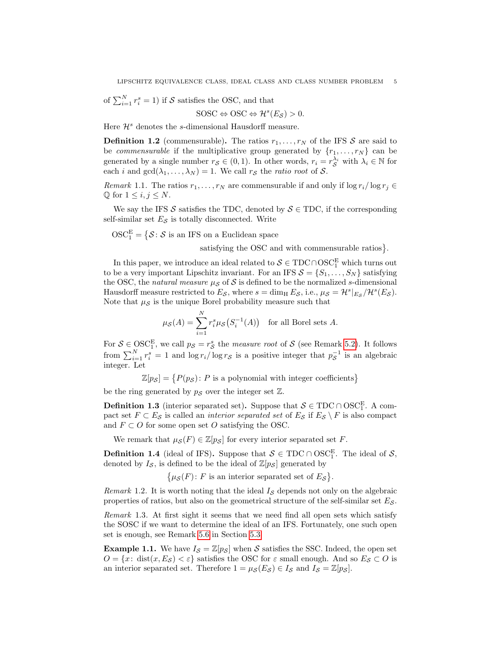of 
$$
\sum_{i=1}^{N} r_i^s = 1
$$
) if *S* satisfies the OSC, and that

$$
SOSC \Leftrightarrow \text{OSC} \Leftrightarrow \mathcal{H}^s(E_{\mathcal{S}}) > 0.
$$

Here  $\mathcal{H}^s$  denotes the s-dimensional Hausdorff measure.

<span id="page-4-0"></span>**Definition 1.2** (commensurable). The ratios  $r_1, \ldots, r_N$  of the IFS S are said to be *commensurable* if the multiplicative group generated by  $\{r_1, \ldots, r_N\}$  can be generated by a single number  $r_{\mathcal{S}} \in (0,1)$ . In other words,  $r_i = r_{\mathcal{S}}^{\lambda_i}$  with  $\lambda_i \in \mathbb{N}$  for each *i* and  $gcd(\lambda_1, ..., \lambda_N) = 1$ . We call  $r_S$  the *ratio root* of S.

*Remark* 1.1. The ratios  $r_1, \ldots, r_N$  are commensurable if and only if  $\log r_i / \log r_j \in$  $\mathbb Q$  for  $1 \leq i, j \leq N$ .

We say the IFS S satisfies the TDC, denoted by  $S \in TDC$ , if the corresponding self-similar set  $E_{\mathcal{S}}$  is totally disconnected. Write

 $\text{OSC}_1^{\text{E}} = \left\{ \mathcal{S} \colon \mathcal{S} \text{ is an IFS on a Euclidean space} \right\}$ 

satisfying the OSC and with commensurable ratios }.

In this paper, we introduce an ideal related to  $S \in TDC \cap OSC^E_1$  which turns out to be a very important Lipschitz invariant. For an IFS  $S = \{S_1, \ldots, S_N\}$  satisfying the OSC, the natural measure  $\mu_{\mathcal{S}}$  of S is defined to be the normalized s-dimensional Hausdorff measure restricted to  $E_{\mathcal{S}}$ , where  $s = \dim_{\text{H}} E_{\mathcal{S}}$ , i.e.,  $\mu_{\mathcal{S}} = \mathcal{H}^s|_{E_{\mathcal{S}}}/\mathcal{H}^s(E_{\mathcal{S}})$ . Note that  $\mu_{\mathcal{S}}$  is the unique Borel probability measure such that

$$
\mu_{\mathcal{S}}(A) = \sum_{i=1}^{N} r_i^s \mu_{\mathcal{S}}(S_i^{-1}(A)) \quad \text{for all Borel sets } A.
$$

For  $S \in \text{OSC}_1^E$ , we call  $p_S = r_S^s$  the *measure root* of S (see Remark [5.2\)](#page-27-0). It follows from  $\sum_{i=1}^{N} r_i^s = 1$  and  $\log r_i / \log r_s$  is a positive integer that  $p_{\mathcal{S}}^{-1}$  is an algebraic integer. Let

 $\mathbb{Z}[p_{\mathcal{S}}] = \{P(p_{\mathcal{S}}): P \text{ is a polynomial with integer coefficients}\}\$ 

be the ring generated by  $p_S$  over the integer set  $\mathbb{Z}$ .

**Definition 1.3** (interior separated set). Suppose that  $S \in TDC \cap OSC_1^E$ . A compact set  $F \subset E_{\mathcal{S}}$  is called an *interior separated set* of  $E_{\mathcal{S}}$  if  $E_{\mathcal{S}} \setminus F$  is also compact and  $F \subset O$  for some open set O satisfying the OSC.

We remark that  $\mu_S(F) \in \mathbb{Z}[p_S]$  for every interior separated set F.

<span id="page-4-1"></span>**Definition 1.4** (ideal of IFS). Suppose that  $S \in TDC \cap OSC_1^E$ . The ideal of S, denoted by  $I_{\mathcal{S}}$ , is defined to be the ideal of  $\mathbb{Z}[p_{\mathcal{S}}]$  generated by

 $\{\mu_{\mathcal{S}}(F): F \text{ is an interior separated set of } E_{\mathcal{S}}\}.$ 

Remark 1.2. It is worth noting that the ideal  $I_{\mathcal{S}}$  depends not only on the algebraic properties of ratios, but also on the geometrical structure of the self-similar set  $E_{\mathcal{S}}$ .

Remark 1.3. At first sight it seems that we need find all open sets which satisfy the SOSC if we want to determine the ideal of an IFS. Fortunately, one such open set is enough, see Remark [5.6](#page-31-0) in Section [5.3.](#page-30-0)

<span id="page-4-2"></span>**Example 1.1.** We have  $I_{\mathcal{S}} = \mathbb{Z}[p_{\mathcal{S}}]$  when S satisfies the SSC. Indeed, the open set  $O = \{x: dist(x, E_S) < \varepsilon\}$  satisfies the OSC for  $\varepsilon$  small enough. And so  $E_S \subset O$  is an interior separated set. Therefore  $1 = \mu_{\mathcal{S}}(E_{\mathcal{S}}) \in I_{\mathcal{S}}$  and  $I_{\mathcal{S}} = \mathbb{Z}[p_{\mathcal{S}}]$ .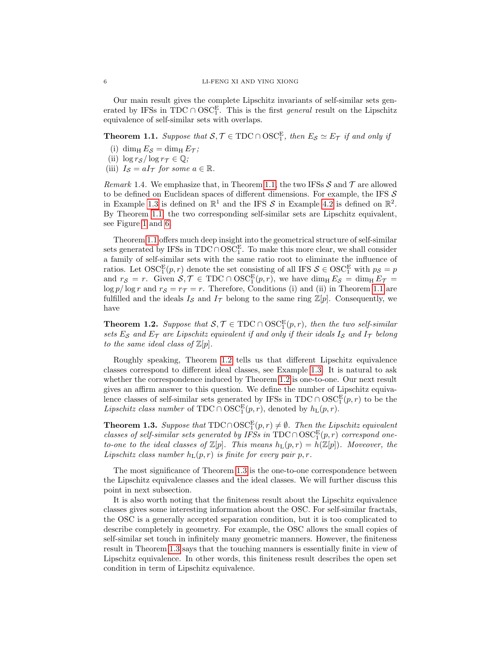Our main result gives the complete Lipschitz invariants of self-similar sets generated by IFSs in TDC ∩ OSC<sup>E</sup>. This is the first *general* result on the Lipschitz equivalence of self-similar sets with overlaps.

<span id="page-5-0"></span>**Theorem 1.1.** Suppose that  $S, \mathcal{T} \in \text{TDC} \cap \text{OSC}_1^E$ , then  $E_S \simeq E_{\mathcal{T}}$  if and only if

- (i) dim<sub>H</sub>  $E_S = \dim_{\text{H}} E_{\mathcal{T}}$ ;
- (ii)  $\log r_S / \log r_T \in \mathbb{Q}$ ;
- (iii)  $I_{\mathcal{S}} = aI_{\mathcal{T}}$  for some  $a \in \mathbb{R}$ .

Remark 1.4. We emphasize that, in Theorem [1.1,](#page-5-0) the two IFSs  $S$  and  $T$  are allowed to be defined on Euclidean spaces of different dimensions. For example, the IFS  $\mathcal S$ in Example [1.3](#page-6-0) is defined on  $\mathbb{R}^1$  and the IFS S in Example [4.2](#page-23-0) is defined on  $\mathbb{R}^2$ . By Theorem [1.1,](#page-5-0) the two corresponding self-similar sets are Lipschitz equivalent, see Figure [1](#page-6-1) and [6.](#page-24-1)

Theorem [1.1](#page-5-0) offers much deep insight into the geometrical structure of self-similar sets generated by IFSs in  $\text{TDC} \cap \text{OSC}_1^E$ . To make this more clear, we shall consider a family of self-similar sets with the same ratio root to eliminate the influence of ratios. Let  $\mathrm{OSC}_1^{\mathrm{E}}(p,r)$  denote the set consisting of all IFS  $\mathcal{S} \in \mathrm{OSC}_1^{\mathrm{E}}$  with  $p_{\mathcal{S}} = p$ and  $r_S = r$ . Given  $S, \mathcal{T} \in \text{TDC} \cap \text{OSC}_1^E(p, r)$ , we have  $\dim_\text{H} E_S = \dim_\text{H} E_{\mathcal{T}} =$  $\log p / \log r$  and  $r_S = r_T = r$ . Therefore, Conditions (i) and (ii) in Theorem [1.1](#page-5-0) are fulfilled and the ideals  $I_{\mathcal{S}}$  and  $I_{\mathcal{T}}$  belong to the same ring  $\mathbb{Z}[p]$ . Consequently, we have

<span id="page-5-1"></span>**Theorem 1.2.** Suppose that  $S, \mathcal{T} \in \text{TDC} \cap \text{OSC}_1^E(p, r)$ , then the two self-similar sets  $E_{\mathcal{S}}$  and  $E_{\mathcal{T}}$  are Lipschitz equivalent if and only if their ideals  $I_{\mathcal{S}}$  and  $I_{\mathcal{T}}$  belong to the same ideal class of  $\mathbb{Z}[p]$ .

Roughly speaking, Theorem [1.2](#page-5-1) tells us that different Lipschitz equivalence classes correspond to different ideal classes, see Example [1.3.](#page-6-0) It is natural to ask whether the correspondence induced by Theorem [1.2](#page-5-1) is one-to-one. Our next result gives an affirm answer to this question. We define the number of Lipschitz equivalence classes of self-similar sets generated by IFSs in TDC ∩  $\mathrm{OSC}_1^{\mathrm{E}}(p,r)$  to be the *Lipschitz class number* of TDC ∩  $OSC_1^E(p, r)$ , denoted by  $h_L(p, r)$ .

<span id="page-5-2"></span>**Theorem 1.3.** Suppose that  $TDC \cap OSC^E_1(p,r) \neq \emptyset$ . Then the Lipschitz equivalent classes of self-similar sets generated by IFSs in TDC  $\cap$  OSC<sup>E</sup> $(p, r)$  correspond oneto-one to the ideal classes of  $\mathbb{Z}[p]$ . This means  $h_L(p,r) = h(\mathbb{Z}[p])$ . Moveover, the Lipschitz class number  $h_L(p,r)$  is finite for every pair p, r.

The most significance of Theorem [1.3](#page-5-2) is the one-to-one correspondence between the Lipschitz equivalence classes and the ideal classes. We will further discuss this point in next subsection.

It is also worth noting that the finiteness result about the Lipschitz equivalence classes gives some interesting information about the OSC. For self-similar fractals, the OSC is a generally accepted separation condition, but it is too complicated to describe completely in geometry. For example, the OSC allows the small copies of self-similar set touch in infinitely many geometric manners. However, the finiteness result in Theorem [1.3](#page-5-2) says that the touching manners is essentially finite in view of Lipschitz equivalence. In other words, this finiteness result describes the open set condition in term of Lipschitz equivalence.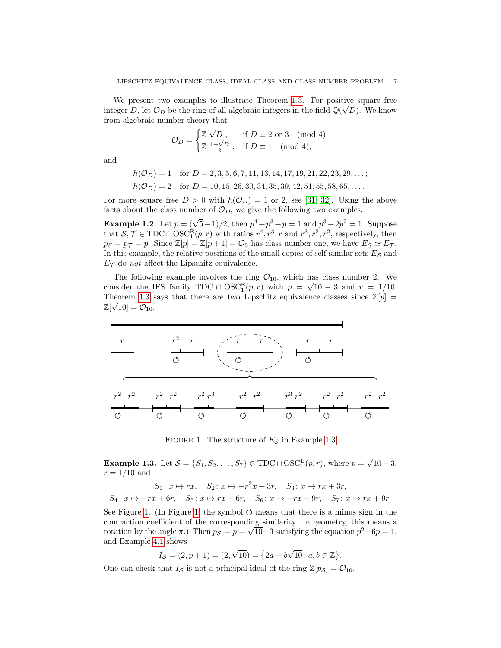We present two examples to illustrate Theorem [1.3.](#page-5-2) For positive square free integer D, let  $\mathcal{O}_D$  be the ring of all algebraic integers in the field  $\mathbb{Q}(\sqrt{D})$ . We know from algebraic number theory that

$$
\mathcal{O}_D = \begin{cases} \mathbb{Z}[\sqrt{D}], & \text{if } D \equiv 2 \text{ or } 3 \pmod{4}; \\ \mathbb{Z}[\frac{1+\sqrt{D}}{2}], & \text{if } D \equiv 1 \pmod{4}; \end{cases}
$$

and

$$
h(\mathcal{O}_D) = 1 \quad \text{for } D = 2, 3, 5, 6, 7, 11, 13, 14, 17, 19, 21, 22, 23, 29, \dots;
$$
  

$$
h(\mathcal{O}_D) = 2 \quad \text{for } D = 10, 15, 26, 30, 34, 35, 39, 42, 51, 55, 58, 65, \dots.
$$

For more square free  $D > 0$  with  $h(\mathcal{O}_D) = 1$  or 2, see [\[31,](#page-57-8) [32\]](#page-57-9). Using the above facts about the class number of  $\mathcal{O}_D$ , we give the following two examples.

**Example 1.2.** Let  $p = (\sqrt{5}-1)/2$ , then  $p^4 + p^3 + p = 1$  and  $p^3 + 2p^2 = 1$ . Suppose that  $S, \mathcal{T} \in TDC \cap OSC_1^E(p, r)$  with ratios  $r^4, r^3, r$  and  $r^3, r^2, r^2$ , respectively, then  $p_S = p_{\mathcal{T}} = p$ . Since  $\mathbb{Z}[p] = \mathbb{Z}[p+1] = \mathcal{O}_5$  has class number one, we have  $E_S \simeq E_{\mathcal{T}}$ . In this example, the relative positions of the small copies of self-similar sets  $E_{\mathcal{S}}$  and  $E_{\mathcal{T}}$  do not affect the Lipschitz equivalence.

The following example involves the ring  $\mathcal{O}_{10}$ , which has class number 2. We consider the IFS family TDC ∩  $\mathrm{OSC}_1^{\mathrm{E}}(p,r)$  with  $p = \sqrt{10} - 3$  and  $r = 1/10$ . Theorem [1.3](#page-5-2) says that there are two Lipschitz equivalence classes since  $\mathbb{Z}[p] =$  $\mathbb{Z}[\sqrt{10}] = \mathcal{O}_{10}.$ 



<span id="page-6-1"></span>FIGURE 1. The structure of  $E<sub>S</sub>$  in Example [1.3](#page-6-0)

<span id="page-6-0"></span>**Example 1.3.** Let  $S = \{S_1, S_2, \ldots, S_7\} \in TDC \cap OSC_1^E(p, r)$ , where  $p =$ √  $10 - 3,$  $r = 1/10$  and

$$
S_1: x \mapsto rx, \quad S_2: x \mapsto -r^2x + 3r, \quad S_3: x \mapsto rx + 3r,
$$
  

$$
S_4: x \mapsto -rx + 6r, \quad S_5: x \mapsto rx + 6r, \quad S_6: x \mapsto -rx + 9r, \quad S_7: x \mapsto rx + 9r.
$$

See Figure [1.](#page-6-1) (In Figure [1,](#page-6-1) the symbol  $\circ$  means that there is a minus sign in the contraction coefficient of the corresponding similarity. In geometry, this means a √ rotation by the angle  $\pi$ .) Then  $p_S = p = \sqrt{10} - 3$  satisfying the equation  $p^2 + 6p = 1$ , and Example [4.1](#page-20-2) shows √ √

$$
I_{\mathcal{S}} = (2, p + 1) = (2, \sqrt{10}) = \{2a + b\sqrt{10} : a, b \in \mathbb{Z}\}.
$$

One can check that  $I_{\mathcal{S}}$  is not a principal ideal of the ring  $\mathbb{Z}[p_{\mathcal{S}}] = \mathcal{O}_{10}$ .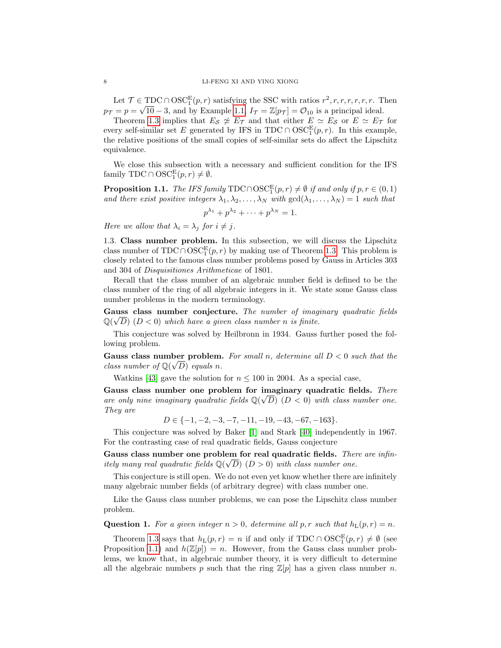Let  $\mathcal{T} \in \text{TDC} \cap \text{OSC}_1^E(p, r)$  satisfying the SSC with ratios  $r^2, r, r, r, r, r, r$ . Then  $p_{\mathcal{T}} = p = \sqrt{10} - 3$ , and by Example [1.1,](#page-4-2)  $I_{\mathcal{T}} = \mathbb{Z}[p_{\mathcal{T}}] = \mathcal{O}_{10}$  is a principal ideal.

Theorem [1.3](#page-5-2) implies that  $E_{\mathcal{S}} \not\simeq E_{\mathcal{T}}$  and that either  $E \simeq E_{\mathcal{S}}$  or  $E \simeq E_{\mathcal{T}}$  for every self-similar set E generated by IFS in TDC ∩  $\mathrm{OSC}_1^{\mathrm{E}}(p,r)$ . In this example, the relative positions of the small copies of self-similar sets do affect the Lipschitz equivalence.

We close this subsection with a necessary and sufficient condition for the IFS family TDC  $\cap$  OSC<sup>E</sup><sub>1</sub> $(p, r) \neq \emptyset$ .

<span id="page-7-1"></span>**Proposition 1.1.** The IFS family TDC∩OSC<sup>E</sup> $(p, r) \neq \emptyset$  if and only if  $p, r \in (0, 1)$ and there exist positive integers  $\lambda_1, \lambda_2, \ldots, \lambda_N$  with  $gcd(\lambda_1, \ldots, \lambda_N) = 1$  such that  $p^{\lambda_1} + p^{\lambda_2} + \cdots + p^{\lambda_N} = 1.$ 

Here we allow that  $\lambda_i = \lambda_j$  for  $i \neq j$ .

<span id="page-7-0"></span>1.3. Class number problem. In this subsection, we will discuss the Lipschitz class number of  $TDC \cap OSC_1^E(p,r)$  by making use of Theorem [1.3.](#page-5-2) This problem is closely related to the famous class number problems posed by Gauss in Articles 303 and 304 of Disquisitiones Arithmeticae of 1801.

Recall that the class number of an algebraic number field is defined to be the class number of the ring of all algebraic integers in it. We state some Gauss class number problems in the modern terminology.

Gauss class number conjecture. The number of imaginary quadratic fields  $\mathbb{Q}(\sqrt{D})$  (D < 0) which have a given class number n is finite.

This conjecture was solved by Heilbronn in 1934. Gauss further posed the following problem.

Gauss class number problem. For small n, determine all  $D < 0$  such that the class number of  $\mathbb{Q}(\sqrt{D})$  equals n.

Watkins [\[43\]](#page-57-10) gave the solution for  $n \leq 100$  in 2004. As a special case,

Gauss class number one problem for imaginary quadratic fields. There are only nine imaginary quadratic fields  $\mathbb{Q}(\sqrt{D})$   $(D < 0)$  with class number one. They are

 $D \in \{-1, -2, -3, -7, -11, -19, -43, -67, -163\}.$ 

This conjecture was solved by Baker [\[1\]](#page-56-6) and Stark [\[40\]](#page-57-11) independently in 1967. For the contrasting case of real quadratic fields, Gauss conjecture

Gauss class number one problem for real quadratic fields. There are infinitely many real quadratic fields  $\mathbb{Q}(\sqrt{D})$  ( $D > 0$ ) with class number one.

This conjecture is still open. We do not even yet know whether there are infinitely many algebraic number fields (of arbitrary degree) with class number one.

Like the Gauss class number problems, we can pose the Lipschitz class number problem.

<span id="page-7-2"></span>**Question 1.** For a given integer  $n > 0$ , determine all p, r such that  $h_L(p, r) = n$ .

Theorem [1.3](#page-5-2) says that  $h_L(p,r) = n$  if and only if TDC ∩ OSC<sup>E</sup><sub>1</sub> $(p,r) \neq \emptyset$  (see Proposition [1.1\)](#page-7-1) and  $h(\mathbb{Z}[p]) = n$ . However, from the Gauss class number problems, we know that, in algebraic number theory, it is very difficult to determine all the algebraic numbers p such that the ring  $\mathbb{Z}[p]$  has a given class number n.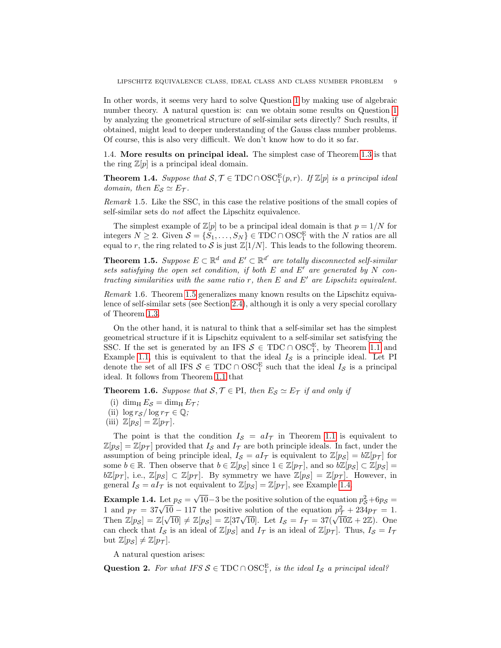In other words, it seems very hard to solve Question [1](#page-7-2) by making use of algebraic number theory. A natural question is: can we obtain some results on Question [1](#page-7-2) by analyzing the geometrical structure of self-similar sets directly? Such results, if obtained, might lead to deeper understanding of the Gauss class number problems. Of course, this is also very difficult. We don't know how to do it so far.

<span id="page-8-0"></span>1.4. More results on principal ideal. The simplest case of Theorem [1.3](#page-5-2) is that the ring  $\mathbb{Z}[p]$  is a principal ideal domain.

**Theorem 1.4.** Suppose that  $S, \mathcal{T} \in TDC \cap OSC^E_1(p, r)$ . If  $\mathbb{Z}[p]$  is a principal ideal domain, then  $E_S \simeq E_{\mathcal{T}}$ .

Remark 1.5. Like the SSC, in this case the relative positions of the small copies of self-similar sets do not affect the Lipschitz equivalence.

The simplest example of  $\mathbb{Z}[p]$  to be a principal ideal domain is that  $p = 1/N$  for integers  $N \ge 2$ . Given  $S = \{S_1, \ldots, S_N\} \in TDC \cap OSC_1^E$  with the N ratios are all equal to r, the ring related to S is just  $\mathbb{Z}[1/N]$ . This leads to the following theorem.

<span id="page-8-1"></span>**Theorem 1.5.** Suppose  $E \subset \mathbb{R}^d$  and  $E' \subset \mathbb{R}^{d'}$  are totally disconnected self-similar sets satisfying the open set condition, if both  $E$  and  $E'$  are generated by  $N$  contracting similarities with the same ratio r, then  $E$  and  $E'$  are Lipschitz equivalent.

Remark 1.6. Theorem [1.5](#page-8-1) generalizes many known results on the Lipschitz equivalence of self-similar sets (see Section [2.4\)](#page-14-0), although it is only a very special corollary of Theorem [1.3.](#page-5-2)

On the other hand, it is natural to think that a self-similar set has the simplest geometrical structure if it is Lipschitz equivalent to a self-similar set satisfying the SSC. If the set is generated by an IFS  $S \in TDC \cap OSC_1^E$ , by Theorem [1.1](#page-5-0) and Example [1.1,](#page-4-2) this is equivalent to that the ideal  $I_{\mathcal{S}}$  is a principle ideal. Let PI denote the set of all IFS  $S \in TDC \cap OSC_1^E$  such that the ideal  $I_S$  is a principal ideal. It follows from Theorem [1.1](#page-5-0) that

<span id="page-8-4"></span>**Theorem 1.6.** Suppose that  $S, \mathcal{T} \in \text{PI}$ , then  $E_S \simeq E_{\mathcal{T}}$  if and only if

- (i) dim<sub>H</sub>  $E_S = \dim_{\text{H}} E_T$ ;
- (ii)  $\log r_{\mathcal{S}} / \log r_{\mathcal{T}} \in \mathbb{Q}$ ;
- (iii)  $\mathbb{Z}[p_{\mathcal{S}}] = \mathbb{Z}[p_{\mathcal{T}}].$

The point is that the condition  $I_{\mathcal{S}} = aI_{\mathcal{T}}$  in Theorem [1.1](#page-5-0) is equivalent to  $\mathbb{Z}[p_{\mathcal{S}}] = \mathbb{Z}[p_{\mathcal{T}}]$  provided that  $I_{\mathcal{S}}$  and  $I_{\mathcal{T}}$  are both principle ideals. In fact, under the assumption of being principle ideal,  $I_{\mathcal{S}} = aI_{\mathcal{T}}$  is equivalent to  $\mathbb{Z}[p_{\mathcal{S}}] = b\mathbb{Z}[p_{\mathcal{T}}]$  for some  $b \in \mathbb{R}$ . Then observe that  $b \in \mathbb{Z}[p_{\mathcal{S}}]$  since  $1 \in \mathbb{Z}[p_{\mathcal{T}}]$ , and so  $b\mathbb{Z}[p_{\mathcal{S}}] \subset \mathbb{Z}[p_{\mathcal{S}}]$  $b\mathbb{Z}[p_{\mathcal{T}}],$  i.e.,  $\mathbb{Z}[p_{\mathcal{S}}] \subset \mathbb{Z}[p_{\mathcal{T}}].$  By symmetry we have  $\mathbb{Z}[p_{\mathcal{S}}] = \mathbb{Z}[p_{\mathcal{T}}].$  However, in general  $I_{\mathcal{S}} = aI_{\mathcal{T}}$  is not equivalent to  $\mathbb{Z}[p_{\mathcal{S}}] = \mathbb{Z}[p_{\mathcal{T}}]$ , see Example [1.4.](#page-8-2)

<span id="page-8-2"></span>Example 1.4. Let  $p_{\mathcal{S}} =$ √  $\overline{10}$  – 3 be the positive solution of the equation  $p_S^2 + 6p_S =$ **Example 1.4.** Let  $p_S = \sqrt{10-3}$  be the positive solution of the equation  $p_S + 9p_S = 1$  and  $p_T = 37\sqrt{10} - 117$  the positive solution of the equation  $p_T^2 + 234p_T = 1$ . T and  $p_{\mathcal{T}} = 37\sqrt{10-117}$  the positive solution of the equation  $p_{\mathcal{T}} + 234p_{\mathcal{T}} = 1$ .<br>Then  $\mathbb{Z}[p_S] = \mathbb{Z}[\sqrt{10}] \neq \mathbb{Z}[p_S] = \mathbb{Z}[37\sqrt{10}]$ . Let  $I_S = I_{\mathcal{T}} = 37(\sqrt{10}\mathbb{Z} + 2\mathbb{Z})$ . One can check that  $I_S$  is an ideal of  $\mathbb{Z}[p_S]$  and  $I_{\mathcal{T}}$  is an ideal of  $\mathbb{Z}[p_{\mathcal{T}}]$ . Thus,  $I_S = I_{\mathcal{T}}$ but  $\mathbb{Z}[p_{\mathcal{S}}] \neq \mathbb{Z}[p_{\mathcal{T}}].$ 

A natural question arises:

<span id="page-8-3"></span>Question 2. For what IFS  $S \in TDC \cap OSC_1^E$ , is the ideal  $I_S$  a principal ideal?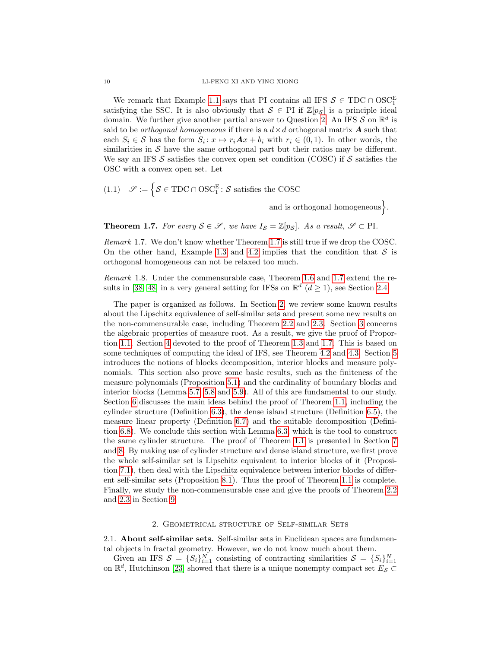We remark that Example [1.1](#page-4-2) says that PI contains all IFS  $S \in TDC \cap OSC^E_1$ satisfying the SSC. It is also obviously that  $S \in \text{PI}$  if  $\mathbb{Z}[p_S]$  is a principle ideal domain. We further give another partial answer to Question [2.](#page-8-3) An IFS  $S$  on  $\mathbb{R}^d$  is said to be *orthogonal homogeneous* if there is a  $d \times d$  orthogonal matrix **A** such that each  $S_i \in \mathcal{S}$  has the form  $S_i: x \mapsto r_i \mathbf{A} x + b_i$  with  $r_i \in (0, 1)$ . In other words, the similarities in  $S$  have the same orthogonal part but their ratios may be different. We say an IFS S satisfies the convex open set condition (COSC) if S satisfies the OSC with a convex open set. Let

<span id="page-9-3"></span>(1.1) 
$$
\mathscr{S} := \left\{ \mathcal{S} \in TDC \cap OSC_1^E : \mathcal{S} \text{ satisfies the COSC} \right\}
$$

and is orthogonal homogeneous.

<span id="page-9-2"></span>**Theorem 1.7.** For every  $S \in \mathcal{S}$ , we have  $I_S = \mathbb{Z}[p_S]$ . As a result,  $\mathcal{S} \subset \text{PI}$ .

Remark 1.7. We don't know whether Theorem [1.7](#page-9-2) is still true if we drop the COSC. On the other hand, Example [1.3](#page-6-0) and [4.2](#page-23-0) implies that the condition that  $S$  is orthogonal homogeneous can not be relaxed too much.

Remark 1.8. Under the commensurable case, Theorem [1.6](#page-8-4) and [1.7](#page-9-2) extend the re-sults in [\[38,](#page-57-12) [48\]](#page-58-0) in a very general setting for IFSs on  $\mathbb{R}^d$  ( $d \ge 1$ ), see Section [2.4.](#page-14-0)

The paper is organized as follows. In Section [2,](#page-9-0) we review some known results about the Lipschitz equivalence of self-similar sets and present some new results on the non-commensurable case, including Theorem [2.2](#page-12-0) and [2.3.](#page-13-0) Section [3](#page-16-0) concerns the algebraic properties of measure root. As a result, we give the proof of Proportion [1.1.](#page-7-1) Section [4](#page-20-0) devoted to the proof of Theorem [1.3](#page-5-2) and [1.7.](#page-9-2) This is based on some techniques of computing the ideal of IFS, see Theorem [4.2](#page-20-3) and [4.3.](#page-24-2) Section [5](#page-26-0) introduces the notions of blocks decomposition, interior blocks and measure polynomials. This section also prove some basic results, such as the finiteness of the measure polynomials (Proposition [5.1\)](#page-28-1) and the cardinality of boundary blocks and interior blocks (Lemma [5.7,](#page-30-1) [5.8](#page-30-2) and [5.9\)](#page-31-1). All of this are fundamental to our study. Section [6](#page-32-0) discusses the main ideas behind the proof of Theorem [1.1,](#page-5-0) including the cylinder structure (Definition [6.3\)](#page-32-2), the dense island structure (Definition [6.5\)](#page-33-0), the measure linear property (Definition [6.7\)](#page-35-1) and the suitable decomposition (Definition [6.8\)](#page-36-1). We conclude this section with Lemma [6.3,](#page-36-2) which is the tool to construct the same cylinder structure. The proof of Theorem [1.1](#page-5-0) is presented in Section [7](#page-41-0) and [8.](#page-49-0) By making use of cylinder structure and dense island structure, we first prove the whole self-similar set is Lipschitz equivalent to interior blocks of it (Proposition [7.1\)](#page-41-2), then deal with the Lipschitz equivalence between interior blocks of different self-similar sets (Proposition [8.1\)](#page-49-1). Thus the proof of Theorem [1.1](#page-5-0) is complete. Finally, we study the non-commensurable case and give the proofs of Theorem [2.2](#page-12-0) and [2.3](#page-13-0) in Section [9.](#page-53-0)

### 2. Geometrical structure of Self-similar Sets

<span id="page-9-1"></span><span id="page-9-0"></span>2.1. About self-similar sets. Self-similar sets in Euclidean spaces are fundamental objects in fractal geometry. However, we do not know much about them.

Given an IFS  $S = \{S_i\}_{i=1}^N$  consisting of contracting similarities  $S = \{S_i\}_{i=1}^N$ on  $\mathbb{R}^d$ , Hutchinson [\[23\]](#page-57-6) showed that there is a unique nonempty compact set  $E_S \subset$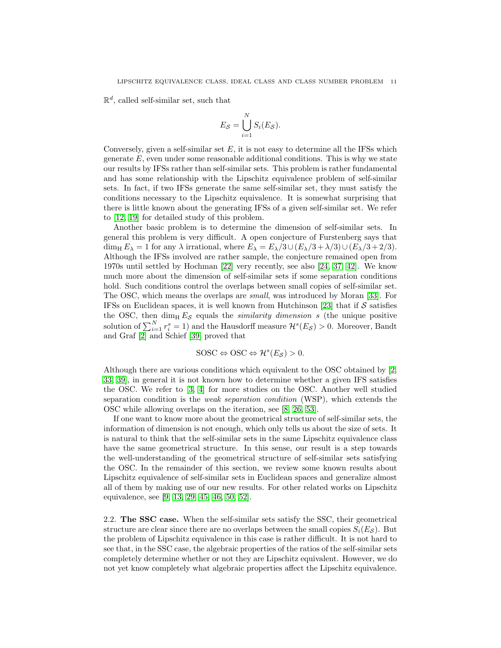$\mathbb{R}^d$ , called self-similar set, such that

$$
E_{\mathcal{S}} = \bigcup_{i=1}^{N} S_i(E_{\mathcal{S}}).
$$

Conversely, given a self-similar set  $E$ , it is not easy to determine all the IFSs which generate  $E$ , even under some reasonable additional conditions. This is why we state our results by IFSs rather than self-similar sets. This problem is rather fundamental and has some relationship with the Lipschitz equivalence problem of self-similar sets. In fact, if two IFSs generate the same self-similar set, they must satisfy the conditions necessary to the Lipschitz equivalence. It is somewhat surprising that there is little known about the generating IFSs of a given self-similar set. We refer to [\[12,](#page-56-7) [19\]](#page-57-13) for detailed study of this problem.

Another basic problem is to determine the dimension of self-similar sets. In general this problem is very difficult. A open conjecture of Furstenberg says that dim<sub>H</sub>  $E_{\lambda} = 1$  for any  $\lambda$  irrational, where  $E_{\lambda} = E_{\lambda}/3 \cup (E_{\lambda}/3 + \lambda/3) \cup (E_{\lambda}/3 + 2/3)$ . Although the IFSs involved are rather sample, the conjecture remained open from 1970s until settled by Hochman [\[22\]](#page-57-14) very recently, see also [\[24,](#page-57-15) [37,](#page-57-16) [42\]](#page-57-17). We know much more about the dimension of self-similar sets if some separation conditions hold. Such conditions control the overlaps between small copies of self-similar set. The OSC, which means the overlaps are small, was introduced by Moran [\[33\]](#page-57-18). For IFSs on Euclidean spaces, it is well known from Hutchinson [\[23\]](#page-57-6) that if  $S$  satisfies the OSC, then dim<sub>H</sub>  $E_S$  equals the *similarity dimension s* (the unique positive solution of  $\sum_{i=1}^{N} r_i^s = 1$ ) and the Hausdorff measure  $\mathcal{H}^s(E_{\mathcal{S}}) > 0$ . Moreover, Bandt and Graf [\[2\]](#page-56-5) and Schief [\[39\]](#page-57-7) proved that

$$
SOSC \Leftrightarrow \text{OSC} \Leftrightarrow \mathcal{H}^s(E_{\mathcal{S}}) > 0.
$$

Although there are various conditions which equivalent to the OSC obtained by [\[2,](#page-56-5) [33,](#page-57-18) [39\]](#page-57-7), in general it is not known how to determine whether a given IFS satisfies the OSC. We refer to [\[3,](#page-56-8) [4\]](#page-56-9) for more studies on the OSC. Another well studied separation condition is the *weak separation condition* (WSP), which extends the OSC while allowing overlaps on the iteration, see [\[8,](#page-56-10) [26,](#page-57-19) [53\]](#page-58-1).

If one want to know more about the geometrical structure of self-similar sets, the information of dimension is not enough, which only tells us about the size of sets. It is natural to think that the self-similar sets in the same Lipschitz equivalence class have the same geometrical structure. In this sense, our result is a step towards the well-understanding of the geometrical structure of self-similar sets satisfying the OSC. In the remainder of this section, we review some known results about Lipschitz equivalence of self-similar sets in Euclidean spaces and generalize almost all of them by making use of our new results. For other related works on Lipschitz equivalence, see [\[9,](#page-56-11) [13,](#page-56-12) [29,](#page-57-20) [45,](#page-58-2) [46,](#page-58-3) [50,](#page-58-4) [52\]](#page-58-5).

<span id="page-10-0"></span>2.2. The SSC case. When the self-similar sets satisfy the SSC, their geometrical structure are clear since there are no overlaps between the small copies  $S_i(E<sub>S</sub>)$ . But the problem of Lipschitz equivalence in this case is rather difficult. It is not hard to see that, in the SSC case, the algebraic properties of the ratios of the self-similar sets completely determine whether or not they are Lipschitz equivalent. However, we do not yet know completely what algebraic properties affect the Lipschitz equivalence.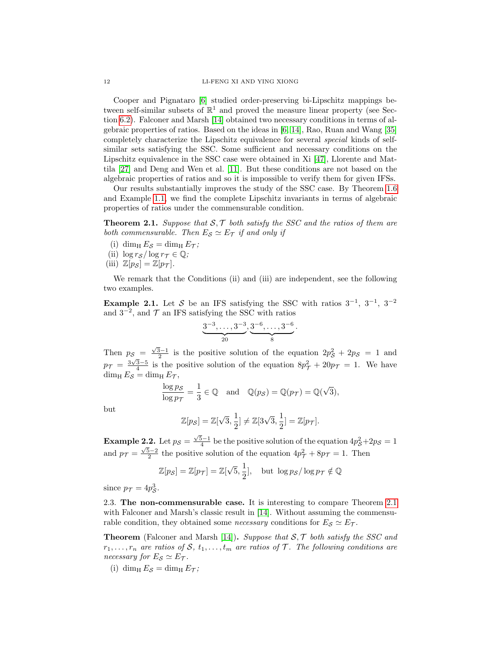Cooper and Pignataro [\[6\]](#page-56-13) studied order-preserving bi-Lipschitz mappings between self-similar subsets of  $\mathbb{R}^1$  and proved the measure linear property (see Section [6.2\)](#page-35-0). Falconer and Marsh [\[14\]](#page-56-14) obtained two necessary conditions in terms of algebraic properties of ratios. Based on the ideas in [\[6,](#page-56-13) [14\]](#page-56-14), Rao, Ruan and Wang [\[35\]](#page-57-21) completely characterize the Lipschitz equivalence for several special kinds of selfsimilar sets satisfying the SSC. Some sufficient and necessary conditions on the Lipschitz equivalence in the SSC case were obtained in Xi [\[47\]](#page-58-6), Llorente and Mattila [\[27\]](#page-57-22) and Deng and Wen et al. [\[11\]](#page-56-15). But these conditions are not based on the algebraic properties of ratios and so it is impossible to verify them for given IFSs.

Our results substantially improves the study of the SSC case. By Theorem [1.6](#page-8-4) and Example [1.1,](#page-4-2) we find the complete Lipschitz invariants in terms of algebraic properties of ratios under the commensurable condition.

<span id="page-11-1"></span>**Theorem 2.1.** Suppose that  $S, \mathcal{T}$  both satisfy the SSC and the ratios of them are both commensurable. Then  $E_S \simeq E_{\mathcal{T}}$  if and only if

(i) dim<sub>H</sub>  $E_S = \dim_{\text{H}} E_T$ ; (ii)  $\log r_S / \log r_T \in \mathbb{Q}$ ; (iii)  $\mathbb{Z}[p_{\mathcal{S}}] = \mathbb{Z}[p_{\mathcal{T}}].$ 

We remark that the Conditions (ii) and (iii) are independent, see the following two examples.

<span id="page-11-2"></span>**Example 2.1.** Let S be an IFS satisfying the SSC with ratios  $3^{-1}$ ,  $3^{-1}$ ,  $3^{-2}$ and  $3^{-2}$ , and  $\mathcal T$  an IFS satisfying the SSC with ratios

$$
\underbrace{3^{-3},\ldots,3^{-3}}_{20},\underbrace{3^{-6},\ldots,3^{-6}}_{8}.
$$

Then  $p_S = \frac{\sqrt{3}-1}{2}$  is the positive solution of the equation  $2p_S^2 + 2p_S = 1$  and  $p_{\mathcal{T}} = \frac{3\sqrt{3}-5}{4}$  is the positive solution of the equation  $8p_{\mathcal{T}}^2 + 20p_{\mathcal{T}} = 1$ . We have  $\dim_{\rm H} E_{\mathcal{S}} = \dim_{\rm H} E_{\mathcal{T}},$ 

$$
\frac{\log p_{\mathcal{S}}}{\log p_{\mathcal{T}}} = \frac{1}{3} \in \mathbb{Q} \quad \text{and} \quad \mathbb{Q}(p_{\mathcal{S}}) = \mathbb{Q}(p_{\mathcal{T}}) = \mathbb{Q}(\sqrt{3}),
$$

but

$$
\mathbb{Z}[p_{\mathcal{S}}] = \mathbb{Z}[\sqrt{3}, \frac{1}{2}] \neq \mathbb{Z}[3\sqrt{3}, \frac{1}{2}] = \mathbb{Z}[p_{\mathcal{T}}].
$$

**Example 2.2.** Let  $p_S = \frac{\sqrt{5}-1}{4}$  be the positive solution of the equation  $4p_S^2 + 2p_S = 1$ and  $p_{\mathcal{T}} = \frac{\sqrt{5}-2}{2}$  the positive solution of the equation  $4p_{\mathcal{T}}^2 + 8p_{\mathcal{T}} = 1$ . Then

$$
\mathbb{Z}[p_{\mathcal{S}}] = \mathbb{Z}[p_{\mathcal{T}}] = \mathbb{Z}[\sqrt{5}, \frac{1}{2}], \quad \text{but } \log p_{\mathcal{S}} / \log p_{\mathcal{T}} \notin \mathbb{Q}
$$

since  $p_{\mathcal{T}} = 4p_{\mathcal{S}}^3$ .

<span id="page-11-0"></span>2.3. The non-commensurable case. It is interesting to compare Theorem [2.1](#page-11-1) with Falconer and Marsh's classic result in [\[14\]](#page-56-14). Without assuming the commensurable condition, they obtained some *necessary* conditions for  $E_S \simeq E_{\mathcal{T}}$ .

**Theorem** (Falconer and Marsh [\[14\]](#page-56-14)). Suppose that  $S$ ,  $\mathcal{T}$  both satisfy the SSC and  $r_1, \ldots, r_n$  are ratios of S,  $t_1, \ldots, t_m$  are ratios of T. The following conditions are necessary for  $E_{\mathcal{S}} \simeq E_{\mathcal{T}}$ .

(i) dim<sub>H</sub>  $E_S = \dim_{\text{H}} E_{\text{T}}$ ;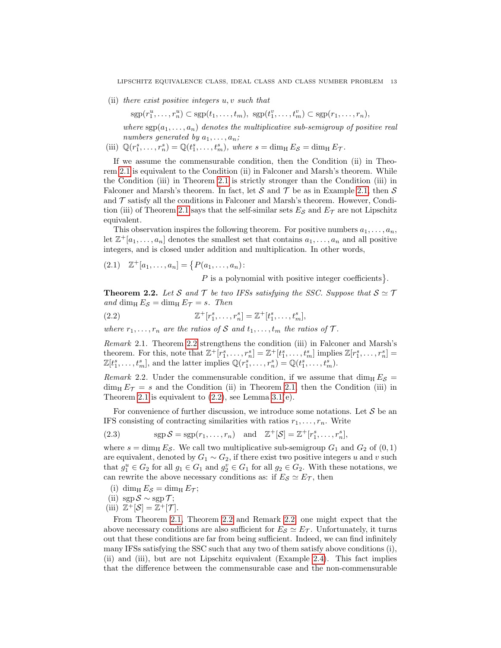(ii) there exist positive integers u, v such that

$$
\mathrm{sgp}(r_1^u,\ldots,r_n^u) \subset \mathrm{sgp}(t_1,\ldots,t_m), \ \mathrm{sgp}(t_1^v,\ldots,t_m^v) \subset \mathrm{sgp}(r_1,\ldots,r_n),
$$

where  $\text{sgp}(a_1, \ldots, a_n)$  denotes the multiplicative sub-semigroup of positive real numbers generated by  $a_1, \ldots, a_n$ ;

(iii)  $\mathbb{Q}(r_1^s, \ldots, r_n^s) = \mathbb{Q}(t_1^s, \ldots, t_m^s)$ , where  $s = \dim_{\mathrm{H}} E_{\mathcal{S}} = \dim_{\mathrm{H}} E_{\mathcal{T}}$ .

If we assume the commensurable condition, then the Condition (ii) in Theorem [2.1](#page-11-1) is equivalent to the Condition (ii) in Falconer and Marsh's theorem. While the Condition (iii) in Theorem [2.1](#page-11-1) is strictly stronger than the Condition (iii) in Falconer and Marsh's theorem. In fact, let S and T be as in Example [2.1,](#page-11-2) then S and  $\mathcal T$  satisfy all the conditions in Falconer and Marsh's theorem. However, Condi-tion (iii) of Theorem [2.1](#page-11-1) says that the self-similar sets  $E_{\mathcal{S}}$  and  $E_{\mathcal{T}}$  are not Lipschitz equivalent.

This observation inspires the following theorem. For positive numbers  $a_1, \ldots, a_n$ , let  $\mathbb{Z}^+[a_1,\ldots,a_n]$  denotes the smallest set that contains  $a_1,\ldots,a_n$  and all positive integers, and is closed under addition and multiplication. In other words,

<span id="page-12-3"></span>
$$
(2.1) \quad \mathbb{Z}^+[a_1,\ldots,a_n] = \{P(a_1,\ldots,a_n):
$$

<span id="page-12-1"></span> $P$  is a polynomial with positive integer coefficients  $\}$ .

<span id="page-12-0"></span>**Theorem 2.2.** Let S and T be two IFSs satisfying the SSC. Suppose that  $S \simeq T$ and dim<sub>H</sub>  $E_S = \dim_\text{H} E_T = s$ . Then

(2.2) 
$$
\mathbb{Z}^+[r_1^s, \ldots, r_n^s] = \mathbb{Z}^+[t_1^s, \ldots, t_m^s],
$$

where  $r_1, \ldots, r_n$  are the ratios of S and  $t_1, \ldots, t_m$  the ratios of T.

Remark 2.1. Theorem [2.2](#page-12-0) strengthens the condition (iii) in Falconer and Marsh's theorem. For this, note that  $\mathbb{Z}^+[r_1^s,\ldots,r_n^s]=\mathbb{Z}^+[t_1^s,\ldots,t_m^s]$  implies  $\mathbb{Z}[r_1^s,\ldots,r_n^s]=$  $\mathbb{Z}[t_1^s,\ldots,t_m^s],$  and the latter implies  $\mathbb{Q}(r_1^s,\ldots,r_n^s) = \mathbb{Q}(t_1^s,\ldots,t_m^s).$ 

<span id="page-12-2"></span>Remark 2.2. Under the commensurable condition, if we assume that  $\dim_\text{H} E_\mathcal{S} =$  $\dim_\text{H} E_{\mathcal{T}} = s$  and the Condition (ii) in Theorem [2.1,](#page-11-1) then the Condition (iii) in Theorem [2.1](#page-11-1) is equivalent to  $(2.2)$ , see Lemma [3.1\(](#page-16-1)e).

For convenience of further discussion, we introduce some notations. Let  $\mathcal S$  be an IFS consisting of contracting similarities with ratios  $r_1, \ldots, r_n$ . Write

(2.3) 
$$
\text{sgp}\,\mathcal{S} = \text{sgp}(r_1,\ldots,r_n) \quad \text{and} \quad \mathbb{Z}^+[\mathcal{S}] = \mathbb{Z}^+[r_1^s,\ldots,r_n^s],
$$

where  $s = \dim_{\text{H}} E_{\mathcal{S}}$ . We call two multiplicative sub-semigroup  $G_1$  and  $G_2$  of  $(0, 1)$ are equivalent, denoted by  $G_1 \sim G_2$ , if there exist two positive integers u and v such that  $g_1^u \in G_2$  for all  $g_1 \in G_1$  and  $g_2^v \in G_1$  for all  $g_2 \in G_2$ . With these notations, we can rewrite the above necessary conditions as: if  $E_S \simeq E_T$ , then

(i) dim<sub>H</sub>  $E_{\mathcal{S}} = \dim_{\text{H}} E_{\mathcal{T}}$ ;

(ii) 
$$
\text{sgp}\,\mathcal{S} \sim \text{sgp}\,\mathcal{T};
$$

(iii) 
$$
\mathbb{Z}^+[\mathcal{S}] = \mathbb{Z}^+[\mathcal{T}].
$$

From Theorem [2.1,](#page-11-1) Theorem [2.2](#page-12-0) and Remark [2.2,](#page-12-2) one might expect that the above necessary conditions are also sufficient for  $E_{\mathcal{S}} \simeq E_{\mathcal{T}}$ . Unfortunately, it turns out that these conditions are far from being sufficient. Indeed, we can find infinitely many IFSs satisfying the SSC such that any two of them satisfy above conditions (i), (ii) and (iii), but are not Lipschitz equivalent (Example [2.4\)](#page-13-1). This fact implies that the difference between the commensurable case and the non-commensurable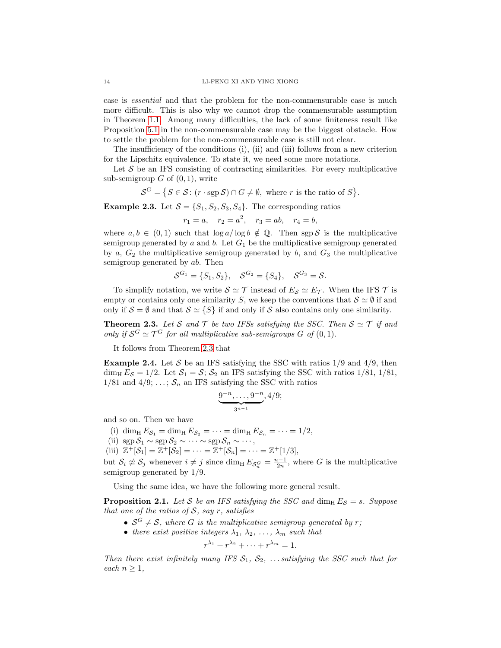case is essential and that the problem for the non-commensurable case is much more difficult. This is also why we cannot drop the commensurable assumption in Theorem [1.1.](#page-5-0) Among many difficulties, the lack of some finiteness result like Proposition [5.1](#page-28-1) in the non-commensurable case may be the biggest obstacle. How to settle the problem for the non-commensurable case is still not clear.

The insufficiency of the conditions (i), (ii) and (iii) follows from a new criterion for the Lipschitz equivalence. To state it, we need some more notations.

Let  $S$  be an IFS consisting of contracting similarities. For every multiplicative sub-semigroup  $G$  of  $(0, 1)$ , write

$$
\mathcal{S}^G = \{ S \in \mathcal{S} : (r \cdot \text{sgp} \mathcal{S}) \cap G \neq \emptyset, \text{ where } r \text{ is the ratio of } S \}.
$$

**Example 2.3.** Let  $S = \{S_1, S_2, S_3, S_4\}$ . The corresponding ratios

$$
r_1 = a, \quad r_2 = a^2, \quad r_3 = ab, \quad r_4 = b,
$$

where  $a, b \in (0, 1)$  such that  $\log a / \log b \notin \mathbb{Q}$ . Then sgp S is the multiplicative semigroup generated by  $a$  and  $b$ . Let  $G_1$  be the multiplicative semigroup generated by  $a, G_2$  the multiplicative semigroup generated by  $b$ , and  $G_3$  the multiplicative semigroup generated by ab. Then

$$
S^{G_1} = \{S_1, S_2\}, \quad S^{G_2} = \{S_4\}, \quad S^{G_3} = S.
$$

To simplify notation, we write  $S \simeq \mathcal{T}$  instead of  $E_S \simeq E_{\mathcal{T}}$ . When the IFS  $\mathcal{T}$  is empty or contains only one similarity S, we keep the conventions that  $S \simeq \emptyset$  if and only if  $S = \emptyset$  and that  $S \simeq \{S\}$  if and only if S also contains only one similarity.

<span id="page-13-0"></span>**Theorem 2.3.** Let S and T be two IFSs satisfying the SSC. Then  $S \simeq T$  if and only if  $S^G \simeq \mathcal{T}^G$  for all multiplicative sub-semigroups G of  $(0, 1)$ .

It follows from Theorem [2.3](#page-13-0) that

<span id="page-13-1"></span>**Example 2.4.** Let S be an IFS satisfying the SSC with ratios  $1/9$  and  $4/9$ , then dim<sub>H</sub>  $E_S = 1/2$ . Let  $S_1 = S$ ;  $S_2$  an IFS satisfying the SSC with ratios 1/81, 1/81, 1/81 and 4/9; ...;  $S_n$  an IFS satisfying the SSC with ratios

$$
\underbrace{9^{-n},\ldots,9^{-n}}_{3^{n-1}},4/9;
$$

and so on. Then we have

(i) dim<sub>H</sub>  $E_{\mathcal{S}_1} = \dim_\text{H} E_{\mathcal{S}_2} = \cdots = \dim_\text{H} E_{\mathcal{S}_n} = \cdots = 1/2$ ,

(ii) 
$$
\text{sgp}\,\mathcal{S}_1 \sim \text{sgp}\,\mathcal{S}_2 \sim \cdots \sim \text{sgp}\,\mathcal{S}_n \sim \cdots
$$
,

(iii)  $\mathbb{Z}^+[\mathcal{S}_1] = \mathbb{Z}^+[\mathcal{S}_2] = \cdots = \mathbb{Z}^+[\mathcal{S}_n] = \cdots = \mathbb{Z}^+ [1/3],$ 

but  $S_i \not\cong S_j$  whenever  $i \neq j$  since  $\dim_\text{H} E_{S_n^G} = \frac{n-1}{2n}$ , where G is the multiplicative semigroup generated by 1/9.

Using the same idea, we have the following more general result.

<span id="page-13-2"></span>**Proposition 2.1.** Let S be an IFS satisfying the SSC and dim<sub>H</sub>  $E_S = s$ . Suppose that one of the ratios of  $S$ , say r, satisfies

- $S^G \neq S$ , where G is the multiplicative semigroup generated by r;
- there exist positive integers  $\lambda_1, \lambda_2, \ldots, \lambda_m$  such that

$$
r^{\lambda_1} + r^{\lambda_2} + \cdots + r^{\lambda_m} = 1.
$$

Then there exist infinitely many IFS  $S_1, S_2, \ldots$  satisfying the SSC such that for each  $n \geq 1$ ,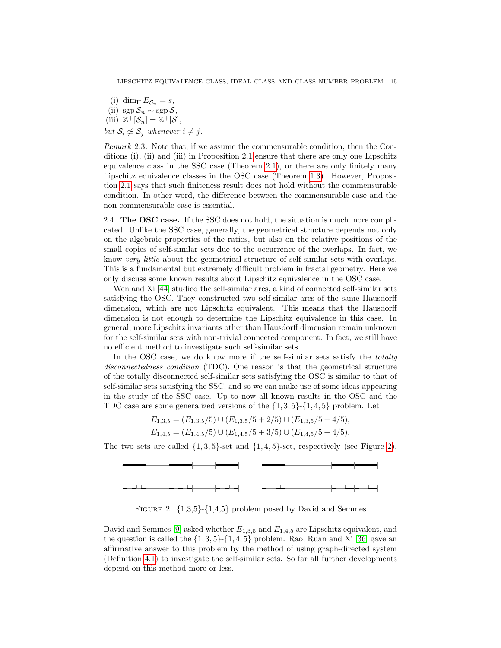(i) dim<sub>H</sub>  $E_{\mathcal{S}_n} = s$ , (ii) sgp  $S_n \sim$  sgp  $S$ , (iii)  $\mathbb{Z}^+[\mathcal{S}_n] = \mathbb{Z}^+[\mathcal{S}],$ but  $S_i \not\cong S_j$  whenever  $i \not= j$ .

Remark 2.3. Note that, if we assume the commensurable condition, then the Conditions (i), (ii) and (iii) in Proposition [2.1](#page-13-2) ensure that there are only one Lipschitz equivalence class in the SSC case (Theorem [2.1\)](#page-11-1), or there are only finitely many Lipschitz equivalence classes in the OSC case (Theorem [1.3\)](#page-5-2). However, Proposition [2.1](#page-13-2) says that such finiteness result does not hold without the commensurable condition. In other word, the difference between the commensurable case and the non-commensurable case is essential.

<span id="page-14-0"></span>2.4. The OSC case. If the SSC does not hold, the situation is much more complicated. Unlike the SSC case, generally, the geometrical structure depends not only on the algebraic properties of the ratios, but also on the relative positions of the small copies of self-similar sets due to the occurrence of the overlaps. In fact, we know very little about the geometrical structure of self-similar sets with overlaps. This is a fundamental but extremely difficult problem in fractal geometry. Here we only discuss some known results about Lipschitz equivalence in the OSC case.

Wen and Xi [\[44\]](#page-58-7) studied the self-similar arcs, a kind of connected self-similar sets satisfying the OSC. They constructed two self-similar arcs of the same Hausdorff dimension, which are not Lipschitz equivalent. This means that the Hausdorff dimension is not enough to determine the Lipschitz equivalence in this case. In general, more Lipschitz invariants other than Hausdorff dimension remain unknown for the self-similar sets with non-trivial connected component. In fact, we still have no efficient method to investigate such self-similar sets.

In the OSC case, we do know more if the self-similar sets satisfy the *totally* disconnectedness condition (TDC). One reason is that the geometrical structure of the totally disconnected self-similar sets satisfying the OSC is similar to that of self-similar sets satisfying the SSC, and so we can make use of some ideas appearing in the study of the SSC case. Up to now all known results in the OSC and the TDC case are some generalized versions of the  $\{1, 3, 5\}$ - $\{1, 4, 5\}$  problem. Let

$$
E_{1,3,5} = (E_{1,3,5}/5) \cup (E_{1,3,5}/5 + 2/5) \cup (E_{1,3,5}/5 + 4/5),
$$
  
\n
$$
E_{1,4,5} = (E_{1,4,5}/5) \cup (E_{1,4,5}/5 + 3/5) \cup (E_{1,4,5}/5 + 4/5).
$$

The two sets are called  $\{1,3,5\}$ -set and  $\{1,4,5\}$ -set, respectively (see Figure [2\)](#page-14-1).



<span id="page-14-1"></span>FIGURE 2.  $\{1,3,5\}$ - $\{1,4,5\}$  problem posed by David and Semmes

David and Semmes [\[9\]](#page-56-11) asked whether  $E_{1,3,5}$  and  $E_{1,4,5}$  are Lipschitz equivalent, and the question is called the  $\{1, 3, 5\}$ - $\{1, 4, 5\}$  problem. Rao, Ruan and Xi [\[36\]](#page-57-23) gave an affirmative answer to this problem by the method of using graph-directed system (Definition [4.1\)](#page-20-4) to investigate the self-similar sets. So far all further developments depend on this method more or less.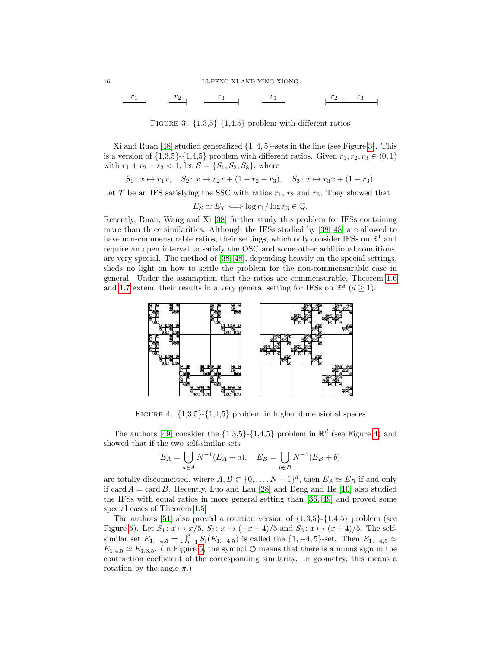

<span id="page-15-0"></span>FIGURE 3.  $\{1,3,5\}$ - $\{1,4,5\}$  problem with different ratios

Xi and Ruan  $[48]$  studied generalized  $\{1, 4, 5\}$ -sets in the line (see Figure [3\)](#page-15-0). This is a version of  $\{1,3,5\}$ - $\{1,4,5\}$  problem with different ratios. Given  $r_1, r_2, r_3 \in (0,1)$ with  $r_1 + r_2 + r_3 < 1$ , let  $S = \{S_1, S_2, S_3\}$ , where

 $S_1: x \mapsto r_1x, \quad S_2: x \mapsto r_2x + (1 - r_2 - r_3), \quad S_3: x \mapsto r_3x + (1 - r_3).$ 

Let  $\mathcal T$  be an IFS satisfying the SSC with ratios  $r_1, r_2$  and  $r_3$ . They showed that

 $E_{\mathcal{S}} \simeq E_{\mathcal{T}} \Longleftrightarrow \log r_1 / \log r_3 \in \mathbb{Q}.$ 

Recently, Ruan, Wang and Xi [\[38\]](#page-57-12) further study this problem for IFSs containing more than three similarities. Although the IFSs studied by [\[38,](#page-57-12) [48\]](#page-58-0) are allowed to have non-commensurable ratios, their settings, which only consider IFSs on  $\mathbb{R}^1$  and require an open interval to satisfy the OSC and some other additional conditions, are very special. The method of [\[38,](#page-57-12) [48\]](#page-58-0), depending heavily on the special settings, sheds no light on how to settle the problem for the non-commensurable case in general. Under the assumption that the ratios are commensurable, Theorem [1.6](#page-8-4) and [1.7](#page-9-2) extend their results in a very general setting for IFSs on  $\mathbb{R}^d$  ( $d \geq 1$ ).



<span id="page-15-1"></span>FIGURE 4.  $\{1,3,5\}$ - $\{1,4,5\}$  problem in higher dimensional spaces

The authors [\[49\]](#page-58-8) consider the  $\{1,3,5\}$ - $\{1,4,5\}$  problem in  $\mathbb{R}^d$  (see Figure [4\)](#page-15-1) and showed that if the two self-similar sets

$$
E_A = \bigcup_{a \in A} N^{-1}(E_A + a), \quad E_B = \bigcup_{b \in B} N^{-1}(E_B + b)
$$

are totally disconnected, where  $A, B \subset \{0, ..., N-1\}^d$ , then  $E_A \simeq E_B$  if and only if card  $A = \text{card } B$ . Recently, Luo and Lau [\[28\]](#page-57-24) and Deng and He [\[10\]](#page-56-16) also studied the IFSs with equal ratios in more general setting than [\[36,](#page-57-23) [49\]](#page-58-8) and proved some special cases of Theorem [1.5.](#page-8-1)

The authors [\[51\]](#page-58-9) also proved a rotation version of  $\{1,3,5\}$ - $\{1,4,5\}$  problem (see Figure [5\)](#page-16-2). Let  $S_1: x \mapsto x/5$ ,  $S_2: x \mapsto (-x+4)/5$  and  $S_3: x \mapsto (x+4)/5$ . The selfsimilar set  $E_{1,-4,5} = \bigcup_{i=1}^{3} S_i(E_{1,-4,5})$  is called the  $\{1,-4,5\}$ -set. Then  $E_{1,-4,5} \simeq$  $E_{1,4,5} \simeq E_{1,3,5}$ . (In Figure [5,](#page-16-2) the symbol  $\circ$  means that there is a minus sign in the contraction coefficient of the corresponding similarity. In geometry, this means a rotation by the angle  $\pi$ .)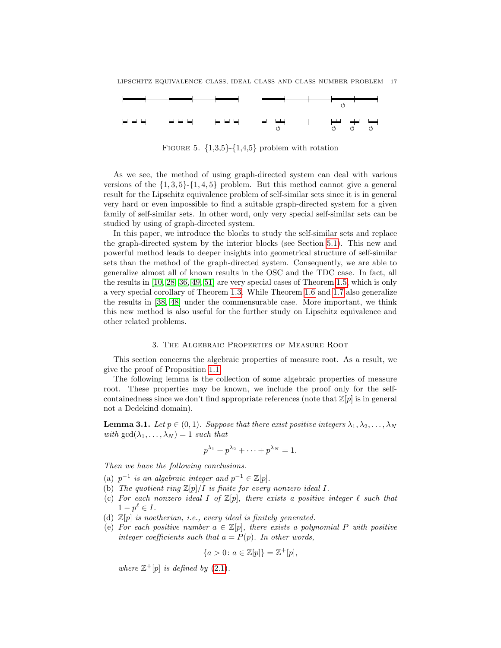

<span id="page-16-2"></span>FIGURE 5.  $\{1,3,5\}$ - $\{1,4,5\}$  problem with rotation

As we see, the method of using graph-directed system can deal with various versions of the  $\{1,3,5\}$ - $\{1,4,5\}$  problem. But this method cannot give a general result for the Lipschitz equivalence problem of self-similar sets since it is in general very hard or even impossible to find a suitable graph-directed system for a given family of self-similar sets. In other word, only very special self-similar sets can be studied by using of graph-directed system.

In this paper, we introduce the blocks to study the self-similar sets and replace the graph-directed system by the interior blocks (see Section [5.1\)](#page-26-1). This new and powerful method leads to deeper insights into geometrical structure of self-similar sets than the method of the graph-directed system. Consequently, we are able to generalize almost all of known results in the OSC and the TDC case. In fact, all the results in [\[10,](#page-56-16) [28,](#page-57-24) [36,](#page-57-23) [49,](#page-58-8) [51\]](#page-58-9) are very special cases of Theorem [1.5,](#page-8-1) which is only a very special corollary of Theorem [1.3.](#page-5-2) While Theorem [1.6](#page-8-4) and [1.7](#page-9-2) also generalize the results in [\[38,](#page-57-12) [48\]](#page-58-0) under the commensurable case. More important, we think this new method is also useful for the further study on Lipschitz equivalence and other related problems.

### 3. The Algebraic Properties of Measure Root

<span id="page-16-0"></span>This section concerns the algebraic properties of measure root. As a result, we give the proof of Proposition [1.1.](#page-7-1)

The following lemma is the collection of some algebraic properties of measure root. These properties may be known, we include the proof only for the selfcontainedness since we don't find appropriate references (note that  $\mathbb{Z}[p]$  is in general not a Dedekind domain).

<span id="page-16-1"></span>**Lemma 3.1.** Let  $p \in (0,1)$ . Suppose that there exist positive integers  $\lambda_1, \lambda_2, \ldots, \lambda_N$ with  $gcd(\lambda_1, \ldots, \lambda_N) = 1$  such that

$$
p^{\lambda_1} + p^{\lambda_2} + \cdots + p^{\lambda_N} = 1.
$$

Then we have the following conclusions.

- (a)  $p^{-1}$  is an algebraic integer and  $p^{-1} \in \mathbb{Z}[p]$ .
- (b) The quotient ring  $\mathbb{Z}[p]/I$  is finite for every nonzero ideal I.
- (c) For each nonzero ideal I of  $\mathbb{Z}[p]$ , there exists a positive integer  $\ell$  such that  $1-p^{\ell} \in I$ .
- (d)  $\mathbb{Z}[p]$  is noetherian, i.e., every ideal is finitely generated.
- (e) For each positive number  $a \in \mathbb{Z}[p]$ , there exists a polynomial P with positive integer coefficients such that  $a = P(p)$ . In other words,

$$
\{a > 0 \colon a \in \mathbb{Z}[p]\} = \mathbb{Z}^+[p],
$$

where  $\mathbb{Z}^+[p]$  is defined by  $(2.1)$ .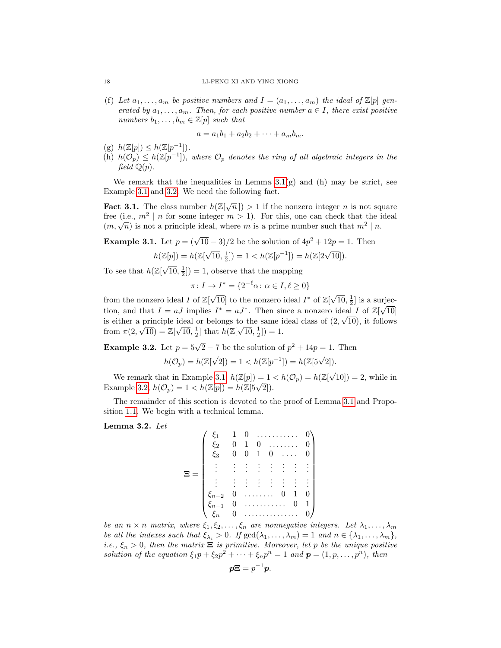(f) Let  $a_1, \ldots, a_m$  be positive numbers and  $I = (a_1, \ldots, a_m)$  the ideal of  $\mathbb{Z}[p]$  generated by  $a_1, \ldots, a_m$ . Then, for each positive number  $a \in I$ , there exist positive numbers  $b_1, \ldots, b_m \in \mathbb{Z}[p]$  such that

$$
a = a_1b_1 + a_2b_2 + \cdots + a_mb_m.
$$

- (g)  $h(\mathbb{Z}[p]) \leq h(\mathbb{Z}[p^{-1}]).$
- (h)  $h(\mathcal{O}_p) \leq h(\mathbb{Z}[p^{-1}])$ , where  $\mathcal{O}_p$  denotes the ring of all algebraic integers in the field  $\mathbb{Q}(p)$ .

We remark that the inequalities in Lemma  $3.1(g)$  and (h) may be strict, see Example [3.1](#page-17-0) and [3.2.](#page-17-1) We need the following fact.

**Fact 3.1.** The class number  $h(\mathbb{Z}[\sqrt{n}]) > 1$  if the nonzero integer *n* is not square free (i.e.,  $m^2 \mid n$  for some integer  $m > 1$ ). For this, one can check that the ideal The first  $(m, \sqrt{n})$  is not a principle ideal, where m is a prime number such that  $m^2 \mid n$ .

<span id="page-17-0"></span>**Example 3.1.** Let  $p = (\sqrt{10} - 3)/2$  be the solution of  $4p^2 + 12p = 1$ . Then

$$
h(\mathbb{Z}[p]) = h(\mathbb{Z}[\sqrt{10}, \frac{1}{2}]) = 1 < h(\mathbb{Z}[p^{-1}]) = h(\mathbb{Z}[2\sqrt{10}]).
$$

To see that  $h(\mathbb{Z}[\sqrt{\frac{n}{2}}])$  $\overline{10}, \frac{1}{2}$ ] = 1, observe that the mapping

$$
\pi \colon I \to I^* = \{ 2^{-\ell} \alpha \colon \alpha \in I, \ell \ge 0 \}
$$

from the nonzero ideal  $I$  of  $\mathbb{Z}[\sqrt{\ }$  $\overline{10}$  to the nonzero ideal  $I^*$  of  $\mathbb{Z}[\sqrt{2}]$  $\overline{10}, \frac{1}{2}$  is a surjection, and that  $I = aJ$  implies  $I^* = aJ^*$ . Then since a nonzero ideal I of  $\mathbb{Z}[\sqrt{10}]$ is either a principle ideal or belongs to the same ideal class of  $(2, \sqrt{10})$ , it follows from  $\pi(2, \sqrt{10}) = \mathbb{Z}[\sqrt{10}, \frac{1}{2}]$  that  $h(\mathbb{Z}[\sqrt{10}, \frac{1}{2}]) = 1$ .

<span id="page-17-1"></span>**Example 3.2.** Let  $p = 5\sqrt{2} - 7$  be the solution of  $p^2 + 14p = 1$ . Then

$$
h(\mathcal{O}_p) = h(\mathbb{Z}[\sqrt{2}]) = 1 < h(\mathbb{Z}[p^{-1}]) = h(\mathbb{Z}[5\sqrt{2}]).
$$

We remark that in Example [3.1,](#page-17-0)  $h(\mathbb{Z}[p]) = 1 < h(\mathcal{O}_p) = h(\mathbb{Z}[\sqrt{p}])$  $[10]$  = 2, while in We remark that in Example 3.1,  $h(\mathbb{Z}[p]) = 1$ .<br>Example [3.2,](#page-17-1)  $h(\mathcal{O}_p) = 1 < h(\mathbb{Z}[p]) = h(\mathbb{Z}[5\sqrt{2}]).$ 

The remainder of this section is devoted to the proof of Lemma [3.1](#page-16-1) and Proposition [1.1.](#page-7-1) We begin with a technical lemma.

<span id="page-17-2"></span>Lemma 3.2. Let

$$
\Xi = \begin{pmatrix}\n\xi_1 & 1 & 0 & \dots & \dots & 0 \\
\xi_2 & 0 & 1 & 0 & \dots & \dots & 0 \\
\xi_3 & 0 & 0 & 1 & 0 & \dots & 0 \\
\vdots & \vdots & \vdots & \vdots & \vdots & \vdots & \vdots \\
\xi_{n-2} & 0 & \dots & \dots & 0 & 1 & 0 \\
\xi_{n-1} & 0 & \dots & \dots & 0 & 1 & 0 \\
\xi_n & 0 & \dots & \dots & \dots & 0 & 0\n\end{pmatrix}
$$

be an  $n \times n$  matrix, where  $\xi_1, \xi_2, \ldots, \xi_n$  are nonnegative integers. Let  $\lambda_1, \ldots, \lambda_m$ be all the indexes such that  $\xi_{\lambda_i} > 0$ . If  $\gcd(\lambda_1, \ldots, \lambda_m) = 1$  and  $n \in \{\lambda_1, \ldots, \lambda_m\}$ , i.e.,  $\xi_n > 0$ , then the matrix  $\Xi$  is primitive. Moreover, let p be the unique positive solution of the equation  $\xi_1 p + \xi_2 p^2 + \cdots + \xi_n p^n = 1$  and  $\mathbf{p} = (1, p, \ldots, p^n)$ , then

$$
p\Xi = p^{-1}p.
$$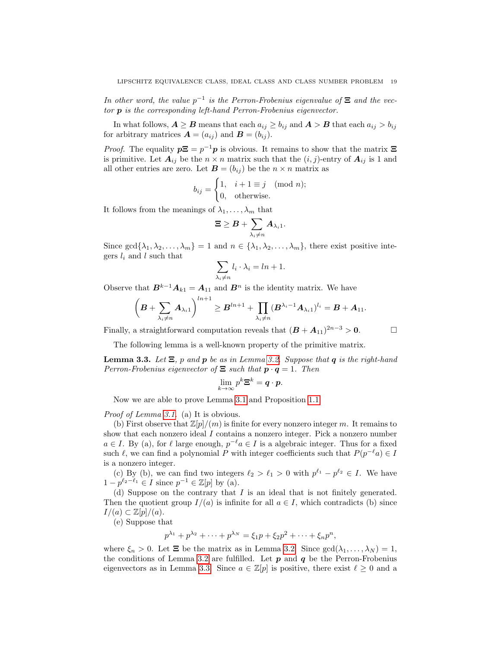In other word, the value  $p^{-1}$  is the Perron-Frobenius eigenvalue of  $\Xi$  and the vector p is the corresponding left-hand Perron-Frobenius eigenvector.

In what follows,  $A \geq B$  means that each  $a_{ij} \geq b_{ij}$  and  $A > B$  that each  $a_{ij} > b_{ij}$ for arbitrary matrices  $\mathbf{A} = (a_{ij})$  and  $\mathbf{B} = (b_{ij})$ .

*Proof.* The equality  $p\Xi = p^{-1}p$  is obvious. It remains to show that the matrix  $\Xi$ is primitive. Let  $A_{ij}$  be the  $n \times n$  matrix such that the  $(i, j)$ -entry of  $A_{ij}$  is 1 and all other entries are zero. Let  $\mathbf{B} = (b_{ij})$  be the  $n \times n$  matrix as

$$
b_{ij} = \begin{cases} 1, & i+1 \equiv j \pmod{n}; \\ 0, & \text{otherwise}. \end{cases}
$$

It follows from the meanings of  $\lambda_1, \ldots, \lambda_m$  that

$$
\boldsymbol{\Xi} \geq \boldsymbol{B} + \sum_{\lambda_i \neq n} \boldsymbol{A}_{\lambda_i 1}.
$$

Since  $\gcd\{\lambda_1, \lambda_2, \ldots, \lambda_m\} = 1$  and  $n \in \{\lambda_1, \lambda_2, \ldots, \lambda_m\}$ , there exist positive integers  $l_i$  and l such that

$$
\sum_{\lambda_i \neq n} l_i \cdot \lambda_i = \ln + 1.
$$

Observe that  $B^{k-1}A_{k1} = A_{11}$  and  $B^n$  is the identity matrix. We have

$$
\left(\boldsymbol{B}+\sum_{\lambda_i\neq n}\boldsymbol{A}_{\lambda_i1}\right)^{ln+1}\geq \boldsymbol{B}^{ln+1}+\prod_{\lambda_i\neq n}(\boldsymbol{B}^{\lambda_i-1}\boldsymbol{A}_{\lambda_i1})^{l_i}=\boldsymbol{B}+\boldsymbol{A}_{11}.
$$

Finally, a straightforward computation reveals that  $(B + A_{11})^{2n-3} > 0$ .

The following lemma is a well-known property of the primitive matrix.

<span id="page-18-0"></span>**Lemma 3.3.** Let  $\Xi$ , p and p be as in Lemma [3.2.](#page-17-2) Suppose that q is the right-hand Perron-Frobenius eigenvector of  $\Xi$  such that  $p \cdot q = 1$ . Then

$$
\lim_{k\to\infty}p^k\mathbf{\Xi}^k=\mathbf{q}\cdot\mathbf{p}.
$$

Now we are able to prove Lemma [3.1](#page-16-1) and Proposition [1.1.](#page-7-1)

Proof of Lemma [3.1.](#page-16-1) (a) It is obvious.

(b) First observe that  $\mathbb{Z}[p]/(m)$  is finite for every nonzero integer m. It remains to show that each nonzero ideal I contains a nonzero integer. Pick a nonzero number  $a \in I$ . By (a), for  $\ell$  large enough,  $p^{-\ell}a \in I$  is a algebraic integer. Thus for a fixed such  $\ell$ , we can find a polynomial P with integer coefficients such that  $P(p^{-\ell}a) \in I$ is a nonzero integer.

(c) By (b), we can find two integers  $\ell_2 > \ell_1 > 0$  with  $p^{\ell_1} - p^{\ell_2} \in I$ . We have  $1 - p^{\ell_2 - \ell_1} \in I$  since  $p^{-1} \in \mathbb{Z}[p]$  by (a).

(d) Suppose on the contrary that I is an ideal that is not finitely generated. Then the quotient group  $I/(a)$  is infinite for all  $a \in I$ , which contradicts (b) since  $I/(a) \subset \mathbb{Z}[p]/(a).$ 

(e) Suppose that

$$
p^{\lambda_1} + p^{\lambda_2} + \dots + p^{\lambda_N} = \xi_1 p + \xi_2 p^2 + \dots + \xi_n p^n,
$$

where  $\xi_n > 0$ . Let  $\Xi$  be the matrix as in Lemma [3.2.](#page-17-2) Since  $gcd(\lambda_1, \ldots, \lambda_N) = 1$ , the conditions of Lemma [3.2](#page-17-2) are fulfilled. Let  $p$  and  $q$  be the Perron-Frobenius eigenvectors as in Lemma [3.3.](#page-18-0) Since  $a \in \mathbb{Z}[p]$  is positive, there exist  $\ell \geq 0$  and a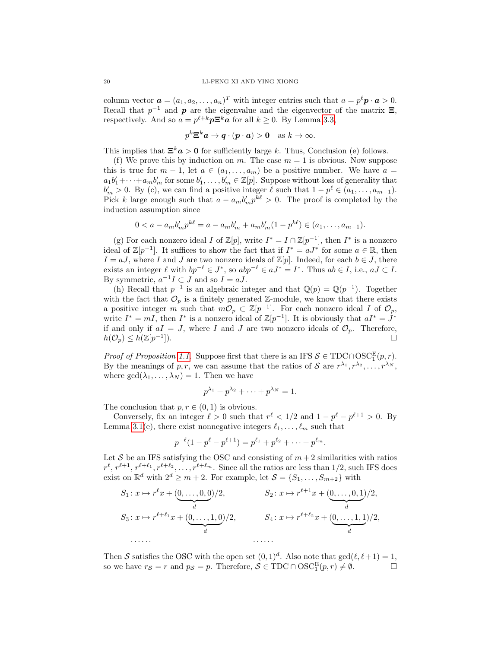column vector  $\mathbf{a} = (a_1, a_2, \dots, a_n)^T$  with integer entries such that  $a = p^{\ell} \mathbf{p} \cdot \mathbf{a} > 0$ . Recall that  $p^{-1}$  and  $p$  are the eigenvalue and the eigenvector of the matrix  $\Xi$ , respectively. And so  $a = p^{\ell+k}p\mathbf{\Xi}^k\mathbf{a}$  for all  $k \geq 0$ . By Lemma [3.3,](#page-18-0)

$$
p^k \mathbf{\Xi}^k \mathbf{a} \to \mathbf{q} \cdot (\mathbf{p} \cdot \mathbf{a}) > \mathbf{0} \quad \text{as } k \to \infty.
$$

This implies that  $\Xi^k a > 0$  for sufficiently large k. Thus, Conclusion (e) follows.

(f) We prove this by induction on m. The case  $m = 1$  is obvious. Now suppose this is true for  $m-1$ , let  $a \in (a_1, \ldots, a_m)$  be a positive number. We have  $a =$  $a_1b'_1+\cdots+a_mb'_m$  for some  $b'_1,\ldots,b'_m\in\mathbb{Z}[p]$ . Suppose without loss of generality that  $b'_m > 0$ . By (c), we can find a positive integer  $\ell$  such that  $1 - p^{\ell} \in (a_1, \ldots, a_{m-1})$ . Pick k large enough such that  $a - a_m b'_m p^{k\ell} > 0$ . The proof is completed by the induction assumption since

$$
0 < a - a_m b'_m p^{k\ell} = a - a_m b'_m + a_m b'_m (1 - p^{k\ell}) \in (a_1, \ldots, a_{m-1}).
$$

(g) For each nonzero ideal I of  $\mathbb{Z}[p]$ , write  $I^* = I \cap \mathbb{Z}[p^{-1}]$ , then  $I^*$  is a nonzero ideal of  $\mathbb{Z}[p^{-1}]$ . It suffices to show the fact that if  $I^* = aJ^*$  for some  $a \in \mathbb{R}$ , then  $I = aJ$ , where I and J are two nonzero ideals of  $\mathbb{Z}[p]$ . Indeed, for each  $b \in J$ , there exists an integer  $\ell$  with  $bp^{-\ell} \in J^*$ , so  $abp^{-\ell} \in aJ^* = I^*$ . Thus  $ab \in I$ , i.e.,  $aJ \subset I$ . By symmetric,  $a^{-1}I \subset J$  and so  $I = aJ$ .

(h) Recall that  $p^{-1}$  is an algebraic integer and that  $\mathbb{Q}(p) = \mathbb{Q}(p^{-1})$ . Together with the fact that  $\mathcal{O}_p$  is a finitely generated Z-module, we know that there exists a positive integer m such that  $m\mathcal{O}_p \subset \mathbb{Z}[p^{-1}]$ . For each nonzero ideal I of  $\mathcal{O}_p$ , write  $I^* = mI$ , then  $I^*$  is a nonzero ideal of  $\mathbb{Z}[p^{-1}]$ . It is obviously that  $aI^* = J^*$ if and only if  $aI = J$ , where I and J are two nonzero ideals of  $\mathcal{O}_p$ . Therefore,  $h(\mathcal{O}_p) \leq h(\mathbb{Z}[p^{-1}])$  $\Box$ ).

*Proof of Proposition [1.1.](#page-7-1)* Suppose first that there is an IFS  $S \in TDC \cap OSC^E_1(p,r)$ . By the meanings of p, r, we can assume that the ratios of S are  $r^{\lambda_1}, r^{\lambda_2}, \ldots, r^{\lambda_N}$ , where  $gcd(\lambda_1, ..., \lambda_N) = 1$ . Then we have

$$
p^{\lambda_1} + p^{\lambda_2} + \cdots + p^{\lambda_N} = 1.
$$

The conclusion that  $p, r \in (0, 1)$  is obvious.

Conversely, fix an integer  $\ell > 0$  such that  $r^{\ell} < 1/2$  and  $1 - p^{\ell} - p^{\ell+1} > 0$ . By Lemma [3.1\(](#page-16-1)e), there exist nonnegative integers  $\ell_1, \ldots, \ell_m$  such that

$$
p^{-\ell}(1-p^{\ell}-p^{\ell+1})=p^{\ell_1}+p^{\ell_2}+\cdots+p^{\ell_m}.
$$

Let S be an IFS satisfying the OSC and consisting of  $m+2$  similarities with ratios  $r^{\ell}, r^{\ell+1}, r^{\ell+\ell_1}, r^{\ell+\ell_2}, \ldots, r^{\ell+\ell_m}$ . Since all the ratios are less than 1/2, such IFS does exist on  $\mathbb{R}^d$  with  $2^d \geq m+2$ . For example, let  $\mathcal{S} = \{S_1, \ldots, S_{m+2}\}\$  with

$$
S_1: x \mapsto r^{\ell}x + (0, \ldots, 0, 0)/2, \qquad S_2: x \mapsto r^{\ell+1}x + (0, \ldots, 0, 1)/2,
$$
  
\n
$$
S_3: x \mapsto r^{\ell+\ell_1}x + (0, \ldots, 1, 0)/2, \qquad S_4: x \mapsto r^{\ell+\ell_2}x + (0, \ldots, 1, 1)/2,
$$
  
\n
$$
\ldots \ldots \qquad \ldots \qquad \ldots \qquad \ldots
$$

Then S satisfies the OSC with the open set  $(0, 1)<sup>d</sup>$ . Also note that  $gcd(\ell, \ell + 1) = 1$ , so we have  $r_S = r$  and  $p_S = p$ . Therefore,  $S \in TDC \cap OSC_1^E(p,r) \neq \emptyset$ .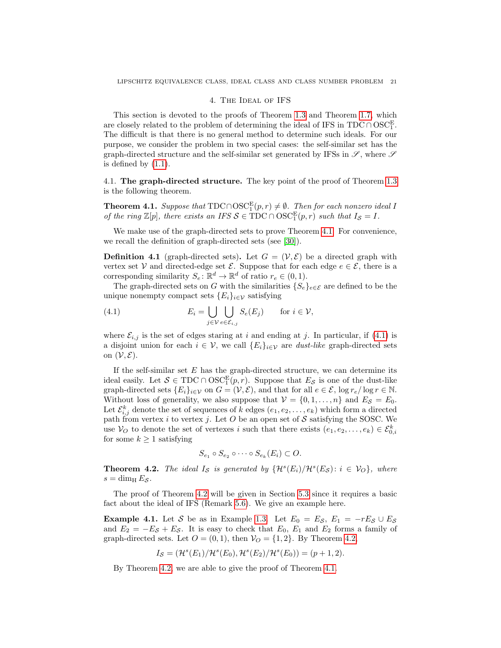### 4. The Ideal of IFS

<span id="page-20-0"></span>This section is devoted to the proofs of Theorem [1.3](#page-5-2) and Theorem [1.7,](#page-9-2) which are closely related to the problem of determining the ideal of IFS in  $\text{TDC} \cap \text{OSC}_1^E$ . The difficult is that there is no general method to determine such ideals. For our purpose, we consider the problem in two special cases: the self-similar set has the graph-directed structure and the self-similar set generated by IFSs in  $\mathscr{S}$ , where  $\mathscr{S}$ is defined by  $(1.1)$ .

<span id="page-20-1"></span>4.1. The graph-directed structure. The key point of the proof of Theorem [1.3](#page-5-2) is the following theorem.

<span id="page-20-5"></span>**Theorem 4.1.** Suppose that  $TDC \cap OSC_1^E(p,r) \neq \emptyset$ . Then for each nonzero ideal I of the ring  $\mathbb{Z}[p]$ , there exists an IFS  $S \in TDC \cap OSC^E_1(p,r)$  such that  $I_S = I$ .

We make use of the graph-directed sets to prove Theorem [4.1.](#page-20-5) For convenience, we recall the definition of graph-directed sets (see [\[30\]](#page-57-25)).

<span id="page-20-4"></span>**Definition 4.1** (graph-directed sets). Let  $G = (\mathcal{V}, \mathcal{E})$  be a directed graph with vertex set V and directed-edge set  $\mathcal{E}$ . Suppose that for each edge  $e \in \mathcal{E}$ , there is a corresponding similarity  $S_e: \mathbb{R}^d \to \mathbb{R}^d$  of ratio  $r_e \in (0, 1)$ .

The graph-directed sets on G with the similarities  ${S_e}_{e \in \mathcal{E}}$  are defined to be the unique nonempty compact sets  ${E_i}_{i\in\mathcal{V}}$  satisfying

<span id="page-20-6"></span>(4.1) 
$$
E_i = \bigcup_{j \in \mathcal{V}} \bigcup_{e \in \mathcal{E}_{i,j}} S_e(E_j) \quad \text{for } i \in \mathcal{V},
$$

where  $\mathcal{E}_{i,j}$  is the set of edges staring at i and ending at j. In particular, if [\(4.1\)](#page-20-6) is a disjoint union for each  $i \in V$ , we call  $\{E_i\}_{i \in V}$  are *dust-like* graph-directed sets on  $(\mathcal{V}, \mathcal{E})$ .

If the self-similar set  $E$  has the graph-directed structure, we can determine its ideal easily. Let  $S \in TDC \cap OSC<sub>1</sub><sup>E</sup>(p,r)$ . Suppose that  $E_S$  is one of the dust-like graph-directed sets  ${E_i}_{i\in\mathcal{V}}$  on  $G = (\mathcal{V}, \mathcal{E})$ , and that for all  $e \in \mathcal{E}$ ,  $\log r_e / \log r \in \mathbb{N}$ . Without loss of generality, we also suppose that  $V = \{0, 1, ..., n\}$  and  $E_{\mathcal{S}} = E_0$ . Let  $\mathcal{E}_{i,j}^k$  denote the set of sequences of k edges  $(e_1, e_2, \ldots, e_k)$  which form a directed path from vertex i to vertex j. Let  $O$  be an open set of  $S$  satisfying the SOSC. We use  $V_O$  to denote the set of vertexes i such that there exists  $(e_1, e_2, \ldots, e_k) \in \mathcal{E}_{0,i}^k$ for some  $k \geq 1$  satisfying

$$
S_{e_1} \circ S_{e_2} \circ \cdots \circ S_{e_k}(E_i) \subset O.
$$

<span id="page-20-3"></span>**Theorem 4.2.** The ideal  $I_{\mathcal{S}}$  is generated by  $\{H^s(E_i)/H^s(E_{\mathcal{S}}): i \in \mathcal{V}_O\}$ , where  $s = \dim_{\mathrm{H}} E_{\mathcal{S}}$ .

The proof of Theorem [4.2](#page-20-3) will be given in Section [5.3](#page-30-0) since it requires a basic fact about the ideal of IFS (Remark [5.6\)](#page-31-0). We give an example here.

<span id="page-20-2"></span>**Example 4.1.** Let S be as in Example [1.3.](#page-6-0) Let  $E_0 = E_S$ ,  $E_1 = -rE_S \cup E_S$ and  $E_2 = -E_S + E_S$ . It is easy to check that  $E_0$ ,  $E_1$  and  $E_2$  forms a family of graph-directed sets. Let  $O = (0, 1)$ , then  $V_O = \{1, 2\}$ . By Theorem [4.2,](#page-20-3)

$$
I_{\mathcal{S}} = (\mathcal{H}^{s}(E_1)/\mathcal{H}^{s}(E_0), \mathcal{H}^{s}(E_2)/\mathcal{H}^{s}(E_0)) = (p+1, 2).
$$

By Theorem [4.2,](#page-20-3) we are able to give the proof of Theorem [4.1.](#page-20-5)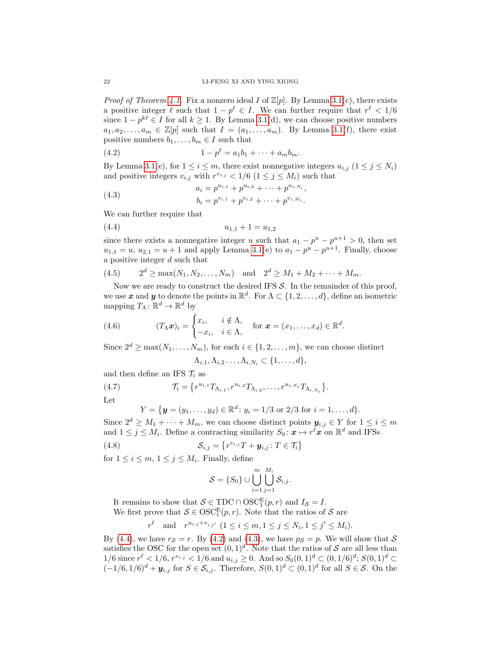*Proof of Theorem [4.1.](#page-20-5)* Fix a nonzero ideal I of  $\mathbb{Z}[p]$ . By Lemma [3.1\(](#page-16-1)c), there exists a positive integer  $\ell$  such that  $1 - p^{\ell} \in I$ . We can further require that  $r^{\ell} < 1/6$ since  $1 - p^{k\ell} \in I$  for all  $k \geq 1$ . By Lemma [3.1\(](#page-16-1)d), we can choose positive numbers  $a_1, a_2, \ldots, a_m \in \mathbb{Z}[p]$  such that  $I = (a_1, \ldots, a_m)$ . By Lemma [3.1\(](#page-16-1)f), there exist positive numbers  $b_1, \ldots, b_m \in I$  such that

<span id="page-21-1"></span>(4.2) 
$$
1 - p^{\ell} = a_1 b_1 + \dots + a_m b_m.
$$

By Lemma [3.1\(](#page-16-1)e), for  $1 \le i \le m$ , there exist nonnegative integers  $u_{i,j}$   $(1 \le j \le N_i)$ and positive integers  $v_{i,j}$  with  $r^{v_{i,j}} < 1/6$  ( $1 \le j \le M_i$ ) such that

<span id="page-21-2"></span>(4.3) 
$$
a_i = p^{u_{i,1}} + p^{u_{i,2}} + \cdots + p^{u_{i,N_i}},
$$

$$
b_i = p^{v_{i,1}} + p^{v_{i,2}} + \cdots + p^{v_{i,M_i}}.
$$

We can further require that

<span id="page-21-0"></span>
$$
(4.4) \t\t\t u_{1,1} + 1 = u_{1,2}
$$

since there exists a nonnegative integer u such that  $a_1 - p^u - p^{u+1} > 0$ , then set  $u_{1,1} = u$ ,  $u_{2,1} = u + 1$  and apply Lemma [3.1\(](#page-16-1)e) to  $a_1 - p^u - p^{u+1}$ . Finally, choose a positive integer d such that

<span id="page-21-4"></span>(4.5) 
$$
2^d \ge \max(N_1, N_2, ..., N_m)
$$
 and  $2^d \ge M_1 + M_2 + \cdots + M_m$ .

Now we are ready to construct the desired IFS  $S$ . In the remainder of this proof, we use x and y to denote the points in  $\mathbb{R}^d$ . For  $\Lambda \subset \{1, 2, \ldots, d\}$ , define an isometric mapping  $T_{\Lambda} : \mathbb{R}^d \to \mathbb{R}^d$  by

(4.6) 
$$
(T_{\Lambda}\boldsymbol{x})_i = \begin{cases} x_i, & i \notin \Lambda, \\ -x_i, & i \in \Lambda, \end{cases} \text{ for } \boldsymbol{x} = (x_1, \ldots, x_d) \in \mathbb{R}^d.
$$

Since  $2^d \ge \max(N_1, \ldots, N_m)$ , for each  $i \in \{1, 2, \ldots, m\}$ , we can choose distinct

<span id="page-21-5"></span><span id="page-21-3"></span>
$$
\Lambda_{i,1}, \Lambda_{i,2} \ldots, \Lambda_{i,N_i} \subset \{1, \ldots, d\},\
$$

and then define an IFS  $\mathcal{T}_i$  as

r

(4.7) 
$$
\mathcal{T}_i = \{r^{u_{i,1}} T_{\Lambda_{i,1}}, r^{u_{i,2}} T_{\Lambda_{i,2}}, \dots, r^{u_{i,N_i}} T_{\Lambda_{i,N_i}}\}.
$$

Let

$$
Y = \{ \mathbf{y} = (y_1, \dots, y_d) \in \mathbb{R}^d \colon y_i = 1/3 \text{ or } 2/3 \text{ for } i = 1, \dots, d \}.
$$

Since  $2^d \geq M_1 + \cdots + M_m$ , we can choose distinct points  $y_{i,j} \in Y$  for  $1 \leq i \leq m$ and  $1 \leq j \leq M_i$ . Define a contracting similarity  $S_0: \mathbf{x} \mapsto r^{\ell} \mathbf{x}$  on  $\mathbb{R}^d$  and IFSs

(4.8) 
$$
\mathcal{S}_{i,j} = \left\{ r^{v_{i,j}} T + \mathbf{y}_{i,j} : T \in \mathcal{T}_i \right\}
$$

for  $1 \leq i \leq m$ ,  $1 \leq j \leq M_i$ . Finally, define

<span id="page-21-6"></span>
$$
\mathcal{S} = \{S_0\} \cup \bigcup_{i=1}^m \bigcup_{j=1}^{M_i} \mathcal{S}_{i,j}.
$$

It remains to show that  $S \in TDC \cap OSC<sub>1</sub><sup>E</sup>(p,r)$  and  $I_S = I$ . We first prove that  $S \in \text{OSC}_1^E(p, r)$ . Note that the ratios of S are

$$
\ell \quad \text{and} \quad r^{u_{i,j} + v_{i,j'}} \ (1 \le i \le m, 1 \le j \le N_i, 1 \le j' \le M_i).
$$

By [\(4.4\)](#page-21-0), we have  $r_S = r$ . By [\(4.2\)](#page-21-1) and [\(4.3\)](#page-21-2), we have  $p_S = p$ . We will show that S satisfies the OSC for the open set  $(0,1)^d$ . Note that the ratios of S are all less than  $1/6$  since  $r^{\ell} < 1/6$ ,  $r^{v_{i,j}} < 1/6$  and  $u_{i,j} \geq 0$ . And so  $S_0(0,1)^d \subset (0,1/6)^d$ ;  $S(0,1)^d \subset$  $(-1/6, 1/6)^d + y_{i,j}$  for  $S \in \mathcal{S}_{i,j}$ . Therefore,  $S(0,1)^d \subset (0,1)^d$  for all  $S \in \mathcal{S}$ . On the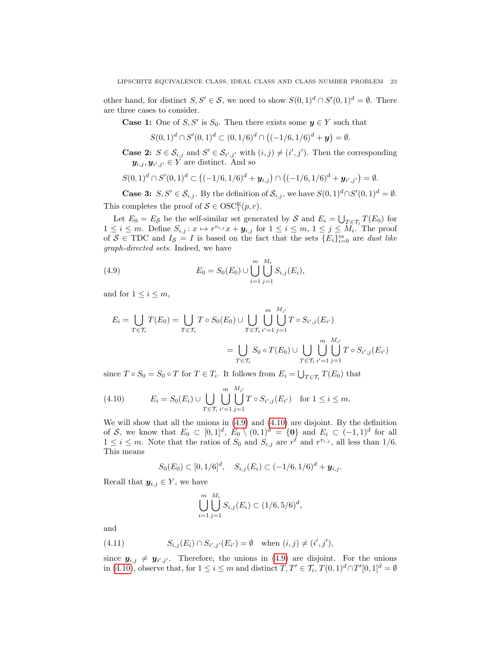other hand, for distinct  $S, S' \in \mathcal{S}$ , we need to show  $S(0, 1)^d \cap S'(0, 1)^d = \emptyset$ . There are three cases to consider.

**Case 1:** One of  $S, S'$  is  $S_0$ . Then there exists some  $y \in Y$  such that

$$
S(0,1)^d \cap S'(0,1)^d \subset (0,1/6)^d \cap \left( (-1/6,1/6)^d + y \right) = \emptyset.
$$

**Case 2:**  $S \in \mathcal{S}_{i,j}$  and  $S' \in \mathcal{S}_{i',j'}$  with  $(i,j) \neq (i',j')$ . Then the corresponding  $y_{i,j}, y_{i',j'} \in Y$  are distinct. And so

$$
S(0,1)^d \cap S'(0,1)^d \subset \left( (-1/6,1/6)^d + \mathbf{y}_{i,j} \right) \cap \left( (-1/6,1/6)^d + \mathbf{y}_{i',j'} \right) = \emptyset.
$$

**Case 3:**  $S, S' \in \mathcal{S}_{i,j}$ . By the definition of  $\mathcal{S}_{i,j}$ , we have  $S(0,1)^d \cap S'(0,1)^d = \emptyset$ . This completes the proof of  $S \in \text{OSC}_1^E(p, r)$ .

Let  $E_0 = E_S$  be the self-similar set generated by S and  $E_i = \bigcup_{T \in \mathcal{T}_i} T(E_0)$  for  $1 \leq i \leq m$ . Define  $S_{i,j}: x \mapsto r^{v_{i,j}}x + y_{i,j}$  for  $1 \leq i \leq m, 1 \leq j \leq M_i$ . The proof of  $S \in TDC$  and  $I_S = I$  is based on the fact that the sets  $\{E_i\}_{i=0}^m$  are dust like graph-directed sets. Indeed, we have

<span id="page-22-0"></span>(4.9) 
$$
E_0 = S_0(E_0) \cup \bigcup_{i=1}^m \bigcup_{j=1}^{M_i} S_{i,j}(E_i),
$$

and for  $1 \leq i \leq m$ ,

$$
E_i = \bigcup_{T \in \mathcal{T}_i} T(E_0) = \bigcup_{T \in \mathcal{T}_i} T \circ S_0(E_0) \cup \bigcup_{T \in \mathcal{T}_i} \bigcup_{i'=1}^m \bigcup_{j=1}^{M_{i'}} T \circ S_{i',j}(E_{i'})
$$

$$
= \bigcup_{T \in \mathcal{T}_i} S_0 \circ T(E_0) \cup \bigcup_{T \in \mathcal{T}_i} \bigcup_{i'=1}^m \bigcup_{j=1}^{M_{i'}} T \circ S_{i',j}(E_{i'})
$$

since  $T \circ S_0 = S_0 \circ T$  for  $T \in T_i$ . It follows from  $E_i = \bigcup_{T \in \mathcal{T}_i} T(E_0)$  that

<span id="page-22-1"></span>(4.10) 
$$
E_i = S_0(E_i) \cup \bigcup_{T \in \mathcal{T}_i} \bigcup_{i'=1}^{m} \bigcup_{j=1}^{M_{i'}} T \circ S_{i',j}(E_{i'}) \text{ for } 1 \leq i \leq m.
$$

We will show that all the unions in [\(4.9\)](#page-22-0) and [\(4.10\)](#page-22-1) are disjoint. By the definition of S, we know that  $E_0 \subset [0,1]^d$ ,  $E_0 \setminus (0,1)^d = \{0\}$  and  $E_i \subset (-1,1)^d$  for all  $1 \leq i \leq m$ . Note that the ratios of  $S_0$  and  $S_{i,j}$  are  $r^{\ell}$  and  $r^{v_{i,j}}$ , all less than  $1/6$ . This means

$$
S_0(E_0) \subset [0,1/6]^d, \quad S_{i,j}(E_i) \subset (-1/6,1/6)^d + \mathbf{y}_{i,j}.
$$

Recall that  $y_{i,j} \in Y$ , we have

<span id="page-22-2"></span>
$$
\bigcup_{i=1}^{m} \bigcup_{j=1}^{M_i} S_{i,j}(E_i) \subset (1/6, 5/6)^d,
$$

and

(4.11) 
$$
S_{i,j}(E_i) \cap S_{i',j'}(E_{i'}) = \emptyset \text{ when } (i,j) \neq (i',j'),
$$

since  $y_{i,j} \neq y_{i',j'}$ . Therefore, the unions in [\(4.9\)](#page-22-0) are disjoint. For the unions in [\(4.10\)](#page-22-1), observe that, for  $1 \leq i \leq m$  and distinct  $T, T' \in \mathcal{T}_i$ ,  $T(0, 1)^d \cap T'[0, 1]^d = \emptyset$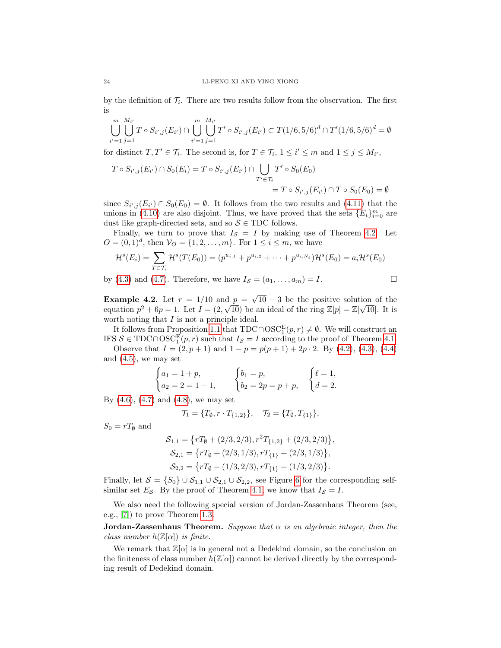by the definition of  $\mathcal{T}_i$ . There are two results follow from the observation. The first is

$$
\bigcup_{i'=1}^{m} \bigcup_{j=1}^{M_{i'}} T \circ S_{i',j}(E_{i'}) \cap \bigcup_{i'=1}^{m} \bigcup_{j=1}^{M_{i'}} T' \circ S_{i',j}(E_{i'}) \subset T(1/6,5/6)^d \cap T'(1/6,5/6)^d = \emptyset
$$

for distinct  $T, T' \in \mathcal{T}_i$ . The second is, for  $T \in \mathcal{T}_i$ ,  $1 \leq i' \leq m$  and  $1 \leq j \leq M_{i'}$ ,

$$
T \circ S_{i',j}(E_{i'}) \cap S_0(E_i) = T \circ S_{i',j}(E_{i'}) \cap \bigcup_{T' \in \mathcal{T}_i} T' \circ S_0(E_0)
$$
  
= 
$$
T \circ S_{i',j}(E_{i'}) \cap T \circ S_0(E_0) = \emptyset
$$

since  $S_{i',j}(E_{i'}) \cap S_0(E_0) = \emptyset$ . It follows from the two results and [\(4.11\)](#page-22-2) that the unions in [\(4.10\)](#page-22-1) are also disjoint. Thus, we have proved that the sets  ${E_i}_{i=0}^m$  are dust like graph-directed sets, and so  $S \in TDC$  follows.

Finally, we turn to prove that  $I_{\mathcal{S}} = I$  by making use of Theorem [4.2.](#page-20-3) Let  $O = (0, 1)<sup>d</sup>$ , then  $V_O = \{1, 2, ..., m\}$ . For  $1 \le i \le m$ , we have

$$
\mathcal{H}^s(E_i) = \sum_{T \in \mathcal{T}_i} \mathcal{H}^s(T(E_0)) = (p^{u_{i,1}} + p^{u_{i,2}} + \dots + p^{u_{i,N_i}}) \mathcal{H}^s(E_0) = a_i \mathcal{H}^s(E_0)
$$

by [\(4.3\)](#page-21-2) and [\(4.7\)](#page-21-3). Therefore, we have  $I_{\mathcal{S}} = (a_1, \ldots, a_m) = I$ .

<span id="page-23-0"></span>**Example 4.2.** Let  $r = 1/10$  and  $p =$ √  $\frac{1}{\sqrt{10}} = \sqrt{10} - 3$  be the positive solution of the equation  $p^2 + 6p = 1$ . Let  $I = (2, \sqrt{10})$  be an ideal of the ring  $\mathbb{Z}[p] = \mathbb{Z}[\sqrt{10}]$ . It is worth noting that  $I$  is not a principle ideal.

It follows from Proposition [1.1](#page-7-1) that  $TDC \cap OSC^E_1(p,r) \neq \emptyset$ . We will construct an IFS  $S \in TDC \cap OSC^E_1(p, r)$  such that  $I_S = I$  according to the proof of Theorem [4.1.](#page-20-5)

Observe that  $I = (2, p + 1)$  and  $1 - p = p(p + 1) + 2p \cdot 2$ . By [\(4.2\)](#page-21-1), [\(4.3\)](#page-21-2), [\(4.4\)](#page-21-0) and [\(4.5\)](#page-21-4), we may set

$$
\begin{cases} a_1 = 1 + p, \\ a_2 = 2 = 1 + 1, \end{cases} \qquad \begin{cases} b_1 = p, \\ b_2 = 2p = p + p, \end{cases} \qquad \begin{cases} \ell = 1, \\ d = 2. \end{cases}
$$

By  $(4.6)$ ,  $(4.7)$  and  $(4.8)$ , we may set

$$
\mathcal{T}_1 = \{T_{\emptyset}, r \cdot T_{\{1,2\}}\}, \quad \mathcal{T}_2 = \{T_{\emptyset}, T_{\{1\}}\},\
$$

 $S_0 = rT_{\emptyset}$  and

$$
S_{1,1} = \{ rT_{\emptyset} + (2/3, 2/3), r^2T_{\{1,2\}} + (2/3, 2/3) \},
$$
  
\n
$$
S_{2,1} = \{ rT_{\emptyset} + (2/3, 1/3), rT_{\{1\}} + (2/3, 1/3) \},
$$
  
\n
$$
S_{2,2} = \{ rT_{\emptyset} + (1/3, 2/3), rT_{\{1\}} + (1/3, 2/3) \}.
$$

Finally, let  $S = \{S_0\} \cup S_{1,1} \cup S_{2,1} \cup S_{2,2}$ , see Figure [6](#page-24-1) for the corresponding selfsimilar set  $E_{\mathcal{S}}$ . By the proof of Theorem [4.1,](#page-20-5) we know that  $I_{\mathcal{S}} = I$ .

We also need the following special version of Jordan-Zassenhaus Theorem (see, e.g., [\[7\]](#page-56-17)) to prove Theorem [1.3.](#page-5-2)

**Jordan-Zassenhaus Theorem.** Suppose that  $\alpha$  is an algebraic integer, then the class number  $h(\mathbb{Z}[\alpha])$  is finite.

We remark that  $\mathbb{Z}[\alpha]$  is in general not a Dedekind domain, so the conclusion on the finiteness of class number  $h(\mathbb{Z}[\alpha])$  cannot be derived directly by the corresponding result of Dedekind domain.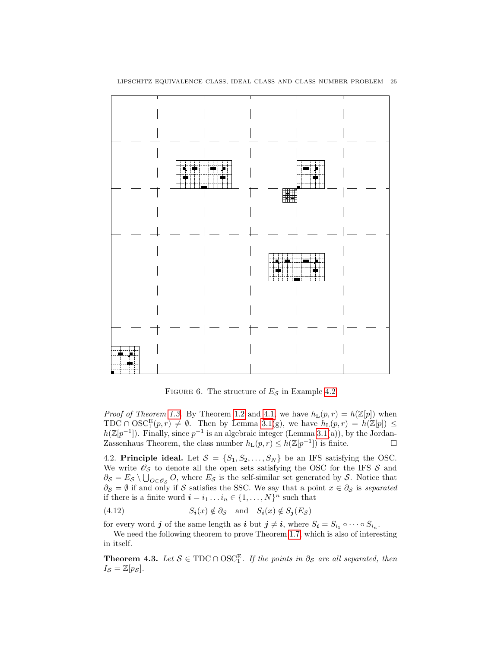

<span id="page-24-1"></span>FIGURE 6. The structure of  $E_{\mathcal{S}}$  in Example [4.2](#page-23-0)

*Proof of Theorem [1.3.](#page-5-2)* By Theorem [1.2](#page-5-1) and [4.1,](#page-20-5) we have  $h_L(p,r) = h(\mathbb{Z}[p])$  when TDC  $\cap$  OSC<sup>E</sup> $(p, r) \neq \emptyset$ . Then by Lemma [3.1\(](#page-16-1)g), we have  $h_L(p, r) = h(\mathbb{Z}[p]) \leq$  $h(\mathbb{Z}[p^{-1}])$ . Finally, since  $p^{-1}$  is an algebraic integer (Lemma [3.1\(](#page-16-1)a)), by the Jordan-Zassenhaus Theorem, the class number  $h_L(p,r) \leq h(\mathbb{Z}[p^{-1}])$  is finite.

<span id="page-24-0"></span>4.2. Principle ideal. Let  $S = \{S_1, S_2, \ldots, S_N\}$  be an IFS satisfying the OSC. We write  $\mathcal{O}_{\mathcal{S}}$  to denote all the open sets satisfying the OSC for the IFS  $\mathcal{S}$  and  $\partial_{\mathcal{S}} = E_{\mathcal{S}} \setminus \bigcup_{O \in \mathscr{O}_{\mathcal{S}}} O$ , where  $E_{\mathcal{S}}$  is the self-similar set generated by  $\mathcal{S}$ . Notice that  $\partial_{\mathcal{S}} = \emptyset$  if and only if S satisfies the SSC. We say that a point  $x \in \partial_{\mathcal{S}}$  is separated if there is a finite word  $\mathbf{i} = i_1 \dots i_n \in \{1, \dots, N\}^n$  such that

<span id="page-24-3"></span>(4.12) 
$$
S_i(x) \notin \partial_{\mathcal{S}} \text{ and } S_i(x) \notin S_j(E_{\mathcal{S}})
$$

for every word  $j$  of the same length as  $i$  but  $j \neq i$ , where  $S_i = S_{i_1} \circ \cdots \circ S_{i_n}$ .

We need the following theorem to prove Theorem [1.7,](#page-9-2) which is also of interesting in itself.

<span id="page-24-2"></span>**Theorem 4.3.** Let  $S \in TDC \cap OSC_1^E$ . If the points in  $\partial_S$  are all separated, then  $I_{\mathcal{S}} = \mathbb{Z}[p_{\mathcal{S}}].$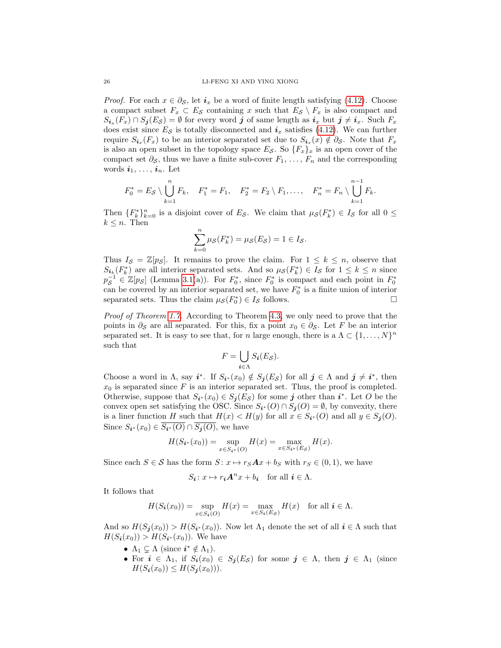*Proof.* For each  $x \in \partial_{\mathcal{S}}$ , let  $i_x$  be a word of finite length satisfying [\(4.12\)](#page-24-3). Choose a compact subset  $F_x \subset E_{\mathcal{S}}$  containing x such that  $E_{\mathcal{S}} \setminus F_x$  is also compact and  $S_{i_x}(F_x) \cap S_j(E_{\mathcal{S}}) = \emptyset$  for every word  $j$  of same length as  $i_x$  but  $j \neq i_x$ . Such  $F_x$ does exist since  $E_{\mathcal{S}}$  is totally disconnected and  $i_x$  satisfies [\(4.12\)](#page-24-3). We can further require  $S_{i_x}(F_x)$  to be an interior separated set due to  $S_{i_x}(x) \notin \partial_{\mathcal{S}}$ . Note that  $F_x$ is also an open subset in the topology space  $E_{\mathcal{S}}$ . So  $\{F_x\}_x$  is an open cover of the compact set  $\partial_{\mathcal{S}}$ , thus we have a finite sub-cover  $F_1, \ldots, F_n$  and the corresponding words  $i_1, \ldots, i_n$ . Let

$$
F_0^* = E_{\mathcal{S}} \setminus \bigcup_{k=1}^n F_k, \quad F_1^* = F_1, \quad F_2^* = F_2 \setminus F_1, \ldots, \quad F_n^* = F_n \setminus \bigcup_{k=1}^{n-1} F_k.
$$

Then  ${F_k^*}_{k=0}^n$  is a disjoint cover of  $E_S$ . We claim that  $\mu_S(F_k^*) \in I_S$  for all  $0 \le$  $k \leq n$ . Then

$$
\sum_{k=0}^{n} \mu_{\mathcal{S}}(F_k^*) = \mu_{\mathcal{S}}(E_{\mathcal{S}}) = 1 \in I_{\mathcal{S}}.
$$

Thus  $I_{\mathcal{S}} = \mathbb{Z}[p_{\mathcal{S}}]$ . It remains to prove the claim. For  $1 \leq k \leq n$ , observe that  $S_{i_k}(F_k^*)$  are all interior separated sets. And so  $\mu_{\mathcal{S}}(F_k^*) \in I_{\mathcal{S}}$  for  $1 \leq k \leq n$  since  $p_{\mathcal{S}}^{-1} \in \mathbb{Z}[p_{\mathcal{S}}]$  (Lemma [3.1\(](#page-16-1)a)). For  $F_0^*$ , since  $F_0^*$  is compact and each point in  $F_0^*$ can be covered by an interior separated set, we have  $F_0^*$  is a finite union of interior separated sets. Thus the claim  $\mu_{\mathcal{S}}(F_0^*) \in I_{\mathcal{S}}$  follows.

Proof of Theorem [1.7.](#page-9-2) According to Theorem [4.3,](#page-24-2) we only need to prove that the points in  $\partial_{\mathcal{S}}$  are all separated. For this, fix a point  $x_0 \in \partial_{\mathcal{S}}$ . Let F be an interior separated set. It is easy to see that, for n large enough, there is a  $\Lambda \subset \{1, \ldots, N\}^n$ such that

$$
F = \bigcup_{i \in \Lambda} S_i(E_{\mathcal{S}}).
$$

Choose a word in  $\Lambda$ , say  $i^*$ . If  $S_{i^*}(x_0) \notin S_j(E_{\mathcal{S}})$  for all  $j \in \Lambda$  and  $j \neq i^*$ , then  $x_0$  is separated since F is an interior separated set. Thus, the proof is completed. Otherwise, suppose that  $S_{i^*}(x_0) \in S_j(E_{\mathcal{S}})$  for some j other than  $i^*$ . Let O be the convex open set satisfying the OSC. Since  $S_{i^*}(O) \cap S_j(O) = \emptyset$ , by convexity, there is a liner function H such that  $H(x) < H(y)$  for all  $x \in S_{i^*}(O)$  and all  $y \in S_j(O)$ . Since  $S_{i^*}(x_0) \in S_{i^*}(O) \cap S_{j}(O)$ , we have

$$
H(S_{i^*}(x_0)) = \sup_{x \in S_{i^*}(O)} H(x) = \max_{x \in S_{i^*}(E_S)} H(x).
$$

Since each  $S \in \mathcal{S}$  has the form  $S: x \mapsto r_S A x + b_S$  with  $r_S \in (0, 1)$ , we have

$$
S_{\mathbf{i}}: x \mapsto r_{\mathbf{i}} \mathbf{A}^n x + b_{\mathbf{i}} \quad \text{for all } \mathbf{i} \in \Lambda.
$$

It follows that

$$
H(S_{\boldsymbol{i}}(x_0)) = \sup_{x \in S_{\boldsymbol{i}}(O)} H(x) = \max_{x \in S_{\boldsymbol{i}}(E_{\mathcal{S}})} H(x) \text{ for all } \boldsymbol{i} \in \Lambda.
$$

And so  $H(S_{j}(x_{0})) > H(S_{i^{*}}(x_{0}))$ . Now let  $\Lambda_{1}$  denote the set of all  $i \in \Lambda$  such that  $H(S_i(x_0)) > H(S_{i^*}(x_0))$ . We have

- $\Lambda_1 \subsetneq \Lambda$  (since  $i^* \notin \Lambda_1$ ).
- For  $i \in \Lambda_1$ , if  $S_i(x_0) \in S_j(E_{\mathcal{S}})$  for some  $j \in \Lambda$ , then  $j \in \Lambda_1$  (since  $H(S_i(x_0)) \leq H(S_i(x_0))$ .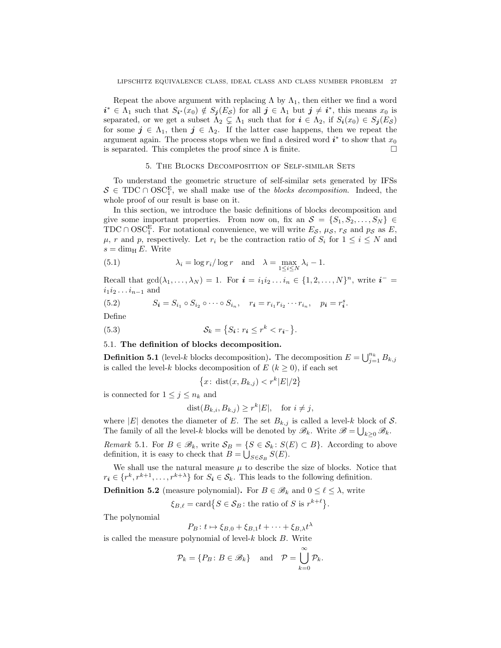Repeat the above argument with replacing  $\Lambda$  by  $\Lambda_1$ , then either we find a word  $i^* \in \Lambda_1$  such that  $S_{i^*}(x_0) \notin S_j(E_{\mathcal{S}})$  for all  $j \in \Lambda_1$  but  $j \neq i^*$ , this means  $x_0$  is separated, or we get a subset  $\Lambda_2 \subsetneq \Lambda_1$  such that for  $i \in \Lambda_2$ , if  $S_i(x_0) \in S_j(E_{\mathcal{S}})$ for some  $j \in \Lambda_1$ , then  $j \in \Lambda_2$ . If the latter case happens, then we repeat the argument again. The process stops when we find a desired word  $i^*$  to show that  $x_0$ is separated. This completes the proof since  $\Lambda$  is finite.

## 5. The Blocks Decomposition of Self-similar Sets

<span id="page-26-0"></span>To understand the geometric structure of self-similar sets generated by IFSs  $S \in TDC \cap OSC_1^E$ , we shall make use of the *blocks decomposition*. Indeed, the whole proof of our result is base on it.

In this section, we introduce the basic definitions of blocks decomposition and give some important properties. From now on, fix an  $\mathcal{S} = \{S_1, S_2, \ldots, S_N\} \in$ TDC ∩ OSC<sup>E</sup><sub>1</sub>. For notational convenience, we will write  $E_{\mathcal{S}}$ ,  $\mu_{\mathcal{S}}$ ,  $r_{\mathcal{S}}$  and  $p_{\mathcal{S}}$  as  $E$ ,  $\mu$ , r and p, respectively. Let  $r_i$  be the contraction ratio of  $S_i$  for  $1 \leq i \leq N$  and  $s = \dim_{\rm H} E$ . Write

<span id="page-26-3"></span>(5.1) 
$$
\lambda_i = \log r_i / \log r \text{ and } \lambda = \max_{1 \le i \le N} \lambda_i - 1.
$$

Recall that  $gcd(\lambda_1,\ldots,\lambda_N) = 1$ . For  $i = i_1 i_2 \ldots i_n \in \{1,2,\ldots,N\}^n$ , write  $i^- =$  $i_1i_2 \ldots i_{n-1}$  and

(5.2) 
$$
S_{i} = S_{i_{1}} \circ S_{i_{2}} \circ \cdots \circ S_{i_{n}}, \quad r_{i} = r_{i_{1}} r_{i_{2}} \cdots r_{i_{n}}, \quad p_{i} = r_{i}^{s}.
$$

Define

(5.3) 
$$
\mathcal{S}_k = \{ S_i : r_i \le r^k < r_{i^-} \}.
$$

## <span id="page-26-1"></span>5.1. The definition of blocks decomposition.

<span id="page-26-4"></span>**Definition 5.1** (level-k blocks decomposition). The decomposition  $E = \bigcup_{j=1}^{n_k} B_{k,j}$ is called the level-k blocks decomposition of  $E (k \ge 0)$ , if each set

<span id="page-26-5"></span>
$$
\{x \colon \text{dist}(x, B_{k,j}) < r^k |E|/2\}
$$

is connected for  $1 \leq j \leq n_k$  and

$$
dist(B_{k,i}, B_{k,j}) \ge r^k |E|, \text{ for } i \ne j,
$$

where |E| denotes the diameter of E. The set  $B_{k,j}$  is called a level-k block of S. The family of all the level-k blocks will be denoted by  $\mathscr{B}_k$ . Write  $\mathscr{B} = \bigcup_{k \geq 0} \mathscr{B}_k$ .

<span id="page-26-2"></span>*Remark* 5.1. For  $B \in \mathcal{B}_k$ , write  $\mathcal{S}_B = \{ S \in \mathcal{S}_k : S(E) \subset B \}$ . According to above definition, it is easy to check that  $B = \bigcup_{S \in \mathcal{S}_B} S(E)$ .

We shall use the natural measure  $\mu$  to describe the size of blocks. Notice that  $r_i \in \{r^k, r^{k+1}, \ldots, r^{k+\lambda}\}\$  for  $S_i \in \mathcal{S}_k$ . This leads to the following definition.

**Definition 5.2** (measure polynomial). For  $B \in \mathcal{B}_k$  and  $0 \leq \ell \leq \lambda$ , write

 $\xi_{B,\ell} = \text{card}\big\{S \in \mathcal{S}_B \colon \text{the ratio of } S \text{ is } r^{k+\ell}\big\}.$ 

The polynomial

$$
P_B: t \mapsto \xi_{B,0} + \xi_{B,1}t + \dots + \xi_{B,\lambda}t^{\lambda}
$$

is called the measure polynomial of level- $k$  block  $B$ . Write

$$
\mathcal{P}_k = \{ P_B \colon B \in \mathcal{B}_k \} \quad \text{and} \quad \mathcal{P} = \bigcup_{k=0}^{\infty} \mathcal{P}_k.
$$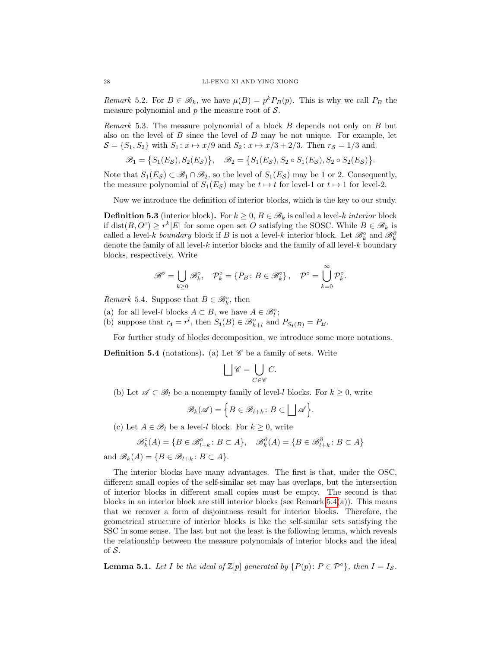<span id="page-27-0"></span>*Remark* 5.2. For  $B \in \mathcal{B}_k$ , we have  $\mu(B) = p^k P_B(p)$ . This is why we call  $P_B$  the measure polynomial and  $p$  the measure root of  $S$ .

*Remark* 5.3. The measure polynomial of a block  $B$  depends not only on  $B$  but also on the level of  $B$  since the level of  $B$  may be not unique. For example, let  $S = \{S_1, S_2\}$  with  $S_1: x \mapsto x/9$  and  $S_2: x \mapsto x/3 + 2/3$ . Then  $r_S = 1/3$  and

$$
\mathscr{B}_1 = \big\{ S_1(E_{\mathcal{S}}), S_2(E_{\mathcal{S}}) \big\}, \quad \mathscr{B}_2 = \big\{ S_1(E_{\mathcal{S}}), S_2 \circ S_1(E_{\mathcal{S}}), S_2 \circ S_2(E_{\mathcal{S}}) \big\}.
$$

Note that  $S_1(E_{\mathcal{S}}) \subset \mathscr{B}_1 \cap \mathscr{B}_2$ , so the level of  $S_1(E_{\mathcal{S}})$  may be 1 or 2. Consequently, the measure polynomial of  $S_1(E_{\mathcal{S}})$  may be  $t \mapsto t$  for level-1 or  $t \mapsto 1$  for level-2.

Now we introduce the definition of interior blocks, which is the key to our study.

**Definition 5.3** (interior block). For  $k \geq 0$ ,  $B \in \mathcal{B}_k$  is called a level-k interior block if dist $(B, O^c) \geq r^k |E|$  for some open set O satisfying the SOSC. While  $B \in \mathcal{B}_k$  is called a level-k boundary block if B is not a level-k interior block. Let  $\mathscr{B}_k^{\circ}$  and  $\mathscr{B}_k^{\partial}$ denote the family of all level- $k$  interior blocks and the family of all level- $k$  boundary blocks, respectively. Write

$$
\mathscr{B}^{\circ} = \bigcup_{k \geq 0} \mathscr{B}_{k}^{\circ}, \quad \mathcal{P}_{k}^{\circ} = \{ P_{B} \colon B \in \mathscr{B}_{k}^{\circ} \}, \quad \mathcal{P}^{\circ} = \bigcup_{k=0}^{\infty} \mathcal{P}_{k}^{\circ}.
$$

<span id="page-27-1"></span>*Remark* 5.4. Suppose that  $B \in \mathcal{B}_{k}^{\circ}$ , then

- (a) for all level-l blocks  $A \subset B$ , we have  $A \in \mathscr{B}_l^{\circ}$ ;
- (b) suppose that  $r_i = r^l$ , then  $S_i(B) \in \mathscr{B}_{k+l}^{\circ}$  and  $P_{S_i(B)} = P_B$ .

For further study of blocks decomposition, we introduce some more notations.

<span id="page-27-3"></span>**Definition 5.4** (notations). (a) Let  $\mathscr{C}$  be a family of sets. Write

$$
\bigsqcup \mathscr{C} = \bigcup_{C \in \mathscr{C}} C.
$$

(b) Let  $\mathscr{A} \subset \mathscr{B}_l$  be a nonempty family of level-l blocks. For  $k \geq 0$ , write

$$
\mathscr{B}_k(\mathscr{A}) = \Big\{ B \in \mathscr{B}_{l+k} \colon B \subset \bigsqcup \mathscr{A} \Big\}.
$$

(c) Let  $A \in \mathcal{B}_l$  be a level-l block. For  $k \geq 0$ , write

$$
\mathscr{B}_{k}^{\diamond}(A) = \{ B \in \mathscr{B}_{l+k}^{\diamond} \colon B \subset A \}, \quad \mathscr{B}_{k}^{\partial}(A) = \{ B \in \mathscr{B}_{l+k}^{\partial} \colon B \subset A \}
$$

and  $\mathscr{B}_k(A) = \{B \in \mathscr{B}_{l+k} : B \subset A\}.$ 

The interior blocks have many advantages. The first is that, under the OSC, different small copies of the self-similar set may has overlaps, but the intersection of interior blocks in different small copies must be empty. The second is that blocks in an interior block are still interior blocks (see Remark  $5.4(a)$ ). This means that we recover a form of disjointness result for interior blocks. Therefore, the geometrical structure of interior blocks is like the self-similar sets satisfying the SSC in some sense. The last but not the least is the following lemma, which reveals the relationship between the measure polynomials of interior blocks and the ideal of  $S$ .

<span id="page-27-2"></span>**Lemma 5.1.** Let I be the ideal of  $\mathbb{Z}[p]$  generated by  $\{P(p): P \in \mathcal{P}^{\circ}\}\$ , then  $I = I_{\mathcal{S}}$ .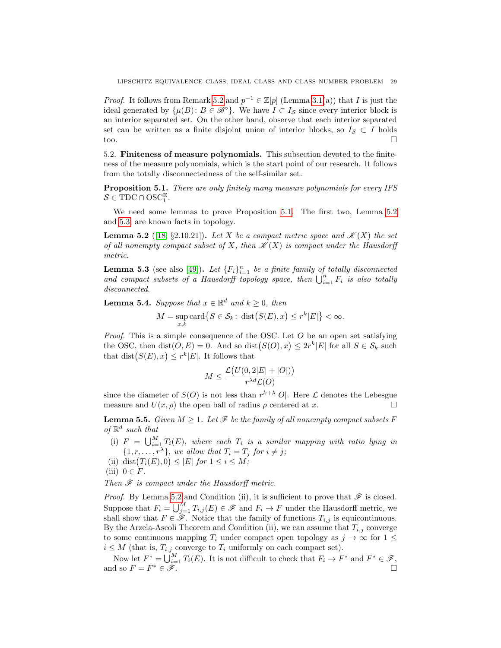*Proof.* It follows from Remark [5.2](#page-27-0) and  $p^{-1} \in \mathbb{Z}[p]$  (Lemma [3.1\(](#page-16-1)a)) that I is just the ideal generated by  $\{\mu(B): B \in \mathscr{B}^{\circ}\}\.$  We have  $I \subset I_{\mathcal{S}}$  since every interior block is an interior separated set. On the other hand, observe that each interior separated set can be written as a finite disjoint union of interior blocks, so  $I_{\mathcal{S}} \subset I$  holds too.

<span id="page-28-0"></span>5.2. Finiteness of measure polynomials. This subsection devoted to the finiteness of the measure polynomials, which is the start point of our research. It follows from the totally disconnectedness of the self-similar set.

<span id="page-28-1"></span>Proposition 5.1. There are only finitely many measure polynomials for every IFS  $S \in \text{TDC} \cap \text{OSC}_1^{\text{E}}$ .

We need some lemmas to prove Proposition [5.1.](#page-28-1) The first two, Lemma [5.2](#page-28-2) and [5.3,](#page-28-3) are known facts in topology.

<span id="page-28-2"></span>**Lemma 5.2** ([\[18,](#page-57-26) §2.10.21]). Let X be a compact metric space and  $\mathcal{K}(X)$  the set of all nonempty compact subset of X, then  $\mathcal{K}(X)$  is compact under the Hausdorff metric.

<span id="page-28-3"></span>**Lemma 5.3** (see also [\[49\]](#page-58-8)). Let  ${F_i}_{i=1}^n$  be a finite family of totally disconnected and compact subsets of a Hausdorff topology space, then  $\bigcup_{i=1}^n F_i$  is also totally disconnected.

<span id="page-28-5"></span>**Lemma 5.4.** Suppose that  $x \in \mathbb{R}^d$  and  $k \geq 0$ , then

$$
M = \sup_{x,k} \text{card}\big\{S \in \mathcal{S}_k \colon \text{dist}\big(S(E), x\big) \le r^k |E|\big\} < \infty.
$$

*Proof.* This is a simple consequence of the OSC. Let  $O$  be an open set satisfying the OSC, then  $dist(O, E) = 0$ . And so  $dist(S(O), x) \leq 2r^k |E|$  for all  $S \in \mathcal{S}_k$  such that  $dist(S(E), x) \leq r^k |E|$ . It follows that

$$
M \le \frac{\mathcal{L}(U(0,2|E|+|O|))}{r^{\lambda d} \mathcal{L}(O)}
$$

since the diameter of  $S(O)$  is not less than  $r^{k+\lambda}|O|$ . Here  $\mathcal L$  denotes the Lebesgue measure and  $U(x, \rho)$  the open ball of radius  $\rho$  centered at x.

<span id="page-28-4"></span>**Lemma 5.5.** Given  $M \geq 1$ . Let  $\mathcal{F}$  be the family of all nonempty compact subsets F of  $\mathbb{R}^d$  such that

(i)  $F = \bigcup_{i=1}^{M} T_i(E)$ , where each  $T_i$  is a similar mapping with ratio lying in  $\{1, r, \ldots, r^{\lambda}\}\$ , we allow that  $T_i = T_j$  for  $i \neq j$ ;

(ii) dist $(T_i(E), 0) \leq |E|$  for  $1 \leq i \leq M$ ;

(iii)  $0 \in F$ .

Then  $\mathscr F$  is compact under the Hausdorff metric.

*Proof.* By Lemma [5.2](#page-28-2) and Condition (ii), it is sufficient to prove that  $\mathscr F$  is closed. Suppose that  $F_i = \bigcup_{j=1}^M T_{i,j}(E) \in \mathscr{F}$  and  $F_i \to F$  under the Hausdorff metric, we shall show that  $F \in \mathscr{F}$ . Notice that the family of functions  $T_{i,j}$  is equicontinuous. By the Arzela-Ascoli Theorem and Condition (ii), we can assume that  $T_{i,j}$  converge to some continuous mapping  $T_i$  under compact open topology as  $j \to \infty$  for  $1 \leq$  $i \leq M$  (that is,  $T_{i,j}$  converge to  $T_i$  uniformly on each compact set).

Now let  $F^* = \bigcup_{i=1}^M T_i(E)$ . It is not difficult to check that  $F_i \to F^*$  and  $F^* \in \mathscr{F}$ , and so  $F = F^* \in \mathscr{F}$ .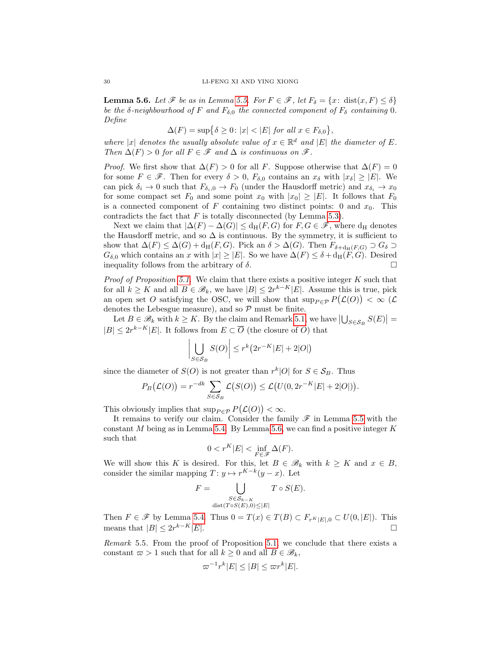<span id="page-29-0"></span>**Lemma 5.6.** Let  $\mathscr F$  be as in Lemma [5.5.](#page-28-4) For  $F \in \mathscr F$ , let  $F_\delta = \{x: \text{dist}(x, F) \leq \delta\}$ be the  $\delta$ -neighbourhood of F and  $F_{\delta,0}$  the connected component of  $F_{\delta}$  containing 0. Define

$$
\Delta(F) = \sup \{ \delta \ge 0 \colon |x| < |E| \text{ for all } x \in F_{\delta,0} \},
$$

where |x| denotes the usually absolute value of  $x \in \mathbb{R}^d$  and |E| the diameter of E. Then  $\Delta(F) > 0$  for all  $F \in \mathscr{F}$  and  $\Delta$  is continuous on  $\mathscr{F}$ .

*Proof.* We first show that  $\Delta(F) > 0$  for all F. Suppose otherwise that  $\Delta(F) = 0$ for some  $F \in \mathscr{F}$ . Then for every  $\delta > 0$ ,  $F_{\delta,0}$  contains an  $x_{\delta}$  with  $|x_{\delta}| \geq |E|$ . We can pick  $\delta_i \to 0$  such that  $F_{\delta_i,0} \to F_0$  (under the Hausdorff metric) and  $x_{\delta_i} \to x_0$ for some compact set  $F_0$  and some point  $x_0$  with  $|x_0| \geq |E|$ . It follows that  $F_0$ is a connected component of F containing two distinct points: 0 and  $x_0$ . This contradicts the fact that  $F$  is totally disconnected (by Lemma [5.3\)](#page-28-3).

Next we claim that  $|\Delta(F) - \Delta(G)| \le d_H(F, G)$  for  $F, G \in \mathscr{F}$ , where  $d_H$  denotes the Hausdorff metric, and so  $\Delta$  is continuous. By the symmetry, it is sufficient to show that  $\Delta(F) \leq \Delta(G) + d_H(F, G)$ . Pick an  $\delta > \Delta(G)$ . Then  $F_{\delta + d_H(F, G)} \supset G_{\delta}$  $G_{\delta,0}$  which contains an x with  $|x| \geq |E|$ . So we have  $\Delta(F) \leq \delta + d_H(F, G)$ . Desired inequality follows from the arbitrary of  $\delta$ .

*Proof of Proposition [5.1.](#page-28-1)* We claim that there exists a positive integer  $K$  such that for all  $k \geq K$  and all  $B \in \mathscr{B}_k$ , we have  $|B| \leq 2r^{k-K}|E|$ . Assume this is true, pick an open set O satisfying the OSC, we will show that  $\sup_{P \in \mathcal{P}} P(\mathcal{L}(O)) < \infty$  ( $\mathcal{L}$ denotes the Lebesgue measure), and so  $P$  must be finite.

Let  $B \in \mathscr{B}_k$  with  $k \geq K$ . By the claim and Remark [5.1,](#page-26-2) we have  $\left|\bigcup_{S \in \mathcal{S}_B} S(E)\right| =$  $|B| \leq 2r^{k-K}|E|$ . It follows from  $E \subset \overline{O}$  (the closure of O) that

$$
\left| \bigcup_{S \in \mathcal{S}_B} S(O) \right| \le r^k \left( 2r^{-K} |E| + 2|O| \right)
$$

since the diameter of  $S(O)$  is not greater than  $r^k|O|$  for  $S \in \mathcal{S}_B$ . Thus

$$
P_B(\mathcal{L}(O)) = r^{-dk} \sum_{S \in \mathcal{S}_B} \mathcal{L}(S(O)) \leq \mathcal{L}(U(0, 2r^{-K}|E| + 2|O|)).
$$

This obviously implies that  $\sup_{P \in \mathcal{P}} P(\mathcal{L}(O)) < \infty$ .

It remains to verify our claim. Consider the family  $\mathscr F$  in Lemma [5.5](#page-28-4) with the constant  $M$  being as in Lemma [5.4.](#page-28-5) By Lemma [5.6,](#page-29-0) we can find a positive integer  $K$ such that

$$
0 < r^K |E| < \inf_{F \in \mathcal{F}} \Delta(F).
$$

We will show this K is desired. For this, let  $B \in \mathcal{B}_k$  with  $k \geq K$  and  $x \in B$ , consider the similar mapping  $T: y \mapsto r^{K-k}(y-x)$ . Let

$$
F = \bigcup_{\substack{S \in \mathcal{S}_{k-K} \\ \text{dist}(T \circ S(E), 0) \leq |E|}} T \circ S(E).
$$

Then  $F \in \mathscr{F}$  by Lemma [5.4.](#page-28-5) Thus  $0 = T(x) \in T(B) \subset F_{r^K|E|,0} \subset U(0,|E|)$ . This means that  $|B| \leq 2r^{k-K}|E|$ .

<span id="page-29-1"></span>Remark 5.5. From the proof of Proposition [5.1,](#page-28-1) we conclude that there exists a constant  $\varpi > 1$  such that for all  $k \geq 0$  and all  $B \in \mathscr{B}_k$ ,

$$
\varpi^{-1}r^k|E| \le |B| \le \varpi r^k|E|.
$$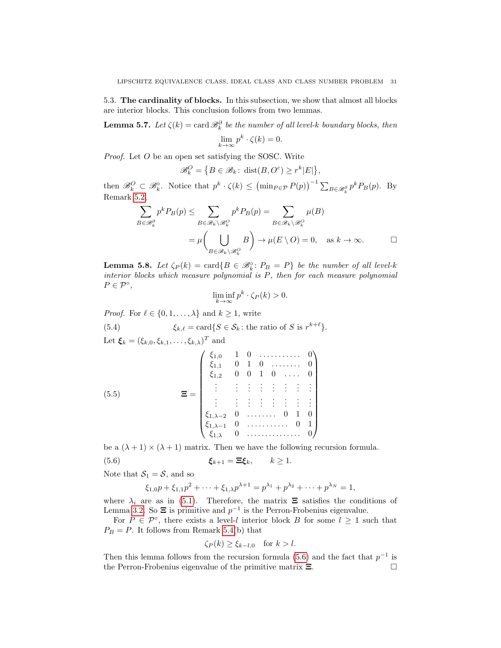<span id="page-30-0"></span>5.3. The cardinality of blocks. In this subsection, we show that almost all blocks are interior blocks. This conclusion follows from two lemmas.

<span id="page-30-1"></span>**Lemma 5.7.** Let  $\zeta(k) = \text{card } \mathscr{B}_{k}^{\partial}$  be the number of all level-k boundary blocks, then  $\lim_{k \to \infty} p^k \cdot \zeta(k) = 0.$ 

Proof. Let O be an open set satisfying the SOSC. Write

$$
\mathscr{B}_k^O = \{ B \in \mathscr{B}_k \colon \operatorname{dist}(B, O^c) \ge r^k |E| \},\
$$

then  $\mathscr{B}^O_k \subset \mathscr{B}^{\circ}_k$ . Notice that  $p^k \cdot \zeta(k) \leq (\min_{P \in \mathcal{P}} P(p))^{-1} \sum_{B \in \mathscr{B}^{\partial}_k} p^k P_B(p)$ . By Remark [5.2,](#page-27-0)

$$
\sum_{B \in \mathscr{B}_{k}^{\partial}} p^{k} P_{B}(p) \leq \sum_{B \in \mathscr{B}_{k} \setminus \mathscr{B}_{k}^{O}} p^{k} P_{B}(p) = \sum_{B \in \mathscr{B}_{k} \setminus \mathscr{B}_{k}^{O}} \mu(B)
$$

$$
= \mu \left( \bigcup_{B \in \mathscr{B}_{k} \setminus \mathscr{B}_{k}^{O}} B \right) \to \mu(E \setminus O) = 0, \text{ as } k \to \infty. \square
$$

<span id="page-30-2"></span>**Lemma 5.8.** Let  $\zeta_P(k) = \text{card}\{B \in \mathcal{B}_k^\circ : P_B = P\}$  be the number of all level-k interior blocks which measure polynomial is P, then for each measure polynomial  $P \in \mathcal{P}^{\circ}$ ,

$$
\liminf_{k \to \infty} p^k \cdot \zeta_P(k) > 0.
$$

*Proof.* For  $\ell \in \{0, 1, \ldots, \lambda\}$  and  $k \geq 1$ , write

(5.4)  $\xi_{k,\ell} = \text{card}\{S \in \mathcal{S}_k : \text{the ratio of } S \text{ is } r^{k+\ell}\}.$ 

Let  $\boldsymbol{\xi}_k = (\xi_{k,0}, \xi_{k,1}, \ldots, \xi_{k,\lambda})^T$  and

<span id="page-30-4"></span>(5.5)  

$$
\Xi = \begin{pmatrix}\n\xi_{1,0} & 1 & 0 & \dots & \dots & 0 \\
\xi_{1,1} & 0 & 1 & 0 & \dots & 0 \\
\xi_{1,2} & 0 & 0 & 1 & 0 & \dots & 0 \\
\vdots & \vdots & \vdots & \vdots & \vdots & \vdots & \vdots \\
\xi_{1,2} & 0 & \dots & \dots & 0 & 1 & 0 \\
\xi_{1,\lambda-2} & 0 & \dots & \dots & 0 & 1 & 0 \\
\xi_{1,\lambda-1} & 0 & \dots & \dots & \dots & 0 & 1 \\
\xi_{1,\lambda} & 0 & \dots & \dots & \dots & 0 & 0\n\end{pmatrix}
$$

be a  $(\lambda + 1) \times (\lambda + 1)$  matrix. Then we have the following recursion formula.

(5.6) 
$$
\boldsymbol{\xi}_{k+1} = \boldsymbol{\Xi} \boldsymbol{\xi}_k, \qquad k \geq 1.
$$

Note that  $S_1 = S$ , and so

<span id="page-30-3"></span>
$$
\xi_{1,0}p + \xi_{1,1}p^2 + \cdots + \xi_{1,\lambda}p^{\lambda+1} = p^{\lambda_1} + p^{\lambda_2} + \cdots + p^{\lambda_N} = 1,
$$

where  $\lambda_i$  are as in [\(5.1\)](#page-26-3). Therefore, the matrix  $\Xi$  satisfies the conditions of Lemma [3.2.](#page-17-2) So  $\Xi$  is primitive and  $p^{-1}$  is the Perron-Frobenius eigenvalue.

For  $P \in \mathcal{P}^{\circ}$ , there exists a level-l interior block B for some  $l \geq 1$  such that  $P_B = P$ . It follows from Remark [5.4\(](#page-27-1)b) that

$$
\zeta_P(k) \ge \xi_{k-l,0} \quad \text{for } k > l.
$$

Then this lemma follows from the recursion formula [\(5.6\)](#page-30-3) and the fact that  $p^{-1}$  is the Perron-Frobenius eigenvalue of the primitive matrix Ξ.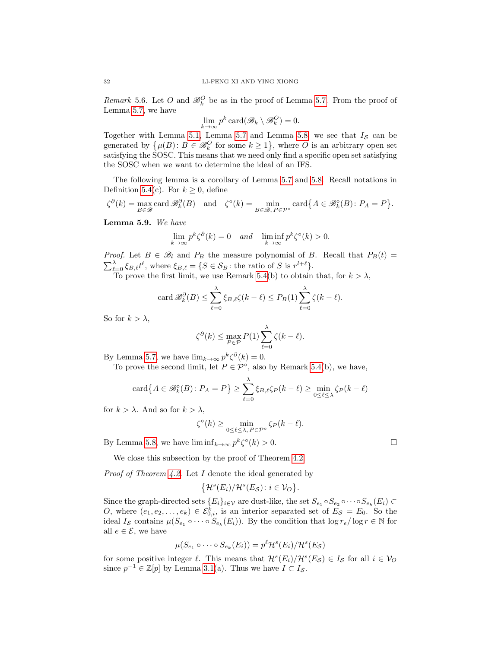<span id="page-31-0"></span>*Remark* 5.6. Let O and  $\mathcal{B}_k^O$  be as in the proof of Lemma [5.7.](#page-30-1) From the proof of Lemma [5.7,](#page-30-1) we have

$$
\lim_{k \to \infty} p^k \operatorname{card}(\mathscr{B}_k \setminus \mathscr{B}_k^O) = 0.
$$

Together with Lemma [5.1,](#page-27-2) Lemma [5.7](#page-30-1) and Lemma [5.8,](#page-30-2) we see that  $I_{\mathcal{S}}$  can be generated by  $\{\mu(B): B \in \mathscr{B}_{k}^{\mathcal{O}} \text{ for some } k \geq 1\}$ , where  $O$  is an arbitrary open set satisfying the SOSC. This means that we need only find a specific open set satisfying the SOSC when we want to determine the ideal of an IFS.

The following lemma is a corollary of Lemma [5.7](#page-30-1) and [5.8.](#page-30-2) Recall notations in Definition [5.4\(](#page-27-3)c). For  $k \geq 0$ , define

$$
\zeta^{\partial}(k) = \max_{B \in \mathcal{B}} \text{card}\,\mathcal{B}_{k}^{\partial}(B) \quad \text{and} \quad \zeta^{\circ}(k) = \min_{B \in \mathcal{B}, P \in \mathcal{P}^{\circ}} \text{card}\big\{A \in \mathcal{B}_{k}^{\circ}(B) \colon P_{A} = P\big\}.
$$

<span id="page-31-1"></span>Lemma 5.9. We have

$$
\lim_{k \to \infty} p^k \zeta^{\partial}(k) = 0 \quad \text{and} \quad \liminf_{k \to \infty} p^k \zeta^{\circ}(k) > 0.
$$

*Proof.* Let  $B \in \mathcal{B}_l$  and  $P_B$  the measure polynomial of B. Recall that  $P_B(t) =$  $\sum_{\ell=0}^{\lambda} \xi_{B,\ell} t^{\ell}$ , where  $\xi_{B,\ell} = \{S \in \mathcal{S}_B : \text{the ratio of } S \text{ is } r^{l+\ell}\}.$ 

To prove the first limit, we use Remark [5.4\(](#page-27-1)b) to obtain that, for  $k > \lambda$ ,

$$
\operatorname{card} \mathscr{B}_{k}^{\partial}(B) \leq \sum_{\ell=0}^{\lambda} \xi_{B,\ell} \zeta(k-\ell) \leq P_{B}(1) \sum_{\ell=0}^{\lambda} \zeta(k-\ell).
$$

So for  $k > \lambda$ ,

$$
\zeta^{\partial}(k) \le \max_{P \in \mathcal{P}} P(1) \sum_{\ell=0}^{\lambda} \zeta(k-\ell).
$$

By Lemma [5.7,](#page-30-1) we have  $\lim_{k\to\infty} p^k \zeta^{\partial}(k) = 0$ .

To prove the second limit, let  $P \in \mathcal{P}^{\circ}$ , also by Remark [5.4\(](#page-27-1)b), we have,

$$
\operatorname{card}\{A\in\mathscr{B}_{k}^{\circ}(B)\colon P_{A}=P\}\geq\sum_{\ell=0}^{\lambda}\xi_{B,\ell}\zeta_{P}(k-\ell)\geq\min_{0\leq\ell\leq\lambda}\zeta_{P}(k-\ell)
$$

for  $k > \lambda$ . And so for  $k > \lambda$ ,

$$
\zeta^{\circ}(k) \ge \min_{0 \le \ell \le \lambda, P \in \mathcal{P}^{\circ}} \zeta_P(k-\ell).
$$

By Lemma [5.8,](#page-30-2) we have  $\liminf_{k\to\infty} p^k \zeta^{\circ}(k) > 0.$ 

We close this subsection by the proof of Theorem [4.2.](#page-20-3)

*Proof of Theorem [4.2.](#page-20-3)* Let  $I$  denote the ideal generated by

$$
\big\{\mathcal{H}^s(E_i)/\mathcal{H}^s(E_{\mathcal{S}}): i\in \mathcal{V}_O\big\}.
$$

Since the graph-directed sets  $\{E_i\}_{i\in\mathcal{V}}$  are dust-like, the set  $S_{e_1}\circ S_{e_2}\circ\cdots\circ S_{e_k}(E_i)\subset$ O, where  $(e_1, e_2, \ldots, e_k) \in \mathcal{E}_{0,i}^k$ , is an interior separated set of  $E_{\mathcal{S}} = E_0$ . So the ideal  $I_{\mathcal{S}}$  contains  $\mu(S_{e_1} \circ \cdots \circ S_{e_k}(E_i))$ . By the condition that  $\log r_e / \log r \in \mathbb{N}$  for all  $e \in \mathcal{E}$ , we have

$$
\mu(S_{e_1} \circ \cdots \circ S_{e_k}(E_i)) = p^{\ell} \mathcal{H}^s(E_i) / \mathcal{H}^s(E_{\mathcal{S}})
$$

for some positive integer  $\ell$ . This means that  $\mathcal{H}^s(E_i)/\mathcal{H}^s(E_{\mathcal{S}}) \in I_{\mathcal{S}}$  for all  $i \in V_O$ since  $p^{-1} \in \mathbb{Z}[p]$  by Lemma [3.1\(](#page-16-1)a). Thus we have  $I \subset I_{\mathcal{S}}$ .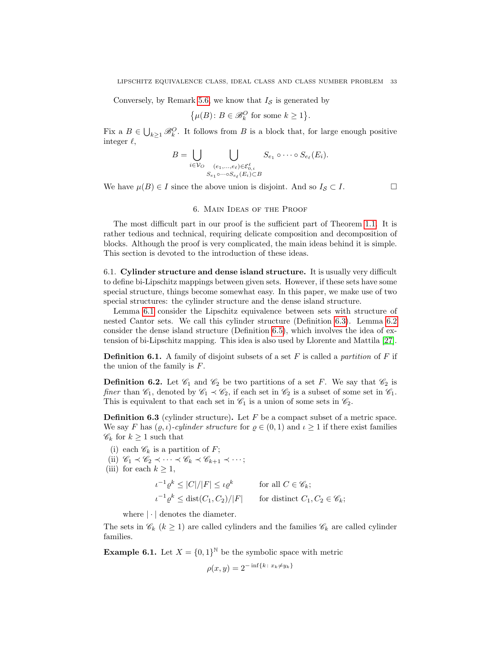Conversely, by Remark [5.6,](#page-31-0) we know that  $I_{\mathcal{S}}$  is generated by

$$
\{\mu(B) \colon B \in \mathscr{B}_{k}^{O} \text{ for some } k \ge 1\}.
$$

Fix a  $B \in \bigcup_{k\geq 1} \mathcal{B}_k^O$ . It follows from B is a block that, for large enough positive integer  $\ell$ ,

$$
B = \bigcup_{i \in \mathcal{V}_O} \bigcup_{\substack{(e_1,\ldots,e_\ell) \in \mathcal{E}_{0,i}^\ell \\ S_{e_1} \circ \cdots \circ S_{e_\ell}(E_i) \subset B}} S_{e_1} \circ \cdots \circ S_{e_\ell}(E_i).
$$

We have  $\mu(B) \in I$  since the above union is disjoint. And so  $I_{\mathcal{S}} \subset I$ .

## 6. Main Ideas of the Proof

<span id="page-32-0"></span>The most difficult part in our proof is the sufficient part of Theorem [1.1.](#page-5-0) It is rather tedious and technical, requiring delicate composition and decomposition of blocks. Although the proof is very complicated, the main ideas behind it is simple. This section is devoted to the introduction of these ideas.

<span id="page-32-1"></span>6.1. Cylinder structure and dense island structure. It is usually very difficult to define bi-Lipschitz mappings between given sets. However, if these sets have some special structure, things become somewhat easy. In this paper, we make use of two special structures: the cylinder structure and the dense island structure.

Lemma [6.1](#page-33-1) consider the Lipschitz equivalence between sets with structure of nested Cantor sets. We call this cylinder structure (Definition [6.3\)](#page-32-2). Lemma [6.2](#page-34-0) consider the dense island structure (Definition [6.5\)](#page-33-0), which involves the idea of extension of bi-Lipschitz mapping. This idea is also used by Llorente and Mattila [\[27\]](#page-57-22).

**Definition 6.1.** A family of disjoint subsets of a set  $F$  is called a *partition* of  $F$  if the union of the family is F.

**Definition 6.2.** Let  $\mathscr{C}_1$  and  $\mathscr{C}_2$  be two partitions of a set F. We say that  $\mathscr{C}_2$  is finer than  $\mathcal{C}_1$ , denoted by  $\mathcal{C}_1 \prec \mathcal{C}_2$ , if each set in  $\mathcal{C}_2$  is a subset of some set in  $\mathcal{C}_1$ . This is equivalent to that each set in  $\mathcal{C}_1$  is a union of some sets in  $\mathcal{C}_2$ .

<span id="page-32-2"></span>**Definition 6.3** (cylinder structure). Let  $F$  be a compact subset of a metric space. We say F has  $(\varrho, \iota)$ -cylinder structure for  $\varrho \in (0, 1)$  and  $\iota \geq 1$  if there exist families  $\mathscr{C}_k$  for  $k \geq 1$  such that

(i) each  $\mathscr{C}_k$  is a partition of F; (ii)  $\mathscr{C}_1 \prec \mathscr{C}_2 \prec \cdots \prec \mathscr{C}_k \prec \mathscr{C}_{k+1} \prec \cdots;$ (iii) for each  $k \geq 1$ ,  $\iota^{-1} \varrho^k \leq |C|/|F| \leq \iota \varrho^k$  for all  $C \in \mathscr{C}_k$ ;  $\iota^{-1} \varrho^k \leq \text{dist}(C_1, C_2)/|F|$  for distinct  $C_1, C_2 \in \mathscr{C}_k;$ 

where  $|\cdot|$  denotes the diameter.

The sets in  $\mathcal{C}_k$  ( $k \geq 1$ ) are called cylinders and the families  $\mathcal{C}_k$  are called cylinder families.

**Example 6.1.** Let  $X = \{0,1\}^{\mathbb{N}}$  be the symbolic space with metric

$$
\rho(x, y) = 2^{-\inf\{k \,:\, x_k \neq y_k\}}
$$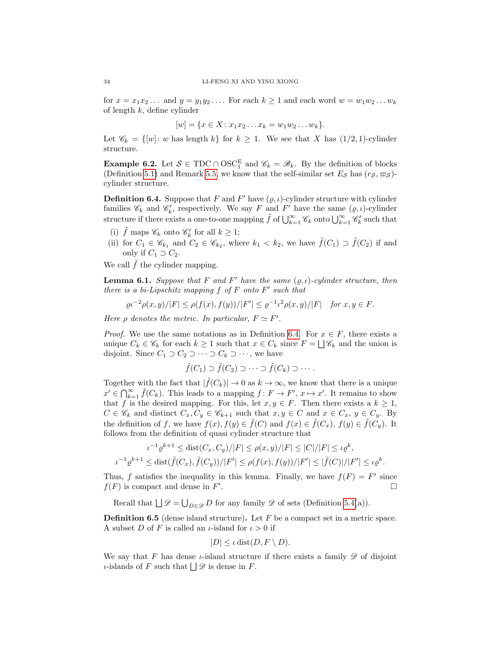for  $x = x_1x_2...$  and  $y = y_1y_2...$  For each  $k \ge 1$  and each word  $w = w_1w_2...w_k$ of length  $k$ , define cylinder

$$
[w] = \{x \in X : x_1 x_2 \dots x_k = w_1 w_2 \dots w_k\}.
$$

Let  $\mathscr{C}_k = \{ [w] : w \text{ has length } k \}$  for  $k \geq 1$ . We see that X has  $(1/2, 1)$ -cylinder structure.

**Example 6.2.** Let  $S \in TDC \cap OSC_1^E$  and  $\mathscr{C}_k = \mathscr{B}_k$ . By the definition of blocks (Definition [5.1\)](#page-26-4) and Remark [5.5,](#page-29-1) we know that the self-similar set  $E_{\mathcal{S}}$  has  $(r_{\mathcal{S}}, \varpi_{\mathcal{S}})$ cylinder structure.

<span id="page-33-2"></span>**Definition 6.4.** Suppose that F and F' have  $(\varrho, \iota)$ -cylinder structure with cylinder families  $\mathscr{C}_k$  and  $\mathscr{C}'_k$ , respectively. We say F and F' have the same  $(\varrho, \iota)$ -cylinder structure if there exists a one-to-one mapping  $\tilde{f}$  of  $\bigcup_{k=1}^{\infty} \mathscr{C}_k$  onto  $\bigcup_{k=1}^{\infty} \mathscr{C}'_k$  such that

- (i)  $\tilde{f}$  maps  $\mathscr{C}_k$  onto  $\mathscr{C}'_k$  for all  $k \geq 1$ ;
- (ii) for  $C_1 \in \mathscr{C}_{k_1}$  and  $C_2 \in \mathscr{C}_{k_2}$ , where  $k_1 < k_2$ , we have  $\tilde{f}(C_1) \supset \tilde{f}(C_2)$  if and only if  $C_1 \supset C_2$ .

We call  $\tilde{f}$  the cylinder mapping.

<span id="page-33-1"></span>**Lemma 6.1.** Suppose that F and F' have the same  $(\varrho, \iota)$ -cylinder structure, then there is a bi-Lipschitz mapping  $f$  of  $F$  onto  $F'$  such that

$$
\varrho\iota^{-2}\rho(x,y)/|F| \le \rho(f(x),f(y))/|F'| \le \varrho^{-1}\iota^2\rho(x,y)/|F| \quad \text{for } x, y \in F.
$$

Here  $\rho$  denotes the metric. In particular,  $F \simeq F'$ .

*Proof.* We use the same notations as in Definition [6.4.](#page-33-2) For  $x \in F$ , there exists a unique  $C_k \in \mathscr{C}_k$  for each  $k \geq 1$  such that  $x \in C_k$  since  $F = \bigsqcup \mathscr{C}_k$  and the union is disjoint. Since  $C_1 \supset C_2 \supset \cdots \supset C_k \supset \cdots$ , we have

$$
\tilde{f}(C_1) \supset \tilde{f}(C_2) \supset \cdots \supset \tilde{f}(C_k) \supset \cdots.
$$

Together with the fact that  $|\tilde{f}(C_k)| \to 0$  as  $k \to \infty$ , we know that there is a unique  $x' \in \bigcap_{k=1}^{\infty} \tilde{f}(C_k)$ . This leads to a mapping  $f: F \to F'$ ,  $x \mapsto x'$ . It remains to show that f is the desired mapping. For this, let  $x, y \in F$ . Then there exists a  $k \geq 1$ ,  $C \in \mathscr{C}_k$  and distinct  $C_x, C_y \in \mathscr{C}_{k+1}$  such that  $x, y \in C$  and  $x \in C_x$ ,  $y \in C_y$ . By the definition of f, we have  $f(x)$ ,  $f(y) \in \tilde{f}(C)$  and  $f(x) \in \tilde{f}(C_x)$ ,  $f(y) \in \tilde{f}(C_y)$ . It follows from the definition of quasi cylinder structure that

$$
\iota^{-1} \varrho^{k+1} \leq \text{dist}(C_x, C_y) / |F| \leq \rho(x, y) / |F| \leq |C| / |F| \leq \iota \varrho^k,
$$
  

$$
\iota^{-1} \varrho^{k+1} \leq \text{dist}(\tilde{f}(C_x), \tilde{f}(C_y)) / |F'| \leq \rho(f(x), f(y)) / |F'| \leq |\tilde{f}(C)| / |F'| \leq \iota \varrho^k.
$$

Thus, f satisfies the inequality in this lemma. Finally, we have  $f(F) = F'$  since  $f(F)$  is compact and dense in  $F'$ .

Recall that  $\bigsqcup \mathscr{D} = \bigcup_{D \in \mathscr{D}} D$  for any family  $\mathscr{D}$  of sets (Definition [5.4\(](#page-27-3)a)).

<span id="page-33-0"></span>**Definition 6.5** (dense island structure). Let  $F$  be a compact set in a metric space. A subset D of F is called an  $\iota$ -island for  $\iota > 0$  if

$$
|D| \leq \iota \operatorname{dist}(D, F \setminus D).
$$

We say that F has dense  $\iota$ -island structure if there exists a family  $\mathscr D$  of disjoint *ι*-islands of *F* such that  $\Box \mathscr{D}$  is dense in *F*.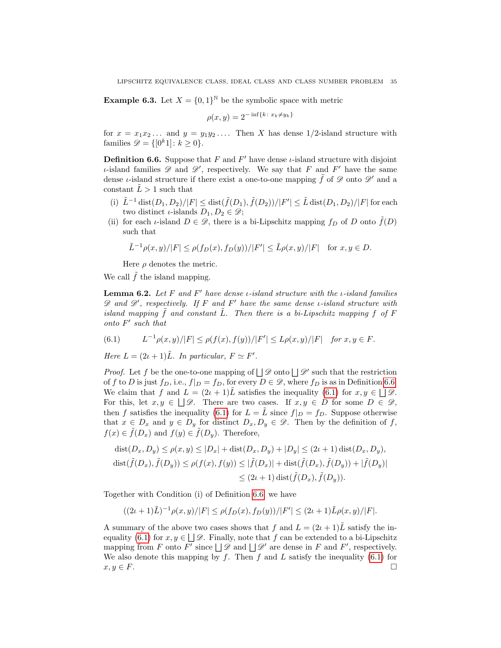**Example 6.3.** Let  $X = \{0,1\}^{\mathbb{N}}$  be the symbolic space with metric

$$
\rho(x, y) = 2^{-\inf\{k \colon x_k \neq y_k\}}
$$

for  $x = x_1x_2...$  and  $y = y_1y_2...$  Then X has dense 1/2-island structure with families  $\mathscr{D} = \{ [0^k 1] : k \geq 0 \}.$ 

<span id="page-34-1"></span>**Definition 6.6.** Suppose that F and  $F'$  have dense  $\iota$ -island structure with disjoint *ι*-island families  $\mathscr D$  and  $\mathscr D'$ , respectively. We say that F and F' have the same dense *ι*-island structure if there exist a one-to-one mapping  $\tilde{f}$  of  $\mathscr{D}$  onto  $\mathscr{D}'$  and a constant  $\tilde{L} > 1$  such that

- (i)  $\tilde{L}^{-1} \text{dist}(D_1, D_2)/|F| \leq \text{dist}(\tilde{f}(D_1), \tilde{f}(D_2))/|F'| \leq \tilde{L} \text{dist}(D_1, D_2)/|F|$  for each two distinct *ι*-islands  $D_1, D_2 \in \mathscr{D}$ ;
- (ii) for each *ι*-island  $D \in \mathscr{D}$ , there is a bi-Lipschitz mapping  $f_D$  of D onto  $\tilde{f}(D)$ such that

$$
\tilde{L}^{-1}\rho(x,y)/|F| \leq \rho(f_D(x), f_D(y))/|F'| \leq \tilde{L}\rho(x,y)/|F| \quad \text{for } x, y \in D.
$$

Here  $\rho$  denotes the metric.

We call  $f$  the island mapping.

<span id="page-34-0"></span>**Lemma 6.2.** Let F and F' have dense *ι*-island structure with the *ι*-island families  $\mathscr D$  and  $\mathscr D'$ , respectively. If F and F' have the same dense *ι*-island structure with island mapping  $f$  and constant  $L$ . Then there is a bi-Lipschitz mapping  $f$  of  $F$  $onto F' such that$ 

<span id="page-34-2"></span>(6.1) 
$$
L^{-1}\rho(x,y)/|F| \le \rho(f(x),f(y))/|F'| \le L\rho(x,y)/|F| \text{ for } x,y \in F.
$$

Here  $L = (2\iota + 1)\tilde{L}$ . In particular,  $F \simeq F'$ .

*Proof.* Let f be the one-to-one mapping of  $\Box \mathscr{D}$  onto  $\Box \mathscr{D}'$  such that the restriction of f to D is just  $f_D$ , i.e.,  $f|_D = f_D$ , for every  $D \in \mathscr{D}$ , where  $f_D$  is as in Definition [6.6.](#page-34-1) We claim that f and  $L = (2\iota + 1)\tilde{L}$  satisfies the inequality [\(6.1\)](#page-34-2) for  $x, y \in \Box \mathscr{D}$ . For this, let  $x, y \in \Box \mathcal{D}$ . There are two cases. If  $x, y \in D$  for some  $D \in \mathcal{D}$ , then f satisfies the inequality [\(6.1\)](#page-34-2) for  $L = L$  since  $f|_D = f_D$ . Suppose otherwise that  $x \in D_x$  and  $y \in D_y$  for distinct  $D_x, D_y \in \mathscr{D}$ . Then by the definition of f,  $f(x) \in \tilde{f}(D_x)$  and  $f(y) \in \tilde{f}(D_y)$ . Therefore,

$$
\begin{aligned} \operatorname{dist}(D_x, D_y) &\le \rho(x, y) \le |D_x| + \operatorname{dist}(D_x, D_y) + |D_y| \le (2\iota + 1) \operatorname{dist}(D_x, D_y), \\ \operatorname{dist}(\tilde{f}(D_x), \tilde{f}(D_y)) &\le \rho(f(x), f(y)) \le |\tilde{f}(D_x)| + \operatorname{dist}(\tilde{f}(D_x), \tilde{f}(D_y)) + |\tilde{f}(D_y)| \\ &\le (2\iota + 1) \operatorname{dist}(\tilde{f}(D_x), \tilde{f}(D_y)). \end{aligned}
$$

Together with Condition (i) of Definition [6.6,](#page-34-1) we have

$$
((2\iota+1)\tilde{L})^{-1}\rho(x,y)/|F| \leq \rho(f_D(x),f_D(y))/|F'| \leq (2\iota+1)\tilde{L}\rho(x,y)/|F|.
$$

A summary of the above two cases shows that f and  $L = (2\iota + 1)\tilde{L}$  satisfy the in-equality [\(6.1\)](#page-34-2) for  $x, y \in \Box \mathcal{D}$ . Finally, note that f can be extended to a bi-Lipschitz mapping from F onto F' since  $\Box \mathscr{D}$  and  $\Box \mathscr{D}'$  are dense in F and F', respectively. We also denote this mapping by f. Then f and L satisfy the inequality  $(6.1)$  for  $x, y \in F$ .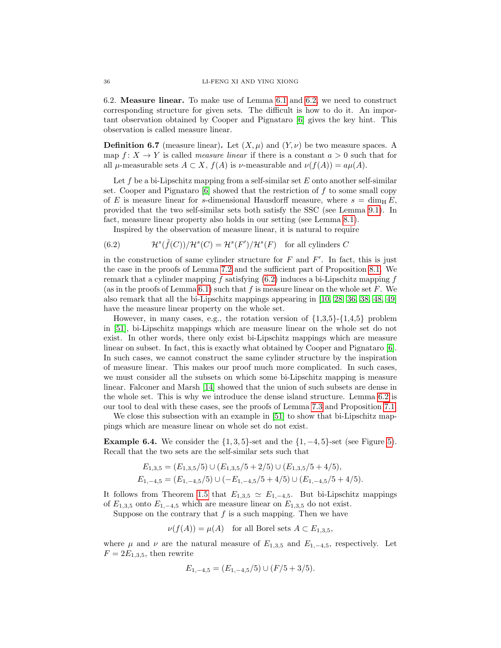<span id="page-35-0"></span>6.2. Measure linear. To make use of Lemma [6.1](#page-33-1) and [6.2,](#page-34-0) we need to construct corresponding structure for given sets. The difficult is how to do it. An important observation obtained by Cooper and Pignataro [\[6\]](#page-56-13) gives the key hint. This observation is called measure linear.

<span id="page-35-1"></span>**Definition 6.7** (measure linear). Let  $(X, \mu)$  and  $(Y, \nu)$  be two measure spaces. A map  $f: X \to Y$  is called *measure linear* if there is a constant  $a > 0$  such that for all  $\mu$ -measurable sets  $A \subset X$ ,  $f(A)$  is  $\nu$ -measurable and  $\nu(f(A)) = a\mu(A)$ .

Let f be a bi-Lipschitz mapping from a self-similar set E onto another self-similar set. Cooper and Pignataro  $[6]$  showed that the restriction of f to some small copy of E is measure linear for s-dimensional Hausdorff measure, where  $s = \dim_{\text{H}} E$ , provided that the two self-similar sets both satisfy the SSC (see Lemma [9.1\)](#page-54-1). In fact, measure linear property also holds in our setting (see Lemma [8.1\)](#page-50-1).

<span id="page-35-2"></span>Inspired by the observation of measure linear, it is natural to require

(6.2) 
$$
\mathcal{H}^s(\tilde{f}(C))/\mathcal{H}^s(C) = \mathcal{H}^s(F')/\mathcal{H}^s(F) \text{ for all cylinders } C
$$

in the construction of same cylinder structure for  $F$  and  $F'$ . In fact, this is just the case in the proofs of Lemma [7.2](#page-41-3) and the sufficient part of Proposition [8.1.](#page-49-1) We remark that a cylinder mapping  $\hat{f}$  satisfying [\(6.2\)](#page-35-2) induces a bi-Lipschitz mapping  $f$ (as in the proofs of Lemma [6.1\)](#page-33-1) such that f is measure linear on the whole set F. We also remark that all the bi-Lipschitz mappings appearing in [\[10,](#page-56-16) [28,](#page-57-24) [36,](#page-57-23) [38,](#page-57-12) [48,](#page-58-0) [49\]](#page-58-8) have the measure linear property on the whole set.

However, in many cases, e.g., the rotation version of  $\{1,3,5\}$ - $\{1,4,5\}$  problem in [\[51\]](#page-58-9), bi-Lipschitz mappings which are measure linear on the whole set do not exist. In other words, there only exist bi-Lipschitz mappings which are measure linear on subset. In fact, this is exactly what obtained by Cooper and Pignataro [\[6\]](#page-56-13). In such cases, we cannot construct the same cylinder structure by the inspiration of measure linear. This makes our proof much more complicated. In such cases, we must consider all the subsets on which some bi-Lipschitz mapping is measure linear. Falconer and Marsh [\[14\]](#page-56-14) showed that the union of such subsets are dense in the whole set. This is why we introduce the dense island structure. Lemma [6.2](#page-34-0) is our tool to deal with these cases, see the proofs of Lemma [7.3](#page-44-0) and Proposition [7.1.](#page-41-2)

We close this subsection with an example in [\[51\]](#page-58-9) to show that bi-Lipschitz mappings which are measure linear on whole set do not exist.

<span id="page-35-3"></span>**Example 6.4.** We consider the  $\{1, 3, 5\}$ -set and the  $\{1, -4, 5\}$ -set (see Figure [5\)](#page-16-2). Recall that the two sets are the self-similar sets such that

$$
E_{1,3,5} = (E_{1,3,5}/5) \cup (E_{1,3,5}/5 + 2/5) \cup (E_{1,3,5}/5 + 4/5),
$$
  
\n
$$
E_{1,-4,5} = (E_{1,-4,5}/5) \cup (-E_{1,-4,5}/5 + 4/5) \cup (E_{1,-4,5}/5 + 4/5).
$$

It follows from Theorem [1.5](#page-8-1) that  $E_{1,3,5} \simeq E_{1,-4,5}$ . But bi-Lipschitz mappings of  $E_{1,3,5}$  onto  $E_{1,-4,5}$  which are measure linear on  $E_{1,3,5}$  do not exist.

Suppose on the contrary that  $f$  is a such mapping. Then we have

 $\nu(f(A)) = \mu(A)$  for all Borel sets  $A \subset E_{1,3,5}$ ,

where  $\mu$  and  $\nu$  are the natural measure of  $E_{1,3,5}$  and  $E_{1,-4,5}$ , respectively. Let  $F = 2E_{1,3,5}$ , then rewrite

$$
E_{1,-4,5} = (E_{1,-4,5}/5) \cup (F/5 + 3/5).
$$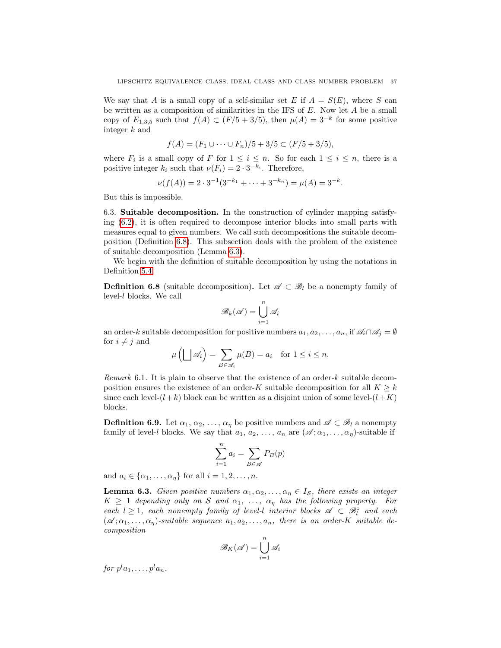We say that A is a small copy of a self-similar set E if  $A = S(E)$ , where S can be written as a composition of similarities in the IFS of  $E$ . Now let  $A$  be a small copy of  $E_{1,3,5}$  such that  $f(A) \subset (F/5 + 3/5)$ , then  $\mu(A) = 3^{-k}$  for some positive integer k and

$$
f(A) = (F_1 \cup \dots \cup F_n)/5 + 3/5 \subset (F/5 + 3/5),
$$

where  $F_i$  is a small copy of F for  $1 \leq i \leq n$ . So for each  $1 \leq i \leq n$ , there is a positive integer  $k_i$  such that  $\nu(F_i) = 2 \cdot 3^{-k_i}$ . Therefore,

$$
\nu(f(A)) = 2 \cdot 3^{-1} (3^{-k_1} + \dots + 3^{-k_n}) = \mu(A) = 3^{-k}.
$$

But this is impossible.

<span id="page-36-0"></span>6.3. Suitable decomposition. In the construction of cylinder mapping satisfying [\(6.2\)](#page-35-2), it is often required to decompose interior blocks into small parts with measures equal to given numbers. We call such decompositions the suitable decomposition (Definition [6.8\)](#page-36-1). This subsection deals with the problem of the existence of suitable decomposition (Lemma [6.3\)](#page-36-2).

We begin with the definition of suitable decomposition by using the notations in Definition [5.4.](#page-27-3)

<span id="page-36-1"></span>**Definition 6.8** (suitable decomposition). Let  $\mathscr{A} \subset \mathscr{B}_l$  be a nonempty family of level-l blocks. We call

$$
\mathscr{B}_k(\mathscr{A}) = \bigcup_{i=1}^n \mathscr{A}_i
$$

an order-k suitable decomposition for positive numbers  $a_1, a_2, \ldots, a_n$ , if  $\mathscr{A}_i \cap \mathscr{A}_j = \emptyset$ for  $i \neq j$  and

$$
\mu\left(\bigsqcup \mathscr{A}_i\right) = \sum_{B \in \mathscr{A}_i} \mu(B) = a_i \quad \text{for } 1 \le i \le n.
$$

<span id="page-36-4"></span>Remark 6.1. It is plain to observe that the existence of an order- $k$  suitable decomposition ensures the existence of an order-K suitable decomposition for all  $K \geq k$ since each level- $(l+k)$  block can be written as a disjoint union of some level- $(l+K)$ blocks.

<span id="page-36-3"></span>**Definition 6.9.** Let  $\alpha_1, \alpha_2, \ldots, \alpha_n$  be positive numbers and  $\mathscr{A} \subset \mathscr{B}_l$  a nonempty family of level-l blocks. We say that  $a_1, a_2, \ldots, a_n$  are  $(\mathscr{A}; \alpha_1, \ldots, \alpha_n)$ -suitable if

$$
\sum_{i=1}^{n} a_i = \sum_{B \in \mathscr{A}} P_B(p)
$$

and  $a_i \in {\alpha_1, \ldots, \alpha_n}$  for all  $i = 1, 2, \ldots, n$ .

<span id="page-36-2"></span>**Lemma 6.3.** Given positive numbers  $\alpha_1, \alpha_2, \ldots, \alpha_n \in I_S$ , there exists an integer  $K \geq 1$  depending only on S and  $\alpha_1, \ldots, \alpha_{\eta}$  has the following property. For each  $l \geq 1$ , each nonempty family of level-l interior blocks  $\mathscr{A} \subset \mathscr{B}_l^{\circ}$  and each  $(\mathscr{A}; \alpha_1, \ldots, \alpha_n)$ -suitable sequence  $a_1, a_2, \ldots, a_n$ , there is an order-K suitable decomposition

$$
\mathscr{B}_K(\mathscr{A}) = \bigcup_{i=1}^n \mathscr{A}_i
$$

for  $p^l a_1, \ldots, p^l a_n$ .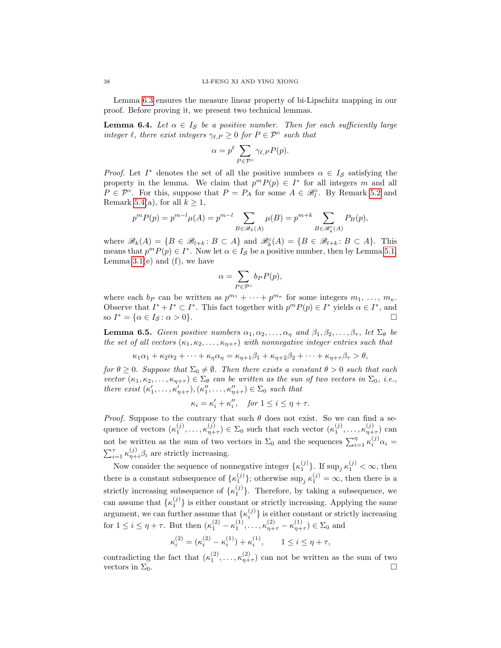Lemma [6.3](#page-36-2) ensures the measure linear property of bi-Lipschitz mapping in our proof. Before proving it, we present two technical lemmas.

<span id="page-37-1"></span>**Lemma 6.4.** Let  $\alpha \in I_{\mathcal{S}}$  be a positive number. Then for each sufficiently large integer  $\ell$ , there exist integers  $\gamma_{\ell,P} \geq 0$  for  $P \in \mathcal{P}^\circ$  such that

$$
\alpha = p^{\ell} \sum_{P \in \mathcal{P}^{\circ}} \gamma_{\ell,P} P(p).
$$

*Proof.* Let  $I^*$  denotes the set of all the positive numbers  $\alpha \in I_{\mathcal{S}}$  satisfying the property in the lemma. We claim that  $p^m P(p) \in I^*$  for all integers m and all  $P \in \mathcal{P}^{\circ}$ . For this, suppose that  $P = P_A$  for some  $A \in \mathcal{B}_l^{\circ}$ . By Remark [5.2](#page-27-0) and Remark [5.4\(](#page-27-1)a), for all  $k \geq 1$ ,

$$
p^{m} P(p) = p^{m-l} \mu(A) = p^{m-l} \sum_{B \in \mathcal{B}_{k}(A)} \mu(B) = p^{m+k} \sum_{B \in \mathcal{B}_{k}^{\circ}(A)} P_{B}(p),
$$

where  $\mathscr{B}_k(A) = \{B \in \mathscr{B}_{l+k} : B \subset A\}$  and  $\mathscr{B}_k^{\circ}(A) = \{B \in \mathscr{B}_{l+k} : B \subset A\}$ . This means that  $p^m P(p) \in I^*$ . Now let  $\alpha \in I_{\mathcal{S}}$  be a positive number, then by Lemma [5.1,](#page-27-2) Lemma  $3.1(e)$  and  $(f)$ , we have

$$
\alpha = \sum_{P \in \mathcal{P}^{\circ}} b_P P(p),
$$

where each  $b_P$  can be written as  $p^{m_1} + \cdots + p^{m_{\kappa}}$  for some integers  $m_1, \ldots, m_{\kappa}$ . Observe that  $I^* + I^* \subset I^*$ . This fact together with  $p^m P(p) \in I^*$  yields  $\alpha \in I^*$ , and so  $I^* = {\alpha \in I_{\mathcal{S}} \colon \alpha > 0}.$ 

<span id="page-37-0"></span>**Lemma 6.5.** Given positive numbers  $\alpha_1, \alpha_2, \ldots, \alpha_{\eta}$  and  $\beta_1, \beta_2, \ldots, \beta_{\tau}$ , let  $\Sigma_{\theta}$  be the set of all vectors  $(\kappa_1, \kappa_2, \ldots, \kappa_{n+\tau})$  with nonnegative integer entries such that

 $\kappa_1\alpha_1 + \kappa_2\alpha_2 + \cdots + \kappa_n\alpha_n = \kappa_{n+1}\beta_1 + \kappa_{n+2}\beta_2 + \cdots + \kappa_{n+\tau}\beta_\tau > \theta,$ 

for  $\theta \geq 0$ . Suppose that  $\Sigma_0 \neq \emptyset$ . Then there exists a constant  $\theta > 0$  such that each vector  $(\kappa_1, \kappa_2, \ldots, \kappa_{\eta+\tau}) \in \Sigma_{\theta}$  can be written as the sun of two vectors in  $\Sigma_0$ , i.e., there exist  $(\kappa'_1, \ldots, \kappa'_{\eta+\tau}), (\kappa''_1, \ldots, \kappa''_{\eta+\tau}) \in \Sigma_0$  such that

$$
\kappa_i = \kappa_i' + \kappa_i'', \quad \text{for } 1 \le i \le \eta + \tau.
$$

*Proof.* Suppose to the contrary that such  $\theta$  does not exist. So we can find a sequence of vectors  $(\kappa_1^{(j)},\ldots,\kappa_{\eta+\tau}^{(j)}) \in \Sigma_0$  such that each vector  $(\kappa_1^{(j)},\ldots,\kappa_{\eta+\tau}^{(j)})$  can not be written as the sum of two vectors in  $\Sigma_0$  and the sequences  $\sum_{i=1}^{\eta} \kappa_i^{(j)} \alpha_i =$  $\sum_{i=1}^{\tau} \kappa_{\eta+i}^{(j)} \beta_i$  are strictly increasing.

Now consider the sequence of nonnegative integer  $\{\kappa_1^{(j)}\}\$ . If  $\sup_j \kappa_1^{(j)} < \infty$ , then there is a constant subsequence of  $\{\kappa_1^{(j)}\}$ ; otherwise  $\sup_j \kappa_1^{(j)} = \infty$ , then there is a strictly increasing subsequence of  $\{\kappa_1^{(j)}\}$ . Therefore, by taking a subsequence, we can assume that  $\{\kappa_1^{(j)}\}$  is either constant or strictly increasing. Applying the same argument, we can further assume that  $\{\kappa_i^{(j)}\}$  is either constant or strictly increasing for  $1 \leq i \leq \eta + \tau$ . But then  $(\kappa_1^{(2)} - \kappa_1^{(1)}, \ldots, \kappa_{\eta+\tau}^{(2)} - \kappa_{\eta+\tau}^{(1)}) \in \Sigma_0$  and

$$
\kappa_i^{(2)} = (\kappa_i^{(2)} - \kappa_i^{(1)}) + \kappa_i^{(1)}, \qquad 1 \le i \le \eta + \tau,
$$

contradicting the fact that  $(\kappa_1^{(2)}, \ldots, \kappa_{\eta+\tau}^{(2)})$  can not be written as the sum of two vectors in  $\Sigma_0$ .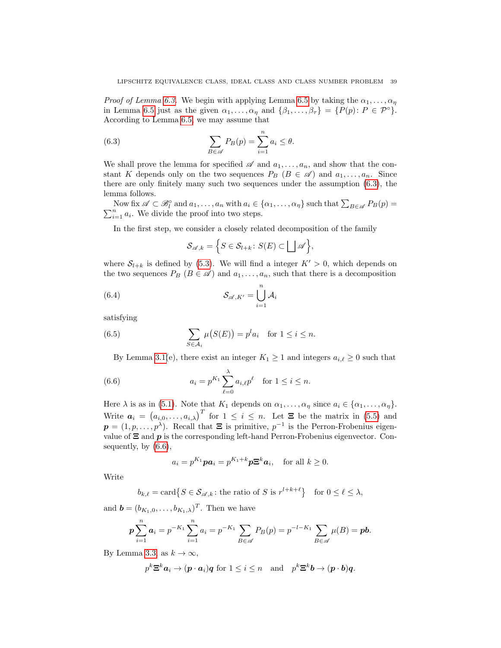*Proof of Lemma [6.3.](#page-36-2)* We begin with applying Lemma [6.5](#page-37-0) by taking the  $\alpha_1, \ldots, \alpha_n$ in Lemma [6.5](#page-37-0) just as the given  $\alpha_1, \ldots, \alpha_n$  and  $\{\beta_1, \ldots, \beta_\tau\} = \{P(p): P \in \mathcal{P}^\circ\}.$ According to Lemma [6.5,](#page-37-0) we may assume that

<span id="page-38-0"></span>(6.3) 
$$
\sum_{B \in \mathscr{A}} P_B(p) = \sum_{i=1}^n a_i \leq \theta.
$$

We shall prove the lemma for specified  $\mathscr A$  and  $a_1, \ldots, a_n$ , and show that the constant K depends only on the two sequences  $P_B$   $(B \in \mathcal{A})$  and  $a_1, \ldots, a_n$ . Since there are only finitely many such two sequences under the assumption [\(6.3\)](#page-38-0), the lemma follows.

Now fix  $\mathscr{A} \subset \mathscr{B}_l^{\circ}$  and  $a_1, \ldots, a_n$  with  $a_i \in \{ \alpha_1, \ldots, \alpha_n \}$  such that  $\sum_{B \in \mathscr{A}} P_B(p) =$  $\sum_{i=1}^{n} a_i$ . We divide the proof into two steps.

In the first step, we consider a closely related decomposition of the family

<span id="page-38-2"></span>
$$
\mathcal{S}_{\mathscr{A},k} = \Big\{ S \in \mathcal{S}_{l+k} \colon S(E) \subset \bigsqcup \mathscr{A} \Big\},\
$$

where  $S_{l+k}$  is defined by [\(5.3\)](#page-26-5). We will find a integer  $K' > 0$ , which depends on the two sequences  $P_B$   $(B \in \mathcal{A})$  and  $a_1, \ldots, a_n$ , such that there is a decomposition

(6.4) 
$$
\mathcal{S}_{\mathscr{A},K'} = \bigcup_{i=1}^{n} \mathcal{A}_i
$$

satisfying

(6.5) 
$$
\sum_{S \in \mathcal{A}_i} \mu(S(E)) = p^l a_i \quad \text{for } 1 \le i \le n.
$$

<span id="page-38-3"></span><span id="page-38-1"></span>By Lemma [3.1\(](#page-16-1)e), there exist an integer  $K_1 \geq 1$  and integers  $a_{i,\ell} \geq 0$  such that

(6.6) 
$$
a_i = p^{K_1} \sum_{\ell=0}^{\lambda} a_{i,\ell} p^{\ell} \text{ for } 1 \leq i \leq n.
$$

Here  $\lambda$  is as in [\(5.1\)](#page-26-3). Note that  $K_1$  depends on  $\alpha_1, \ldots, \alpha_\eta$  since  $a_i \in {\alpha_1, \ldots, \alpha_\eta}$ . Write  $a_i = (a_{i,0}, \ldots, a_{i,\lambda})^T$  for  $1 \leq i \leq n$ . Let  $\Xi$  be the matrix in [\(5.5\)](#page-30-4) and  $p = (1, p, \ldots, p^{\lambda})$ . Recall that  $\Xi$  is primitive,  $p^{-1}$  is the Perron-Frobenius eigenvalue of  $\Xi$  and  $p$  is the corresponding left-hand Perron-Frobenius eigenvector. Consequently, by [\(6.6\)](#page-38-1),

$$
a_i = p^{K_1} p a_i = p^{K_1 + k} p \mathbf{\Xi}^k a_i, \quad \text{for all } k \ge 0.
$$

Write

$$
b_{k,\ell} = \text{card}\left\{S \in \mathcal{S}_{\mathscr{A},k} \colon \text{the ratio of } S \text{ is } r^{l+k+\ell}\right\} \quad \text{for } 0 \le \ell \le \lambda,
$$

and  $\mathbf{b} = (b_{K_1,0}, \ldots, b_{K_1,\lambda})^T$ . Then we have

$$
p\sum_{i=1}^n a_i = p^{-K_1} \sum_{i=1}^n a_i = p^{-K_1} \sum_{B \in \mathscr{A}} P_B(p) = p^{-l-K_1} \sum_{B \in \mathscr{A}} \mu(B) = pb.
$$

By Lemma [3.3,](#page-18-0) as  $k \to \infty$ ,

$$
p^k \Xi^k a_i \to (p \cdot a_i)q
$$
 for  $1 \leq i \leq n$  and  $p^k \Xi^k b \to (p \cdot b)q$ .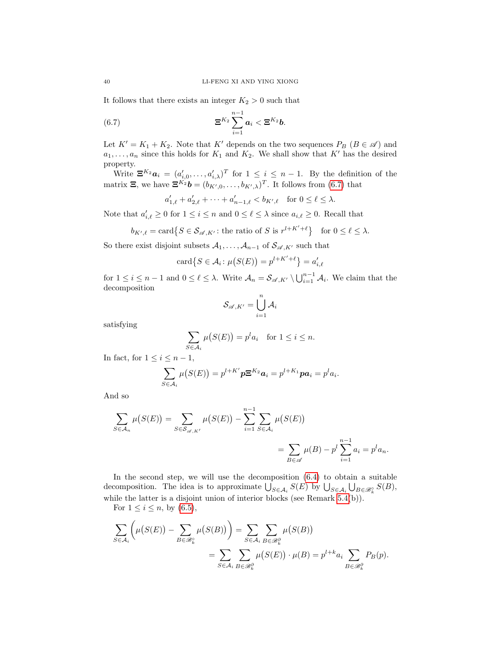It follows that there exists an integer  $K_2 > 0$  such that

$$
\mathbf{\Xi}^{K_2}\sum_{i=1}^{n-1}\mathbf{a}_i < \mathbf{\Xi}^{K_2}\mathbf{b}.
$$

Let  $K' = K_1 + K_2$ . Note that K' depends on the two sequences  $P_B$  ( $B \in \mathscr{A}$ ) and  $a_1, \ldots, a_n$  since this holds for  $K_1$  and  $K_2$ . We shall show that K' has the desired property.

Write  $\mathbf{\Xi}^{K_2} \mathbf{a}_i = (a'_{i,0}, \dots, a'_{i,\lambda})^T$  for  $1 \leq i \leq n-1$ . By the definition of the matrix  $\Xi$ , we have  $\Xi^{K_2}b = (b_{K',0}, \ldots, b_{K',\lambda})^T$ . It follows from [\(6.7\)](#page-39-0) that

<span id="page-39-0"></span>
$$
a'_{1,\ell} + a'_{2,\ell} + \cdots + a'_{n-1,\ell} < b_{K',\ell} \quad \text{for } 0 \leq \ell \leq \lambda.
$$

Note that  $a'_{i,\ell} \geq 0$  for  $1 \leq i \leq n$  and  $0 \leq \ell \leq \lambda$  since  $a_{i,\ell} \geq 0$ . Recall that

$$
b_{K',\ell} = \text{card}\big\{S \in \mathcal{S}_{\mathscr{A},K'} \colon \text{the ratio of } S \text{ is } r^{l+K'+\ell}\big\} \quad \text{for } 0 \le \ell \le \lambda.
$$

So there exist disjoint subsets  $A_1, \ldots, A_{n-1}$  of  $S_{\mathscr{A}, K'}$  such that

$$
card\{S \in \mathcal{A}_i \colon \mu(S(E)) = p^{l+K'+\ell}\} = a'_{i,\ell}
$$

for  $1 \leq i \leq n-1$  and  $0 \leq \ell \leq \lambda$ . Write  $\mathcal{A}_n = \mathcal{S}_{\mathscr{A}, K'} \setminus \bigcup_{i=1}^{n-1} \mathcal{A}_i$ . We claim that the decomposition

$$
\mathcal{S}_{\mathscr{A},K'}=\bigcup_{i=1}^n\mathcal{A}_i
$$

satisfying

$$
\sum_{S \in \mathcal{A}_i} \mu(S(E)) = p^l a_i \quad \text{for } 1 \le i \le n.
$$

In fact, for  $1 \leq i \leq n-1$ ,

$$
\sum_{S\in\mathcal{A}_i}\mu(S(E))=p^{l+K'}p\mathbf{\Xi}^{K_2}\mathbf{a}_i=p^{l+K_1}p\mathbf{a}_i=p^l a_i.
$$

And so

$$
\sum_{S \in \mathcal{A}_n} \mu(S(E)) = \sum_{S \in \mathcal{S}_{\mathscr{A}, K'}} \mu(S(E)) - \sum_{i=1}^{n-1} \sum_{S \in \mathcal{A}_i} \mu(S(E))
$$
  
= 
$$
\sum_{B \in \mathscr{A}} \mu(B) - p^l \sum_{i=1}^{n-1} a_i = p^l a_n.
$$

In the second step, we will use the decomposition  $(6.4)$  to obtain a suitable decomposition. The idea is to approximate  $\bigcup_{S \in \mathcal{A}_i} S(E)$  by  $\bigcup_{S \in \mathcal{A}_i} \bigcup_{B \in \mathscr{B}_{k}^{\circ}} S(B)$ , while the latter is a disjoint union of interior blocks (see Remark [5.4\(](#page-27-1)b)).

For  $1 \leq i \leq n$ , by  $(6.5)$ ,

$$
\sum_{S \in \mathcal{A}_i} \left( \mu(S(E)) - \sum_{B \in \mathcal{B}_k^{\circ}} \mu(S(B)) \right) = \sum_{S \in \mathcal{A}_i} \sum_{B \in \mathcal{B}_k^{\partial}} \mu(S(B))
$$
  
= 
$$
\sum_{S \in \mathcal{A}_i} \sum_{B \in \mathcal{B}_k^{\partial}} \mu(S(E)) \cdot \mu(B) = p^{l+k} a_i \sum_{B \in \mathcal{B}_k^{\partial}} P_B(p).
$$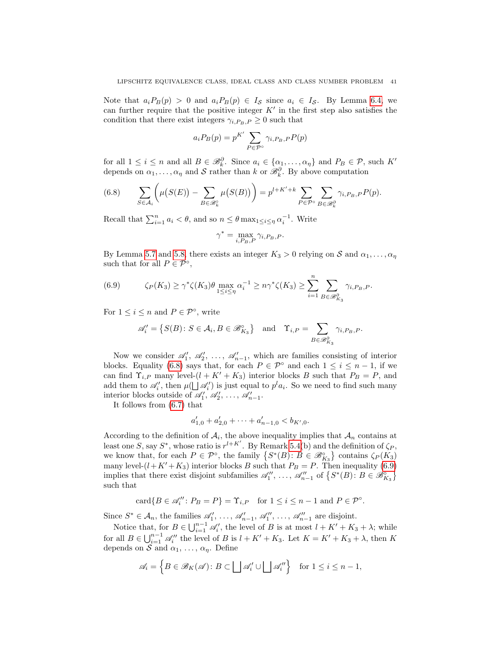Note that  $a_i P_B(p) > 0$  and  $a_i P_B(p) \in I_{\mathcal{S}}$  since  $a_i \in I_{\mathcal{S}}$ . By Lemma [6.4,](#page-37-1) we can further require that the positive integer  $K'$  in the first step also satisfies the condition that there exist integers  $\gamma_{i,P_B,P} \geq 0$  such that

$$
a_i P_B(p) = p^{K'} \sum_{P \in \mathcal{P}^{\circ}} \gamma_{i, P_B, P} P(p)
$$

for all  $1 \leq i \leq n$  and all  $B \in \mathcal{B}_{k}^{\partial}$ . Since  $a_i \in \{\alpha_1, \dots, \alpha_{\eta}\}\$  and  $P_B \in \mathcal{P}$ , such  $K'$ depends on  $\alpha_1, \ldots, \alpha_\eta$  and S rather than k or  $\mathcal{B}_k^{\partial}$ . By above computation

<span id="page-40-0"></span>(6.8) 
$$
\sum_{S \in \mathcal{A}_i} \left( \mu(S(E)) - \sum_{B \in \mathscr{B}_k^{\circ}} \mu(S(B)) \right) = p^{l + K' + k} \sum_{P \in \mathcal{P}^{\circ}} \sum_{B \in \mathscr{B}_k^{\partial}} \gamma_{i, P_B, P} P(p).
$$

Recall that  $\sum_{i=1}^{n} a_i < \theta$ , and so  $n \leq \theta \max_{1 \leq i \leq \eta} \alpha_i^{-1}$ . Write

$$
\gamma^* = \max_{i, P_B, P} \gamma_{i, P_B, P}.
$$

By Lemma [5.7](#page-30-1) and [5.8,](#page-30-2) there exists an integer  $K_3 > 0$  relying on S and  $\alpha_1, \ldots, \alpha_n$ such that for all  $P \in \mathcal{P}^{\circ}$ ,

<span id="page-40-1"></span>(6.9) 
$$
\zeta_P(K_3) \ge \gamma^* \zeta(K_3) \theta \max_{1 \le i \le \eta} \alpha_i^{-1} \ge n \gamma^* \zeta(K_3) \ge \sum_{i=1}^n \sum_{B \in \mathcal{B}_{K_3}^{\partial}} \gamma_{i, P_B, P}.
$$

For  $1 \leq i \leq n$  and  $P \in \mathcal{P}^{\circ}$ , write

$$
\mathscr{A}'_i = \left\{ S(B) \colon S \in \mathcal{A}_i, B \in \mathscr{B}_{K_3}^\circ \right\} \quad \text{and} \quad \Upsilon_{i,P} = \sum_{B \in \mathscr{B}_{K_3}^\partial} \gamma_{i,P_B,P}.
$$

Now we consider  $\mathscr{A}'_1, \mathscr{A}'_2, \ldots, \mathscr{A}'_{n-1}$ , which are families consisting of interior blocks. Equality [\(6.8\)](#page-40-0) says that, for each  $P \in \mathcal{P}^{\circ}$  and each  $1 \leq i \leq n-1$ , if we can find  $\Upsilon_{i,P}$  many level- $(l + K' + K_3)$  interior blocks B such that  $P_B = P$ , and add them to  $\mathscr{A}'_i$ , then  $\mu(\bigsqcup \mathscr{A}'_i)$  is just equal to  $p^l a_i$ . So we need to find such many interior blocks outside of  $\mathscr{A}'_1, \mathscr{A}'_2, \ldots, \mathscr{A}'_{n-1}$ .

It follows from [\(6.7\)](#page-39-0) that

$$
a'_{1,0} + a'_{2,0} + \cdots + a'_{n-1,0} < b_{K',0}.
$$

According to the definition of  $A_i$ , the above inequality implies that  $A_n$  contains at least one S, say  $S^*$ , whose ratio is  $r^{l+K'}$ . By Remark [5.4\(](#page-27-1)b) and the definition of  $\zeta_P$ , we know that, for each  $P \in \mathcal{P}^{\circ}$ , the family  $\{S^*(B) : B \in \mathcal{B}_{K_3}^{\circ}\}\)$  contains  $\zeta_P(K_3)$ many level- $(l+K'+K_3)$  interior blocks B such that  $P_B = P$ . Then inequality [\(6.9\)](#page-40-1) implies that there exist disjoint subfamilies  $\mathscr{A}'_1, \ldots, \mathscr{A}''_{n-1}$  of  $\{S^*(B): B \in \mathscr{B}_{K_3}^{\circ}\}\$ such that

$$
\operatorname{card}\{B\in\mathscr{A}_i''\colon P_B=P\}=\Upsilon_{i,P}\quad\text{for }1\leq i\leq n-1\text{ and }P\in\mathcal{P}^\circ.
$$

Since  $S^* \in \mathcal{A}_n$ , the families  $\mathscr{A}'_1, \ldots, \mathscr{A}'_{n-1}, \mathscr{A}''_1, \ldots, \mathscr{A}''_{n-1}$  are disjoint.

Notice that, for  $B \in \bigcup_{i=1}^{n-1} \mathcal{A}'_i$ , the level of B is at most  $l + K' + K_3 + \lambda$ ; while for all  $B \in \bigcup_{i=1}^{n-1} \mathcal{A}_i''$  the level of B is  $l + K' + K_3$ . Let  $K = K' + K_3 + \lambda$ , then K depends on S and  $\alpha_1, \ldots, \alpha_{\eta}$ . Define

$$
\mathscr{A}_i = \left\{ B \in \mathscr{B}_K(\mathscr{A}) \colon B \subset \bigsqcup \mathscr{A}_i' \cup \bigsqcup \mathscr{A}_i'' \right\} \quad \text{for } 1 \le i \le n-1,
$$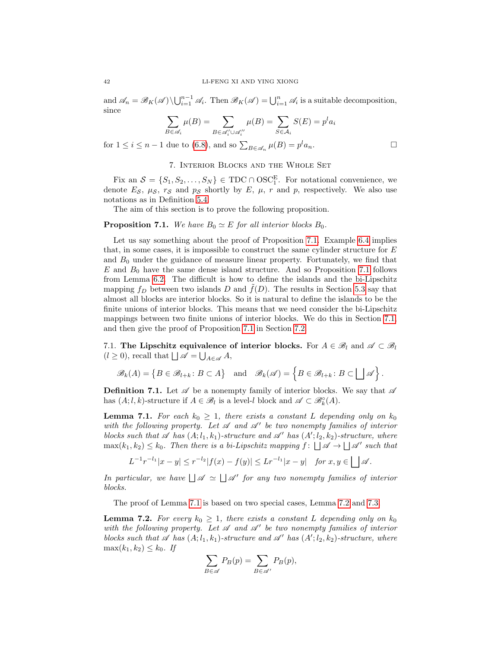and  $\mathscr{A}_n = \mathscr{B}_K(\mathscr{A}) \setminus \bigcup_{i=1}^{n-1} \mathscr{A}_i$ . Then  $\mathscr{B}_K(\mathscr{A}) = \bigcup_{i=1}^{n} \mathscr{A}_i$  is a suitable decomposition, since

$$
\sum_{B \in \mathscr{A}_i} \mu(B) = \sum_{B \in \mathscr{A}'_i \cup \mathscr{A}''_i} \mu(B) = \sum_{S \in \mathcal{A}_i} S(E) = p^l a_i
$$

for  $1 \leq i \leq n-1$  due to [\(6.8\)](#page-40-0), and so  $\sum_{B \in \mathscr{A}_n} \mu(B) = p^l a_n$ .

# 7. Interior Blocks and the Whole Set

<span id="page-41-0"></span>Fix an  $S = \{S_1, S_2, \ldots, S_N\} \in TDC \cap OSC_1^E$ . For notational convenience, we denote  $E_{\mathcal{S}}, \mu_{\mathcal{S}}, r_{\mathcal{S}}$  and  $p_{\mathcal{S}}$  shortly by  $E, \mu, r$  and p, respectively. We also use notations as in Definition [5.4.](#page-27-3)

The aim of this section is to prove the following proposition.

## <span id="page-41-2"></span>**Proposition 7.1.** We have  $B_0 \simeq E$  for all interior blocks  $B_0$ .

Let us say something about the proof of Proposition [7.1.](#page-41-2) Example [6.4](#page-35-3) implies that, in some cases, it is impossible to construct the same cylinder structure for  $E$ and  $B_0$  under the guidance of measure linear property. Fortunately, we find that  $E$  and  $B_0$  have the same dense island structure. And so Proposition [7.1](#page-41-2) follows from Lemma [6.2.](#page-34-0) The difficult is how to define the islands and the bi-Lipschitz mapping  $f_D$  between two islands D and  $f(D)$ . The results in Section [5.3](#page-30-0) say that almost all blocks are interior blocks. So it is natural to define the islands to be the finite unions of interior blocks. This means that we need consider the bi-Lipschitz mappings between two finite unions of interior blocks. We do this in Section [7.1,](#page-41-1) and then give the proof of Proposition [7.1](#page-41-2) in Section [7.2.](#page-47-0)

<span id="page-41-1"></span>7.1. The Lipschitz equivalence of interior blocks. For  $A \in \mathcal{B}_l$  and  $\mathcal{A} \subset \mathcal{B}_l$  $(l \ge 0)$ , recall that  $\Box \mathscr{A} = \bigcup_{A \in \mathscr{A}} A$ ,

$$
\mathscr{B}_k(A) = \left\{ B \in \mathscr{B}_{l+k} \colon B \subset A \right\} \quad \text{and} \quad \mathscr{B}_k(\mathscr{A}) = \left\{ B \in \mathscr{B}_{l+k} \colon B \subset \bigsqcup \mathscr{A} \right\}.
$$

**Definition 7.1.** Let  $\mathscr A$  be a nonempty family of interior blocks. We say that  $\mathscr A$ has  $(A; l, k)$ -structure if  $A \in \mathcal{B}_l$  is a level-l block and  $\mathscr{A} \subset \mathcal{B}_k^{\circ}(A)$ .

<span id="page-41-4"></span>**Lemma 7.1.** For each  $k_0 \geq 1$ , there exists a constant L depending only on  $k_0$ with the following property. Let  $\mathscr A$  and  $\mathscr A'$  be two nonempty families of interior blocks such that  $\mathscr A$  has  $(A; l_1, k_1)$ -structure and  $\mathscr A'$  has  $(A'; l_2, k_2)$ -structure, where  $\max(k_1, k_2) \leq k_0$ . Then there is a bi-Lipschitz mapping  $f: \Box \mathscr{A} \to \Box \mathscr{A}'$  such that

$$
L^{-1}r^{-l_1}|x-y| \le r^{-l_2}|f(x)-f(y)| \le Lr^{-l_1}|x-y| \quad \text{for } x, y \in \bigsqcup \mathscr{A}.
$$

In particular, we have  $\Box \mathscr{A} \simeq \Box \mathscr{A}'$  for any two nonempty families of interior blocks.

The proof of Lemma [7.1](#page-41-4) is based on two special cases, Lemma [7.2](#page-41-3) and [7.3.](#page-44-0)

<span id="page-41-3"></span>**Lemma 7.2.** For every  $k_0 \geq 1$ , there exists a constant L depending only on  $k_0$ with the following property. Let  $\mathscr A$  and  $\mathscr A'$  be two nonempty families of interior blocks such that  $\mathscr A$  has  $(A; l_1, k_1)$ -structure and  $\mathscr A'$  has  $(A'; l_2, k_2)$ -structure, where  $\max(k_1, k_2) \leq k_0$ . If

$$
\sum_{B \in \mathscr{A}} P_B(p) = \sum_{B \in \mathscr{A}'} P_B(p),
$$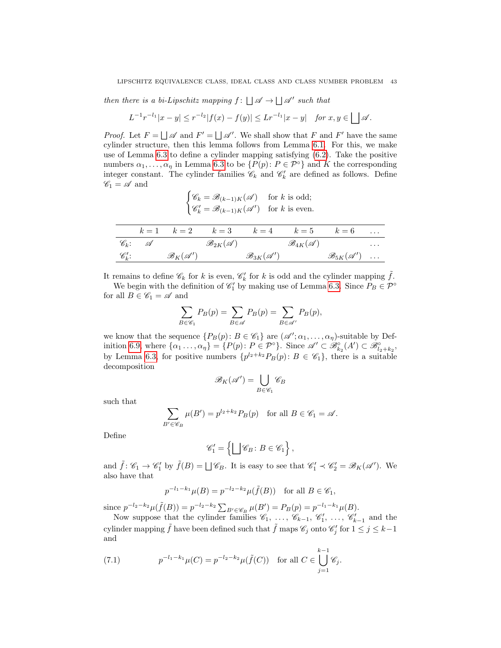then there is a bi-Lipschitz mapping  $f: \bigcup \mathscr{A} \to \bigcup \mathscr{A}'$  such that

$$
L^{-1}r^{-l_1}|x-y| \le r^{-l_2}|f(x)-f(y)| \le Lr^{-l_1}|x-y| \quad \text{for } x, y \in \bigsqcup \mathscr{A}.
$$

*Proof.* Let  $F = \bigsqcup \mathscr{A}$  and  $F' = \bigsqcup \mathscr{A}'$ . We shall show that F and F' have the same cylinder structure, then this lemma follows from Lemma [6.1.](#page-33-1) For this, we make use of Lemma [6.3](#page-36-2) to define a cylinder mapping satisfying [\(6.2\)](#page-35-2). Take the positive numbers  $\alpha_1, \ldots, \alpha_n$  in Lemma [6.3](#page-36-2) to be  $\{P(p): P \in \mathcal{P}^\circ\}$  and K the corresponding integer constant. The cylinder families  $\mathscr{C}_k$  and  $\mathscr{C}'_k$  are defined as follows. Define  $\mathscr{C}_1 = \mathscr{A}$  and

$$
\begin{cases} \mathscr{C}_k = \mathscr{B}_{(k-1)K}(\mathscr{A}) & \text{for } k \text{ is odd}; \\ \mathscr{C}'_k = \mathscr{B}_{(k-1)K}(\mathscr{A}') & \text{for } k \text{ is even}. \end{cases}
$$

|                     |                               |                                 |                                  |                                 | $k=1$ $k=2$ $k=3$ $k=4$ $k=5$ $k=6$ |          |
|---------------------|-------------------------------|---------------------------------|----------------------------------|---------------------------------|-------------------------------------|----------|
| $\mathscr{C}_k$ : A |                               | $\mathscr{B}_{2K}(\mathscr{A})$ |                                  | $\mathscr{B}_{4K}(\mathscr{A})$ |                                     | $\cdots$ |
| $\mathscr{C}'_k$ :  | $\mathscr{B}_K(\mathscr{A}')$ |                                 | $\mathscr{B}_{3K}(\mathscr{A}')$ |                                 | $\mathscr{B}_{5K}(\mathscr{A}')$    |          |

It remains to define  $\mathscr{C}_k$  for k is even,  $\mathscr{C}'_k$  for k is odd and the cylinder mapping  $\tilde{f}$ .

We begin with the definition of  $\mathscr{C}'_1$  by making use of Lemma [6.3.](#page-36-2) Since  $P_B \in \mathcal{P}^{\circ}$ for all  $B \in \mathscr{C}_1 = \mathscr{A}$  and

$$
\sum_{B \in \mathscr{C}_1} P_B(p) = \sum_{B \in \mathscr{A}} P_B(p) = \sum_{B \in \mathscr{A}'} P_B(p),
$$

we know that the sequence  $\{P_B(p): B \in \mathscr{C}_1\}$  are  $(\mathscr{A}'; \alpha_1, \ldots, \alpha_n)$ -suitable by Def-inition [6.9,](#page-36-3) where  $\{\alpha_1 \dots, \alpha_\eta\} = \{P(p) : P \in \mathcal{P}^\circ\}$ . Since  $\mathscr{A}' \subset \mathscr{B}_{k_2}^\circ(A') \subset \mathscr{B}_{l_2+k_2}^\circ$ , by Lemma [6.3,](#page-36-2) for positive numbers  $\{p^{l_2+k_2}P_B(p): B \in \mathscr{C}_1\}$ , there is a suitable decomposition

$$
\mathscr{B}_K(\mathscr{A}') = \bigcup_{B \in \mathscr{C}_1} \mathscr{C}_B
$$

such that

$$
\sum_{B' \in \mathscr{C}_B} \mu(B') = p^{l_2 + k_2} P_B(p) \quad \text{for all } B \in \mathscr{C}_1 = \mathscr{A}.
$$

Define

$$
\mathscr{C}'_1 = \left\{ \bigsqcup \mathscr{C}_B : B \in \mathscr{C}_1 \right\},\
$$

and  $\tilde{f} : \mathscr{C}_1 \to \mathscr{C}'_1$  by  $\tilde{f}(B) = \bigsqcup \mathscr{C}_B$ . It is easy to see that  $\mathscr{C}'_1 \prec \mathscr{C}'_2 = \mathscr{B}_K(\mathscr{A}')$ . We also have that

$$
p^{-l_1-k_1}\mu(B) = p^{-l_2-k_2}\mu(\tilde{f}(B)) \quad \text{for all } B \in \mathscr{C}_1,
$$

since  $p^{-l_2-k_2}\mu(\tilde{f}(B)) = p^{-l_2-k_2} \sum_{B' \in \mathscr{C}_B} \mu(B') = P_B(p) = p^{-l_1-k_1}\mu(B).$ 

Now suppose that the cylinder families  $\mathscr{C}_1, \ldots, \mathscr{C}_{k-1}, \mathscr{C}'_1, \ldots, \mathscr{C}'_{k-1}$  and the cylinder mapping  $\tilde{f}$  have been defined such that  $\tilde{f}$  maps  $\mathscr{C}_j$  onto  $\mathscr{C}'_j$  for  $1 \leq j \leq k-1$ and

<span id="page-42-0"></span>(7.1) 
$$
p^{-l_1-k_1}\mu(C) = p^{-l_2-k_2}\mu(\tilde{f}(C)) \text{ for all } C \in \bigcup_{j=1}^{k-1} \mathscr{C}_j.
$$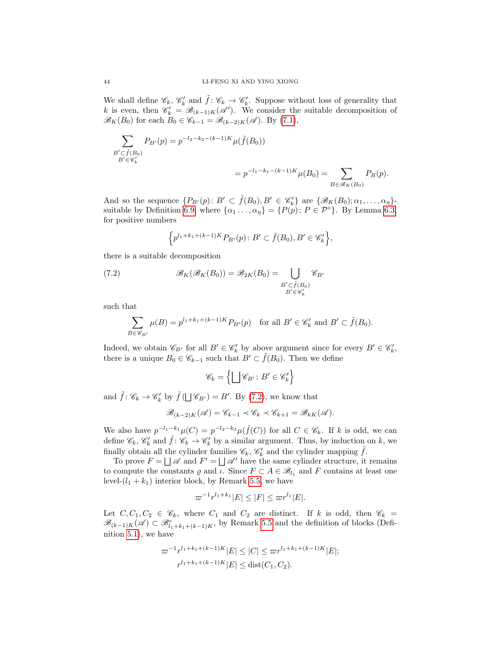We shall define  $\mathscr{C}_k$ ,  $\mathscr{C}'_k$  and  $\tilde{f} : \mathscr{C}_k \to \mathscr{C}'_k$ . Suppose without loss of generality that k is even, then  $\mathscr{C}'_k = \mathscr{B}_{(k-1)K}(\mathscr{A}')$ . We consider the suitable decomposition of  $\mathscr{B}_K(B_0)$  for each  $B_0 \in \mathscr{C}_{k-1} = \mathscr{B}_{(k-2)K}(\mathscr{A})$ . By [\(7.1\)](#page-42-0),

$$
\sum_{\substack{B' \subset \tilde{f}(B_0) \\ B' \in \mathscr{C}'_k}} P_{B'}(p) = p^{-l_2 - k_2 - (k-1)K} \mu(\tilde{f}(B_0))
$$
  
=  $p^{-l_1 - k_1 - (k-1)K} \mu(B_0) = \sum_{B \in \mathscr{B}_K(B_0)} P_B(p).$ 

And so the sequence  $\{P_{B'}(p): B' \subset \tilde{f}(B_0), B' \in \mathscr{C}'_k\}$  are  $\{\mathscr{B}_K(B_0); \alpha_1, \ldots, \alpha_\eta\}$ suitable by Definition [6.9,](#page-36-3) where  $\{\alpha_1 \ldots, \alpha_n\} = \{P(p): P \in \mathcal{P}^\circ\}$ . By Lemma [6.3,](#page-36-2) for positive numbers

<span id="page-43-0"></span>
$$
\Big\{p^{l_1+k_1+(k-1)K}P_{B'}(p)\colon B'\subset \tilde f(B_0), B'\in \mathscr{C}'_k\Big\},
$$

there is a suitable decomposition

(7.2) 
$$
\mathscr{B}_K(\mathscr{B}_K(B_0)) = \mathscr{B}_{2K}(B_0) = \bigcup_{\substack{B' \subset \tilde{f}(B_0) \\ B' \in \mathscr{C}'_k}} \mathscr{C}_{B'}
$$

such that

$$
\sum_{B \in \mathscr{C}_{B'}} \mu(B) = p^{l_1 + k_1 + (k-1)K} P_{B'}(p) \quad \text{for all } B' \in \mathscr{C}'_k \text{ and } B' \subset \tilde{f}(B_0).
$$

Indeed, we obtain  $\mathscr{C}_{B'}$  for all  $B' \in \mathscr{C}'_k$  by above argument since for every  $B' \in \mathscr{C}'_k$ , there is a unique  $B_0 \in \mathscr{C}_{k-1}$  such that  $B' \subset \tilde{f}(B_0)$ . Then we define

$$
\mathscr{C}_k = \left\{ \bigsqcup \mathscr{C}_{B'} \colon B' \in \mathscr{C}'_k \right\}
$$

and  $\tilde{f}$ :  $\mathscr{C}_k \to \mathscr{C}'_k$  by  $\tilde{f}(\bigsqcup \mathscr{C}_{B'}) = B'$ . By [\(7.2\)](#page-43-0), we know that

$$
\mathscr{B}_{(k-2)K}(\mathscr{A}) = \mathscr{C}_{k-1} \prec \mathscr{C}_k \prec \mathscr{C}_{k+1} = \mathscr{B}_{kK}(\mathscr{A}).
$$

We also have  $p^{-l_1-k_1}\mu(C) = p^{-l_2-k_2}\mu(\tilde{f}(C))$  for all  $C \in \mathscr{C}_k$ . If k is odd, we can define  $\mathscr{C}_k$ ,  $\mathscr{C}'_k$  and  $\tilde{f}: \mathscr{C}_k \to \mathscr{C}'_k$  by a similar argument. Thus, by induction on k, we finally obtain all the cylinder families  $\mathscr{C}_k$ ,  $\mathscr{C}'_k$  and the cylinder mapping  $\tilde{f}$ .

To prove  $F = \bigsqcup \mathscr{A}$  and  $F' = \bigsqcup \mathscr{A}'$  have the same cylinder structure, it remains to compute the constants  $\varrho$  and  $\iota$ . Since  $F \subset A \in \mathscr{B}_{l_1}$  and F contains at least one level- $(l_1 + k_1)$  interior block, by Remark [5.5,](#page-29-1) we have

$$
\varpi^{-1}r^{l_1+k_1}|E| \leq |F| \leq \varpi r^{l_1}|E|.
$$

Let  $C, C_1, C_2 \in \mathscr{C}_k$ , where  $C_1$  and  $C_2$  are distinct. If k is odd, then  $\mathscr{C}_k =$  $\mathscr{B}_{(k-1)K}(\mathscr{A})\subset \mathscr{B}^{\circ}_{l_1+k_1+(k-1)K}$ , by Remark [5.5](#page-29-1) and the definition of blocks (Definition [5.1\)](#page-26-4), we have

$$
\begin{aligned} \n\varpi^{-1}r^{l_1+k_1+(k-1)K}|E| &\leq |C| \leq \varpi r^{l_1+k_1+(k-1)K}|E|;\\
r^{l_1+k_1+(k-1)K}|E| &\leq \text{dist}(C_1, C_2). \n\end{aligned}
$$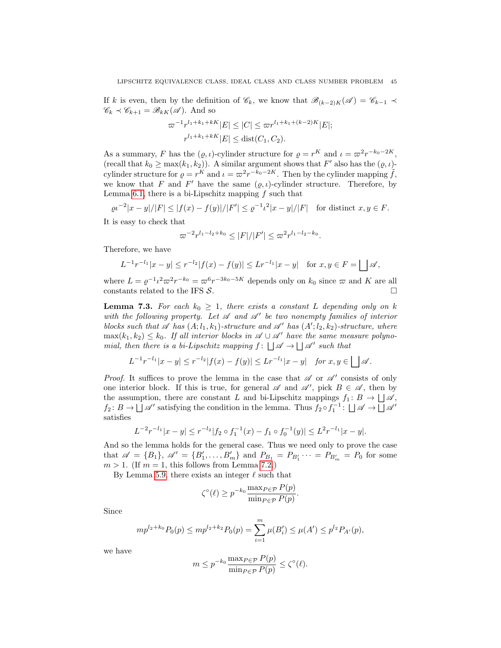If k is even, then by the definition of  $\mathscr{C}_k$ , we know that  $\mathscr{B}_{(k-2)K}(\mathscr{A}) = \mathscr{C}_{k-1} \prec$  $\mathscr{C}_k \prec \mathscr{C}_{k+1} = \mathscr{B}_{kK}(\mathscr{A})$ . And so

$$
\varpi^{-1}r^{l_1+k_1+k} |E| \leq |C| \leq \varpi r^{l_1+k_1+(k-2)K} |E|;
$$
  

$$
r^{l_1+k_1+k} |E| \leq \text{dist}(C_1, C_2).
$$

As a summary, F has the  $(\varrho, \iota)$ -cylinder structure for  $\varrho = r^K$  and  $\iota = \varpi^2 r^{-k_0 - 2K}$ , (recall that  $k_0 \ge \max(k_1, k_2)$ ). A similar argument shows that F' also has the  $(\varrho, \iota)$ cylinder structure for  $\rho = r^K$  and  $\iota = \varpi^2 r^{-k_0 - 2K}$ . Then by the cylinder mapping  $\tilde{f}$ , we know that F and F' have the same  $(\varrho, \iota)$ -cylinder structure. Therefore, by Lemma [6.1,](#page-33-1) there is a bi-Lipschitz mapping  $f$  such that

$$
\rho \nu^{-2} |x - y|/|F| \le |f(x) - f(y)|/|F'| \le \rho^{-1} \nu^2 |x - y|/|F| \quad \text{for distinct } x, y \in F.
$$

It is easy to check that

$$
\varpi^{-2}r^{l_1-l_2+k_0} \le |F|/|F'| \le \varpi^2 r^{l_1-l_2-k_0}.
$$

Therefore, we have

$$
L^{-1}r^{-l_1}|x-y| \le r^{-l_2}|f(x)-f(y)| \le Lr^{-l_1}|x-y| \text{ for } x,y \in F = \bigsqcup \mathscr{A},
$$

where  $L = \varrho^{-1} \iota^2 \varpi^2 r^{-k_0} = \varpi^6 r^{-3k_0 - 5K}$  depends only on  $k_0$  since  $\varpi$  and K are all constants related to the IFS  $\mathcal{S}$ .

<span id="page-44-0"></span>**Lemma 7.3.** For each  $k_0 \geq 1$ , there exists a constant L depending only on k with the following property. Let  $\mathscr A$  and  $\mathscr A'$  be two nonempty families of interior blocks such that  $\mathscr A$  has  $(A; l_1, k_1)$ -structure and  $\mathscr A'$  has  $(A'; l_2, k_2)$ -structure, where  $\max(k_1, k_2) \leq k_0$ . If all interior blocks in  $\mathscr{A} \cup \mathscr{A}'$  have the same measure polynomial, then there is a bi-Lipschitz mapping  $f: \bigcup \mathscr{A} \to \bigcup \mathscr{A}'$  such that

$$
L^{-1}r^{-l_1}|x-y| \le r^{-l_2}|f(x)-f(y)| \le Lr^{-l_1}|x-y| \quad \text{for } x, y \in \bigsqcup \mathscr{A}.
$$

*Proof.* It suffices to prove the lemma in the case that  $\mathscr A$  or  $\mathscr A'$  consists of only one interior block. If this is true, for general  $\mathscr A$  and  $\mathscr A'$ , pick  $B \in \mathscr A$ , then by the assumption, there are constant L and bi-Lipschitz mappings  $f_1: B \to \bigsqcup \mathscr{A}$ ,  $f_2: B \to \Box \mathscr{A}'$  satisfying the condition in the lemma. Thus  $f_2 \circ f_1^{-1}: \Box \mathscr{A} \to \Box \mathscr{A}'$ satisfies

$$
L^{-2}r^{-l_1}|x-y| \le r^{-l_2}|f_2 \circ f_1^{-1}(x) - f_1 \circ f_0^{-1}(y)| \le L^2r^{-l_1}|x-y|.
$$

And so the lemma holds for the general case. Thus we need only to prove the case that  $\mathscr{A} = \{B_1\}, \ \mathscr{A}' = \{B'_1, \ldots, B'_m\}$  and  $P_{B_1} = P_{B'_1} \cdots = P_{B'_m} = P_0$  for some  $m > 1$ . (If  $m = 1$ , this follows from Lemma [7.2.](#page-41-3))

By Lemma [5.9,](#page-31-1) there exists an integer  $\ell$  such that

$$
\zeta^{\circ}(\ell) \ge p^{-k_0} \frac{\max_{P \in \mathcal{P}} P(p)}{\min_{P \in \mathcal{P}} P(p)}.
$$

Since

$$
mp^{l_2+k_0}P_0(p) \le mp^{l_2+k_2}P_0(p) = \sum_{i=1}^m \mu(B'_i) \le \mu(A') \le p^{l_2}P_{A'}(p),
$$

we have

$$
m \le p^{-k_0} \frac{\max_{P \in \mathcal{P}} P(p)}{\min_{P \in \mathcal{P}} P(p)} \le \zeta^{\circ}(\ell).
$$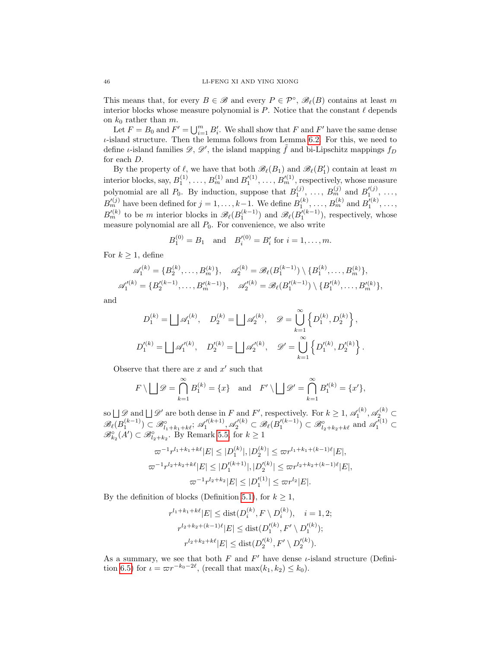This means that, for every  $B \in \mathscr{B}$  and every  $P \in \mathcal{P}^{\circ}$ ,  $\mathscr{B}_{\ell}(B)$  contains at least m interior blocks whose measure polynomial is  $P$ . Notice that the constant  $\ell$  depends on  $k_0$  rather than m.

Let  $F = B_0$  and  $F' = \bigcup_{i=1}^m B'_i$ . We shall show that F and F' have the same dense  $\iota$ -island structure. Then the lemma follows from Lemma [6.2.](#page-34-0) For this, we need to define *ι*-island families  $\mathscr{D}, \mathscr{D}'$ , the island mapping  $\tilde{f}$  and bi-Lipschitz mappings  $f_D$ for each D.

By the property of  $\ell$ , we have that both  $\mathscr{B}_{\ell}(B_1)$  and  $\mathscr{B}_{\ell}(B'_1)$  contain at least m interior blocks, say,  $B_1^{(1)}, \ldots, B_m^{(1)}$  and  $B_1^{\prime(1)}, \ldots, B_m^{\prime(1)}$ , respectively, whose measure polynomial are all  $P_0$ . By induction, suppose that  $B_1^{(j)}, \ldots, B_m^{(j)}$  and  $B_1'^{(j)}, \ldots,$  $B_m^{(i)}$  have been defined for  $j = 1, \ldots, k-1$ . We define  $B_1^{(k)}, \ldots, B_m^{(k)}$  and  $B_1'^{(k)}, \ldots$ ,  $B'^{(k)}_{m}$  to be m interior blocks in  $\mathscr{B}_{\ell}(B_1^{(k-1)})$  and  $\mathscr{B}_{\ell}(B_1'^{(k-1)})$ , respectively, whose measure polynomial are all  $P_0$ . For convenience, we also write

$$
B_1^{(0)} = B_1
$$
 and  $B_i'^{(0)} = B_i'$  for  $i = 1, ..., m$ .

For  $k \geq 1$ , define

$$
\mathscr{A}_1^{(k)} = \{B_2^{(k)}, \dots, B_m^{(k)}\}, \quad \mathscr{A}_2^{(k)} = \mathscr{B}_{\ell}(B_1^{(k-1)}) \setminus \{B_1^{(k)}, \dots, B_m^{(k)}\},
$$
  

$$
\mathscr{A}_1'^{(k)} = \{B_2'^{(k-1)}, \dots, B_m'^{(k-1)}\}, \quad \mathscr{A}_2'^{(k)} = \mathscr{B}_{\ell}(B_1'^{(k-1)}) \setminus \{B_1'^{(k)}, \dots, B_m'^{(k)}\},
$$

 $\sim$ 

and

$$
\begin{split} D_1^{(k)} = \bigsqcup \mathscr{A}_1^{(k)}, \quad D_2^{(k)} = \bigsqcup \mathscr{A}_2^{(k)}, \quad \mathscr{D} = \bigcup_{k=1}^\infty \left\{ D_1^{(k)}, D_2^{(k)} \right\}, \\ D_1'^{(k)} = \bigsqcup \mathscr{A}_1'^{(k)}, \quad D_2'^{(k)} = \bigsqcup \mathscr{A}_2'^{(k)}, \quad \mathscr{D}' = \bigcup_{k=1}^\infty \left\{ D_1'^{(k)}, D_2'^{(k)} \right\}. \end{split}
$$

Observe that there are  $x$  and  $x'$  such that

$$
F \setminus \bigsqcup \mathscr{D} = \bigcap_{k=1}^{\infty} B_1^{(k)} = \{x\}
$$
 and  $F' \setminus \bigsqcup \mathscr{D}' = \bigcap_{k=1}^{\infty} B_1'^{(k)} = \{x'\},$ 

so  $\Box \mathscr{D}$  and  $\Box \mathscr{D}'$  are both dense in F and F', respectively. For  $k \geq 1$ ,  $\mathscr{A}_1^{(k)}$ ,  $\mathscr{A}_2^{(k)}$  $\mathscr{B}_{\ell}(B_1^{(k-1)}) \subset \mathscr{B}_{l_1+k_1+k\ell}^{\circ}$ ;  $\mathscr{A}_1^{\prime(k+1)}$ ,  $\mathscr{A}_2^{\prime(k)} \subset \mathscr{B}_{\ell}(B_1^{\prime(k-1)}) \subset \mathscr{B}_{l_2+k_2+k\ell}^{\circ}$  and  $\mathscr{A}_1^{\prime(1)} \subset$  $\mathscr{B}_{k_2}^{\circ}(A') \subset \mathscr{B}_{l_2+k_2}^{\circ}$ . By Remark [5.5,](#page-29-1) for  $k \geq 1$ 

$$
\begin{aligned} \n\varpi^{-1}r^{l_1+k_1+k\ell}|E| &\leq |D_1^{(k)}|, |D_2^{(k)}| \leq \varpi r^{l_1+k_1+(k-1)\ell}|E|, \\
\varpi^{-1}r^{l_2+k_2+k\ell}|E| &\leq |D_1^{\prime(k+1)}|, |D_2^{\prime(k)}| \leq \varpi r^{l_2+k_2+(k-1)\ell}|E|, \\
\varpi^{-1}r^{l_2+k_2}|E| &\leq |D_1^{\prime(1)}| \leq \varpi r^{l_2}|E|. \n\end{aligned}
$$

By the definition of blocks (Definition [5.1\)](#page-26-4), for  $k \geq 1$ ,

$$
r^{l_1+k_1+k\ell}|E| \le \text{dist}(D_i^{(k)}, F \setminus D_i^{(k)}), \quad i = 1, 2;
$$
  

$$
r^{l_2+k_2+(k-1)\ell}|E| \le \text{dist}(D_1'^{(k)}, F' \setminus D_1'^{(k)});
$$
  

$$
r^{l_2+k_2+k\ell}|E| \le \text{dist}(D_2'^{(k)}, F' \setminus D_2'^{(k)}).
$$

As a summary, we see that both  $F$  and  $F'$  have dense *ι*-island structure (Defini-tion [6.5\)](#page-33-0) for  $\iota = \varpi r^{-k_0-2\ell}$ , (recall that  $\max(k_1, k_2) \leq k_0$ ).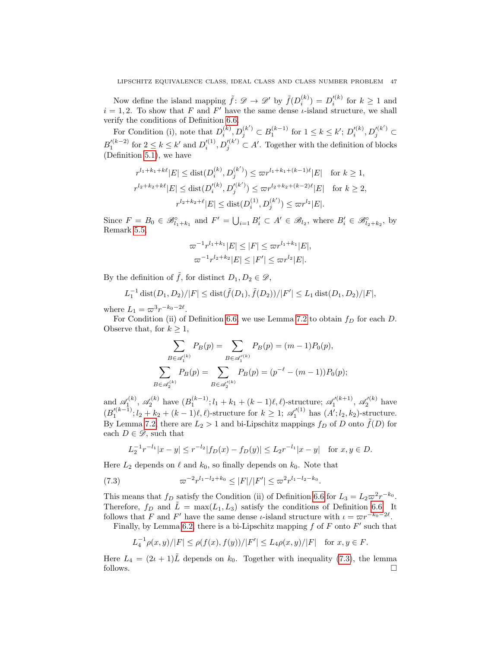Now define the island mapping  $\tilde{f}: \mathscr{D} \to \mathscr{D}'$  by  $\tilde{f}(D_i^{(k)}) = D_i'^{(k)}$  for  $k \geq 1$  and  $i = 1, 2$ . To show that F and F' have the same dense *i*-island structure, we shall verify the conditions of Definition [6.6.](#page-34-1)

For Condition (i), note that  $D_i^{(k)}, D_j^{(k')} \subset B_1^{(k-1)}$  for  $1 \leq k \leq k'$ ;  $D_i'^{(k)}, D_j'^{(k')} \subset$  $B_1^{(k-2)}$  for  $2 \leq k \leq k'$  and  $D_i^{(1)}, D_j^{(k')} \subset A'$ . Together with the definition of blocks (Definition [5.1\)](#page-26-4), we have

$$
r^{l_1+k_1+k\ell}|E| \leq \text{dist}(D_i^{(k)}, D_j^{(k')}) \leq \varpi r^{l_1+k_1+(k-1)\ell}|E| \quad \text{for } k \geq 1,
$$
  

$$
r^{l_2+k_2+k\ell}|E| \leq \text{dist}(D_i'^{(k)}, D_j'^{(k')}) \leq \varpi r^{l_2+k_2+(k-2)\ell}|E| \quad \text{for } k \geq 2,
$$
  

$$
r^{l_2+k_2+\ell}|E| \leq \text{dist}(D_i^{(1)}, D_j^{(k')}) \leq \varpi r^{l_2}|E|.
$$

Since  $F = B_0 \in \mathscr{B}_{l_1+k_1}^{\circ}$  and  $F' = \bigcup_{i=1} B'_i \subset A' \in \mathscr{B}_{l_2}$ , where  $B'_i \in \mathscr{B}_{l_2+k_2}^{\circ}$ , by Remark [5.5,](#page-29-1)

$$
\varpi^{-1}r^{l_1+k_1}|E| \leq |F| \leq \varpi r^{l_1+k_1}|E|,
$$
  

$$
\varpi^{-1}r^{l_2+k_2}|E| \leq |F'| \leq \varpi r^{l_2}|E|.
$$

By the definition of  $\tilde{f}$ , for distinct  $D_1, D_2 \in \mathscr{D}$ ,

$$
L_1^{-1} \operatorname{dist}(D_1, D_2)/|F| \le \operatorname{dist}(\tilde{f}(D_1), \tilde{f}(D_2))/|F'| \le L_1 \operatorname{dist}(D_1, D_2)/|F|,
$$

where  $L_1 = \varpi^3 r^{-k_0 - 2\ell}$ .

For Condition (ii) of Definition [6.6,](#page-34-1) we use Lemma [7.2](#page-41-3) to obtain  $f_D$  for each D. Observe that, for  $k \geq 1$ ,

$$
\sum_{B \in \mathscr{A}_1^{(k)}} P_B(p) = \sum_{B \in \mathscr{A}_1^{(k)}} P_B(p) = (m-1)P_0(p),
$$
  

$$
\sum_{B \in \mathscr{A}_2^{(k)}} P_B(p) = \sum_{B \in \mathscr{A}_2^{(k)}} P_B(p) = (p^{-\ell} - (m-1))P_0(p);
$$

and  $\mathscr{A}_1^{(k)}$ ,  $\mathscr{A}_2^{(k)}$  have  $(B_1^{(k-1)}; l_1 + k_1 + (k-1)\ell, \ell)$ -structure;  $\mathscr{A}_1'^{(k+1)}$ ,  $\mathscr{A}_2'^{(k)}$  have  $(B_1^{\prime(k-1)}; l_2 + k_2 + (k-1)\ell, \ell)$ -structure for  $k \geq 1$ ;  $\mathscr{A}_1^{\prime(1)}$  has  $(A'; l_2, k_2)$ -structure. By Lemma [7.2,](#page-41-3) there are  $L_2 > 1$  and bi-Lipschitz mappings  $f_D$  of D onto  $\tilde{f}(D)$  for each  $D \in \mathscr{D}$ , such that

<span id="page-46-0"></span>
$$
L_2^{-1}r^{-l_1}|x-y| \le r^{-l_2}|f_D(x) - f_D(y)| \le L_2r^{-l_1}|x-y| \text{ for } x, y \in D.
$$

Here  $L_2$  depends on  $\ell$  and  $k_0$ , so finally depends on  $k_0$ . Note that

(7.3) 
$$
\varpi^{-2} r^{l_1-l_2+k_0} \le |F|/|F'| \le \varpi^2 r^{l_1-l_2-k_0}.
$$

This means that  $f_D$  satisfy the Condition (ii) of Definition [6.6](#page-34-1) for  $L_3 = L_2 \varpi^2 r^{-k_0}$ . Therefore,  $f_D$  and  $\tilde{L} = \max(L_1, L_3)$  satisfy the conditions of Definition [6.6.](#page-34-1) It follows that F and F' have the same dense *ι*-island structure with  $\iota = \varpi r^{-k_0-2\ell}$ .

Finally, by Lemma [6.2,](#page-34-0) there is a bi-Lipschitz mapping  $f$  of  $F$  onto  $F'$  such that

$$
L_4^{-1} \rho(x, y)/|F| \le \rho(f(x), f(y))/|F'| \le L_4 \rho(x, y)/|F| \quad \text{for } x, y \in F.
$$

Here  $L_4 = (2\iota + 1)\tilde{L}$  depends on  $k_0$ . Together with inequality [\(7.3\)](#page-46-0), the lemma follows.  $\Box$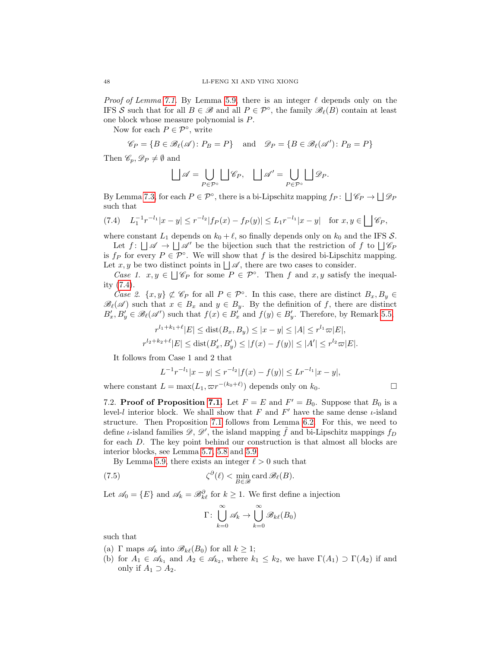*Proof of Lemma [7.1.](#page-41-4)* By Lemma [5.9,](#page-31-1) there is an integer  $\ell$  depends only on the IFS S such that for all  $B \in \mathcal{B}$  and all  $P \in \mathcal{P}^{\circ}$ , the family  $\mathcal{B}_{\ell}(B)$  contain at least one block whose measure polynomial is P.

Now for each  $P \in \mathcal{P}^{\circ}$ , write

$$
\mathscr{C}_P = \{ B \in \mathscr{B}_{\ell}(\mathscr{A}) : P_B = P \}
$$
 and  $\mathscr{D}_P = \{ B \in \mathscr{B}_{\ell}(\mathscr{A}') : P_B = P \}$ 

Then  $\mathscr{C}_p$ ,  $\mathscr{D}_P \neq \emptyset$  and

$$
\bigsqcup \mathscr{A} = \bigcup_{P \in \mathcal{P}^\circ} \bigsqcup \mathscr{C}_P, \quad \bigsqcup \mathscr{A}' = \bigcup_{P \in \mathcal{P}^\circ} \bigsqcup \mathscr{D}_P.
$$

By Lemma [7.3,](#page-44-0) for each  $P \in \mathcal{P}^{\circ}$ , there is a bi-Lipschitz mapping  $f_P: \Box \mathscr{C}_P \to \Box \mathscr{D}_P$ such that

<span id="page-47-1"></span>
$$
(7.4) \quad L_1^{-1}r^{-l_1}|x-y| \le r^{-l_2}|f_P(x)-f_P(y)| \le L_1r^{-l_1}|x-y| \quad \text{for } x, y \in \bigsqcup \mathscr{C}_P,
$$

where constant  $L_1$  depends on  $k_0 + \ell$ , so finally depends only on  $k_0$  and the IFS S.

Let  $f: \bigcup \mathscr{A} \to \bigcup \mathscr{A}'$  be the bijection such that the restriction of f to  $\bigcup \mathscr{C}_P$ is  $f_P$  for every  $P \in \mathcal{P}^{\circ}$ . We will show that f is the desired bi-Lipschitz mapping. Let  $x, y$  be two distinct points in  $\Box \mathscr{A}$ , there are two cases to consider.

Case 1.  $x, y \in \bigcup \mathscr{C}_P$  for some  $P \in \mathcal{P}^{\circ}$ . Then f and  $x, y$  satisfy the inequality [\(7.4\)](#page-47-1).

Case 2.  $\{x, y\} \not\subset \mathscr{C}_P$  for all  $P \in \mathcal{P}^\circ$ . In this case, there are distinct  $B_x, B_y \in$  $\mathscr{B}_{\ell}(\mathscr{A})$  such that  $x \in B_x$  and  $y \in B_y$ . By the definition of f, there are distinct  $B'_x, B'_y \in \mathscr{B}_{\ell}(\mathscr{A}')$  such that  $f(x) \in B'_x$  and  $f(y) \in B'_y$ . Therefore, by Remark [5.5,](#page-29-1)

$$
r^{l_1+k_1+\ell}|E| \le \text{dist}(B_x, B_y) \le |x-y| \le |A| \le r^{l_1} \varpi|E|,
$$
  

$$
r^{l_2+k_2+\ell}|E| \le \text{dist}(B'_x, B'_y) \le |f(x)-f(y)| \le |A'| \le r^{l_2} \varpi|E|.
$$

It follows from Case 1 and 2 that

$$
L^{-1}r^{-l_1}|x-y| \le r^{-l_2}|f(x)-f(y)| \le Lr^{-l_1}|x-y|,
$$

where constant  $L = \max(L_1, \varpi r^{-(k_0 + \ell)})$  depends only on  $k_0$ .

<span id="page-47-0"></span>7.2. **Proof of Proposition [7.1.](#page-41-2)** Let  $F = E$  and  $F' = B_0$ . Suppose that  $B_0$  is a level-l interior block. We shall show that F and  $F'$  have the same dense  $\iota$ -island structure. Then Proposition [7.1](#page-41-2) follows from Lemma [6.2.](#page-34-0) For this, we need to define *ι*-island families  $\mathscr{D}, \mathscr{D}'$ , the island mapping  $\tilde{f}$  and bi-Lipschitz mappings  $f_D$ for each D. The key point behind our construction is that almost all blocks are interior blocks, see Lemma [5.7,](#page-30-1) [5.8](#page-30-2) and [5.9.](#page-31-1)

By Lemma [5.9,](#page-31-1) there exists an integer  $\ell > 0$  such that

(7.5) 
$$
\zeta^{\partial}(\ell) < \min_{B \in \mathscr{B}} \text{card } \mathscr{B}_{\ell}(B).
$$

Let  $\mathcal{A}_0 = \{E\}$  and  $\mathcal{A}_k = \mathcal{B}^{\partial}_{k\ell}$  for  $k \geq 1$ . We first define a injection

<span id="page-47-2"></span>
$$
\Gamma \colon \bigcup_{k=0}^{\infty} \mathscr{A}_k \to \bigcup_{k=0}^{\infty} \mathscr{B}_{k\ell}(B_0)
$$

such that

- (a) Γ maps  $\mathscr{A}_k$  into  $\mathscr{B}_{k\ell}(B_0)$  for all  $k \geq 1$ ;
- (b) for  $A_1 \in \mathscr{A}_{k_1}$  and  $A_2 \in \mathscr{A}_{k_2}$ , where  $k_1 \leq k_2$ , we have  $\Gamma(A_1) \supset \Gamma(A_2)$  if and only if  $A_1 \supset A_2$ .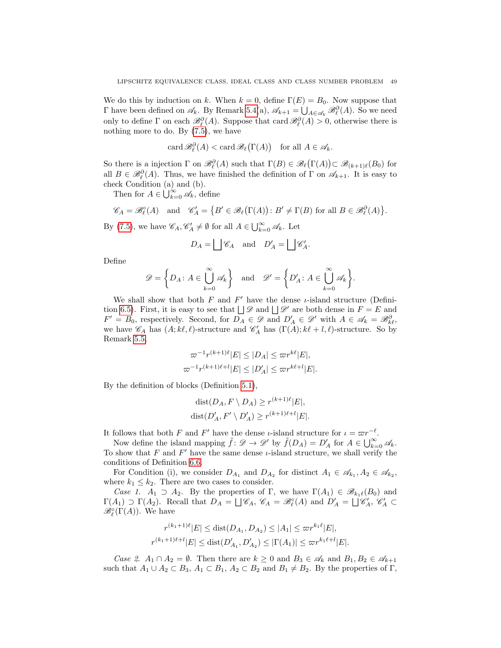We do this by induction on k. When  $k = 0$ , define  $\Gamma(E) = B_0$ . Now suppose that Γ have been defined on  $\mathcal{A}_k$ . By Remark [5.4\(](#page-27-1)a),  $\mathcal{A}_{k+1} = \bigcup_{A \in \mathcal{A}_k} \mathcal{B}_{\ell}^{\partial}(A)$ . So we need only to define  $\Gamma$  on each  $\mathcal{B}_{\ell}^{\partial}(A)$ . Suppose that card  $\mathcal{B}_{\ell}^{\partial}(A) > 0$ , otherwise there is nothing more to do. By [\(7.5\)](#page-47-2), we have

$$
\operatorname{card} \mathcal{B}_{\ell}^{\partial}(A) < \operatorname{card} \mathcal{B}_{\ell}(\Gamma(A)) \quad \text{for all } A \in \mathcal{A}_{k}.
$$

So there is a injection  $\Gamma$  on  $\mathscr{B}_{\ell}^{\partial}(A)$  such that  $\Gamma(B) \in \mathscr{B}_{\ell}(\Gamma(A)) \subset \mathscr{B}_{(k+1)\ell}(B_0)$  for all  $B \in \mathcal{B}_{\ell}^{\partial}(A)$ . Thus, we have finished the definition of  $\Gamma$  on  $\mathscr{A}_{k+1}$ . It is easy to check Condition (a) and (b).

Then for  $A \in \bigcup_{k=0}^{\infty} \mathscr{A}_k$ , define

$$
\mathscr{C}_A=\mathscr{B}_{\ell}^{\circ}(A) \text{ and } \mathscr{C}'_A=\big\{B'\in\mathscr{B}_{\ell}\big(\Gamma(A)\big)\colon B'\neq \Gamma(B) \text{ for all } B\in\mathscr{B}_{\ell}^{\partial}(A)\big\}.
$$

By [\(7.5\)](#page-47-2), we have  $\mathscr{C}_A, \mathscr{C}'_A \neq \emptyset$  for all  $A \in \bigcup_{k=0}^{\infty} \mathscr{A}_k$ . Let

$$
D_A = \bigsqcup \mathscr{C}_A
$$
 and  $D'_A = \bigsqcup \mathscr{C}'_A$ .

Define

$$
\mathscr{D} = \left\{ D_A \colon A \in \bigcup_{k=0}^{\infty} \mathscr{A}_k \right\} \quad \text{and} \quad \mathscr{D}' = \left\{ D'_A \colon A \in \bigcup_{k=0}^{\infty} \mathscr{A}_k \right\}.
$$

We shall show that both  $F$  and  $F'$  have the dense  $\iota$ -island structure (Defini-tion [6.5\)](#page-33-0). First, it is easy to see that  $\Box \mathscr{D}$  and  $\Box \mathscr{D}'$  are both dense in  $F = E$  and  $F' = B_0$ , respectively. Second, for  $D_A \in \mathscr{D}$  and  $D'_A \in \mathscr{D}'$  with  $A \in \mathscr{A}_k = \mathscr{B}_{k\ell}^{\partial}$ , we have  $\mathscr{C}_A$  has  $(A; k\ell, \ell)$ -structure and  $\mathscr{C}'_A$  has  $(\Gamma(A); k\ell + l, \ell)$ -structure. So by Remark [5.5,](#page-29-1)

$$
\varpi^{-1}r^{(k+1)\ell}|E| \le |D_A| \le \varpi r^{k\ell}|E|,
$$
  

$$
\varpi^{-1}r^{(k+1)\ell+l}|E| \le |D'_A| \le \varpi r^{k\ell+l}|E|.
$$

By the definition of blocks (Definition [5.1\)](#page-26-4),

$$
dist(D_A, F \setminus D_A) \ge r^{(k+1)\ell} |E|,
$$
  

$$
dist(D'_A, F' \setminus D'_A) \ge r^{(k+1)\ell + l} |E|.
$$

It follows that both F and F' have the dense *ι*-island structure for  $\iota = \varpi r^{-\ell}$ .

Now define the island mapping  $\tilde{f} : \mathscr{D} \to \mathscr{D}'$  by  $\tilde{f}(D_A) = D'_A$  for  $A \in \bigcup_{k=0}^{\infty} \mathscr{A}_k$ . To show that F and F' have the same dense  $\iota$ -island structure, we shall verify the conditions of Definition [6.6.](#page-34-1)

For Condition (i), we consider  $D_{A_1}$  and  $D_{A_2}$  for distinct  $A_1 \in \mathscr{A}_{k_1}, A_2 \in \mathscr{A}_{k_2}$ , where  $k_1 \leq k_2$ . There are two cases to consider.

Case 1.  $A_1 \supset A_2$ . By the properties of Γ, we have  $\Gamma(A_1) \in \mathcal{B}_{k_1\ell}(B_0)$  and  $\Gamma(A_1) \supset \Gamma(A_2)$ . Recall that  $D_A = \bigsqcup \mathscr{C}_A$ ,  $\mathscr{C}_A = \mathscr{B}_{\ell}^{\circ}(A)$  and  $D'_A = \bigsqcup \mathscr{C}'_A$ ,  $\mathscr{C}'_A \subset$  $\mathscr{B}_{\ell}^{\circ}(\Gamma(A))$ . We have

$$
r^{(k_1+1)\ell} |E| \leq \text{dist}(D_{A_1}, D_{A_2}) \leq |A_1| \leq \varpi r^{k_1 \ell} |E|,
$$
  

$$
r^{(k_1+1)\ell+l} |E| \leq \text{dist}(D'_{A_1}, D'_{A_2}) \leq |\Gamma(A_1)| \leq \varpi r^{k_1 \ell+l} |E|.
$$

Case 2.  $A_1 \cap A_2 = \emptyset$ . Then there are  $k \geq 0$  and  $B_3 \in \mathscr{A}_k$  and  $B_1, B_2 \in \mathscr{A}_{k+1}$ such that  $A_1 \cup A_2 \subset B_3$ ,  $A_1 \subset B_1$ ,  $A_2 \subset B_2$  and  $B_1 \neq B_2$ . By the properties of  $\Gamma$ ,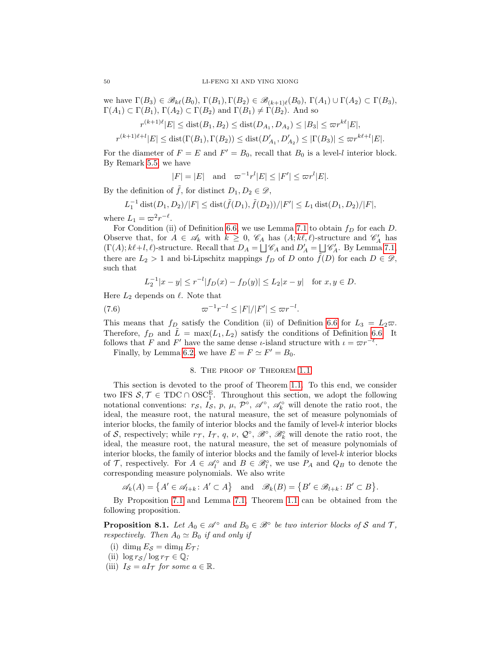we have  $\Gamma(B_3) \in \mathscr{B}_{k\ell}(B_0), \Gamma(B_1), \Gamma(B_2) \in \mathscr{B}_{(k+1)\ell}(B_0), \Gamma(A_1) \cup \Gamma(A_2) \subset \Gamma(B_3),$  $\Gamma(A_1) \subset \Gamma(B_1)$ ,  $\Gamma(A_2) \subset \Gamma(B_2)$  and  $\Gamma(B_1) \neq \Gamma(B_2)$ . And so

$$
r^{(k+1)\ell} |E| \leq \text{dist}(B_1, B_2) \leq \text{dist}(D_{A_1}, D_{A_2}) \leq |B_3| \leq \varpi r^{k\ell} |E|,
$$

 $r^{(k+1)\ell+l}|E| \leq \text{dist}(\Gamma(B_1), \Gamma(B_2)) \leq \text{dist}(D'_{A_1}, D'_{A_2}) \leq |\Gamma(B_3)| \leq \varpi r^{k\ell+l}|E|.$ 

For the diameter of  $F = E$  and  $F' = B_0$ , recall that  $B_0$  is a level-l interior block. By Remark [5.5,](#page-29-1) we have

$$
|F| = |E| \quad \text{and} \quad \varpi^{-1}r^{l}|E| \le |F'| \le \varpi r^{l}|E|.
$$

By the definition of  $\tilde{f}$ , for distinct  $D_1, D_2 \in \mathscr{D}$ ,

$$
L_1^{-1} \operatorname{dist}(D_1, D_2) / |F| \leq \operatorname{dist}(\tilde{f}(D_1), \tilde{f}(D_2)) / |F'| \leq L_1 \operatorname{dist}(D_1, D_2) / |F|,
$$

where  $L_1 = \varpi^2 r^{-\ell}$ .

For Condition (ii) of Definition [6.6,](#page-34-1) we use Lemma [7.1](#page-41-4) to obtain  $f_D$  for each D. Observe that, for  $A \in \mathscr{A}_k$  with  $k \geq 0$ ,  $\mathscr{C}_A$  has  $(A; k\ell, \ell)$ -structure and  $\mathscr{C}'_A$  has  $(\Gamma(A); k\ell+l, \ell)$ -structure. Recall that  $D_A = \bigsqcup \mathscr{C}_A$  and  $D'_A = \bigsqcup \mathscr{C}'_A$ . By Lemma [7.1,](#page-41-4) there are  $L_2 > 1$  and bi-Lipschitz mappings  $f_D$  of D onto  $\tilde{f}(D)$  for each  $D \in \mathcal{D}$ , such that

$$
L_2^{-1}|x-y| \le r^{-l}|f_D(x) - f_D(y)| \le L_2|x-y| \quad \text{for } x, y \in D.
$$

Here  $L_2$  depends on  $\ell$ . Note that

(7.6) \$<sup>−</sup><sup>1</sup> r <sup>−</sup><sup>l</sup> ≤ |F|/|F 0 | ≤ \$r<sup>−</sup><sup>l</sup> .

This means that  $f_D$  satisfy the Condition (ii) of Definition [6.6](#page-34-1) for  $L_3 = L_2 \varpi$ . Therefore,  $f_D$  and  $\tilde{L} = \max(L_1, L_2)$  satisfy the conditions of Definition [6.6.](#page-34-1) It follows that F and F' have the same dense *ι*-island structure with  $\iota = \varpi r^{-\ell}$ .

Finally, by Lemma [6.2,](#page-34-0) we have  $E = F \simeq F' = B_0$ .

# 8. The proof of Theorem [1.1](#page-5-0)

<span id="page-49-0"></span>This section is devoted to the proof of Theorem [1.1.](#page-5-0) To this end, we consider two IFS  $S, \mathcal{T} \in \text{TDC} \cap \text{OSC}_1^E$ . Throughout this section, we adopt the following notational conventions:  $r_S$ ,  $I_S$ ,  $p$ ,  $\mu$ ,  $\mathcal{P}^{\circ}$ ,  $\mathscr{A}^{\circ}$ ,  $\mathscr{A}^{\circ}$ , will denote the ratio root, the ideal, the measure root, the natural measure, the set of measure polynomials of interior blocks, the family of interior blocks and the family of level-k interior blocks of S, respectively; while  $r_{\mathcal{T}}$ ,  $I_{\mathcal{T}}$ ,  $q$ ,  $\nu$ ,  $\mathcal{Q}^{\circ}$ ,  $\mathcal{B}^{\circ}$ ,  $\mathcal{B}^{\circ}$  will denote the ratio root, the ideal, the measure root, the natural measure, the set of measure polynomials of interior blocks, the family of interior blocks and the family of level- $k$  interior blocks of T, respectively. For  $A \in \mathcal{A}_{l}^{\circ}$  and  $B \in \mathcal{B}_{l}^{\circ}$ , we use  $P_A$  and  $Q_B$  to denote the corresponding measure polynomials. We also write

$$
\mathscr{A}_k(A) = \left\{ A' \in \mathscr{A}_{l+k} \colon A' \subset A \right\} \quad \text{and} \quad \mathscr{B}_k(B) = \left\{ B' \in \mathscr{B}_{l+k} \colon B' \subset B \right\}.
$$

By Proposition [7.1](#page-41-2) and Lemma [7.1,](#page-41-4) Theorem [1.1](#page-5-0) can be obtained from the following proposition.

<span id="page-49-1"></span>**Proposition 8.1.** Let  $A_0 \in \mathcal{A}^{\circ}$  and  $B_0 \in \mathcal{B}^{\circ}$  be two interior blocks of S and T, respectively. Then  $A_0 \simeq B_0$  if and only if

- (i) dim<sub>H</sub>  $E_S = \dim_{\text{H}} E_T$ ;
- (ii)  $\log r_S / \log r_T \in \mathbb{Q}$ ;
- (iii)  $I_{\mathcal{S}} = aI_{\mathcal{T}}$  for some  $a \in \mathbb{R}$ .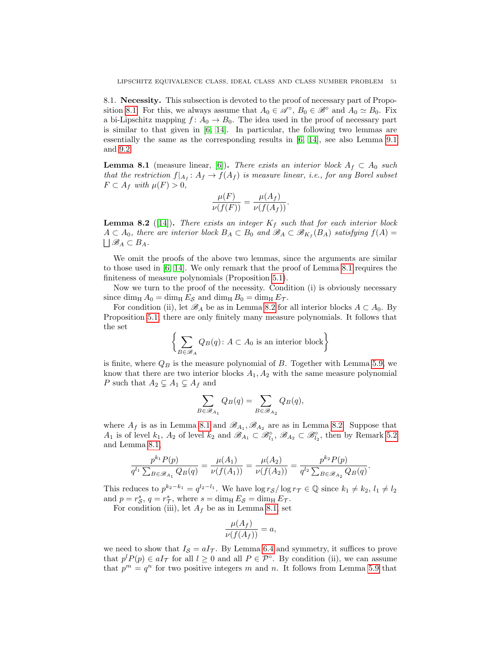<span id="page-50-0"></span>8.1. Necessity. This subsection is devoted to the proof of necessary part of Propo-sition [8.1.](#page-49-1) For this, we always assume that  $A_0 \in \mathscr{A}^{\circ}$ ,  $B_0 \in \mathscr{B}^{\circ}$  and  $A_0 \simeq B_0$ . Fix a bi-Lipschitz mapping  $f: A_0 \to B_0$ . The idea used in the proof of necessary part is similar to that given in [\[6,](#page-56-13) [14\]](#page-56-14). In particular, the following two lemmas are essentially the same as the corresponding results in [\[6,](#page-56-13) [14\]](#page-56-14), see also Lemma [9.1](#page-54-1) and [9.2.](#page-54-2)

<span id="page-50-1"></span>**Lemma 8.1** (measure linear, [\[6\]](#page-56-13)). There exists an interior block  $A_f \subset A_0$  such that the restriction  $f|_{A_f}: A_f \to f(A_f)$  is measure linear, i.e., for any Borel subset  $F \subset A_f$  with  $\mu(F) > 0$ ,

$$
\frac{\mu(F)}{\nu(f(F))} = \frac{\mu(A_f)}{\nu(f(A_f))}.
$$

<span id="page-50-2"></span>**Lemma 8.2** ([\[14\]](#page-56-14)). There exists an integer  $K_f$  such that for each interior block  $A \subset A_0$ , there are interior block  $B_A \subset B_0$  and  $\mathscr{B}_A \subset \mathscr{B}_{K_f}(B_A)$  satisfying  $f(A) =$  $\bigcup \mathscr{B}_A \subset B_A.$ 

We omit the proofs of the above two lemmas, since the arguments are similar to those used in [\[6,](#page-56-13) [14\]](#page-56-14). We only remark that the proof of Lemma [8.1](#page-50-1) requires the finiteness of measure polynomials (Proposition [5.1\)](#page-28-1).

Now we turn to the proof of the necessity. Condition (i) is obviously necessary since dim<sub>H</sub>  $A_0 = \dim_{\text{H}} E_S$  and  $\dim_{\text{H}} B_0 = \dim_{\text{H}} E_T$ .

For condition (ii), let  $\mathscr{B}_A$  be as in Lemma [8.2](#page-50-2) for all interior blocks  $A \subset A_0$ . By Proposition [5.1,](#page-28-1) there are only finitely many measure polynomials. It follows that the set

$$
\left\{ \sum_{B \in \mathscr{B}_A} Q_B(q) : A \subset A_0 \text{ is an interior block} \right\}
$$

is finite, where  $Q_B$  is the measure polynomial of B. Together with Lemma [5.9,](#page-31-1) we know that there are two interior blocks  $A_1, A_2$  with the same measure polynomial P such that  $A_2 \subsetneq A_1 \subsetneq A_f$  and

$$
\sum_{B \in \mathcal{B}_{A_1}} Q_B(q) = \sum_{B \in \mathcal{B}_{A_2}} Q_B(q),
$$

where  $A_f$  is as in Lemma [8.1](#page-50-1) and  $\mathscr{B}_{A_1}, \mathscr{B}_{A_2}$  are as in Lemma [8.2.](#page-50-2) Suppose that  $A_1$  is of level  $k_1$ ,  $A_2$  of level  $k_2$  and  $\mathscr{B}_{A_1} \subset \mathscr{B}_{l_1}^{\circ}, \mathscr{B}_{A_2} \subset \mathscr{B}_{l_2}^{\circ}$ , then by Remark [5.2](#page-27-0) and Lemma [8.1,](#page-50-1)

$$
\frac{p^{k_1}P(p)}{q^{l_1}\sum_{B\in\mathscr{B}_{A_1}}Q_B(q)}=\frac{\mu(A_1)}{\nu(f(A_1))}=\frac{\mu(A_2)}{\nu(f(A_2))}=\frac{p^{k_2}P(p)}{q^{l_2}\sum_{B\in\mathscr{B}_{A_2}}Q_B(q)}.
$$

This reduces to  $p^{k_2-k_1} = q^{l_2-l_1}$ . We have  $\log r_{\mathcal{S}} / \log r_{\mathcal{T}} \in \mathbb{Q}$  since  $k_1 \neq k_2, l_1 \neq l_2$ and  $p = r_S^s$ ,  $q = r_T^s$ , where  $s = \dim_{\rm H} E_S = \dim_{\rm H} E_T$ .

For condition (iii), let  $A_f$  be as in Lemma [8.1,](#page-50-1) set

$$
\frac{\mu(A_f)}{\nu(f(A_f))} = a,
$$

we need to show that  $I_{\mathcal{S}} = aI_{\mathcal{T}}$ . By Lemma [6.4](#page-37-1) and symmetry, it suffices to prove that  $p^l P(p) \in aI_{\mathcal{T}}$  for all  $l \geq 0$  and all  $P \in \mathcal{P}^{\circ}$ . By condition (ii), we can assume that  $p^m = q^n$  for two positive integers m and n. It follows from Lemma [5.9](#page-31-1) that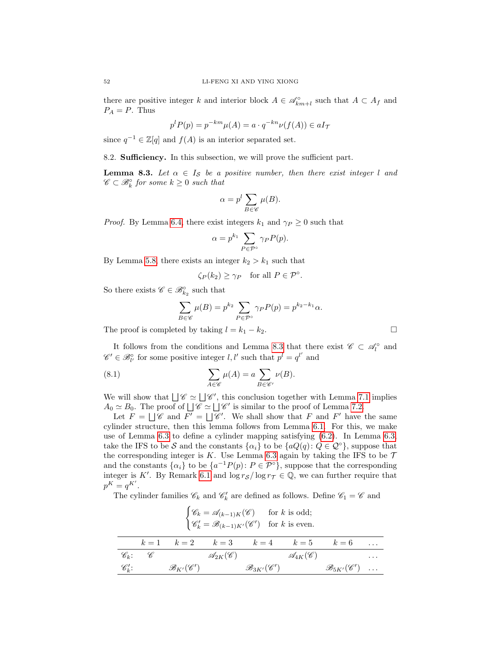there are positive integer k and interior block  $A \in \mathscr{A}_{km+l}^{\circ}$  such that  $A \subset A_f$  and  $P_A = P$ . Thus

$$
p^{l}P(p) = p^{-km}\mu(A) = a \cdot q^{-kn}\nu(f(A)) \in aI_{\mathcal{T}}
$$

since  $q^{-1} \in \mathbb{Z}[q]$  and  $f(A)$  is an interior separated set.

<span id="page-51-0"></span>8.2. Sufficiency. In this subsection, we will prove the sufficient part.

<span id="page-51-1"></span>**Lemma 8.3.** Let  $\alpha \in I_{\mathcal{S}}$  be a positive number, then there exist integer l and  $\mathscr{C} \subset \mathscr{B}_{k}^{\circ}$  for some  $k \geq 0$  such that

$$
\alpha = p^l \sum_{B \in \mathscr{C}} \mu(B).
$$

*Proof.* By Lemma [6.4,](#page-37-1) there exist integers  $k_1$  and  $\gamma_P \geq 0$  such that

$$
\alpha = p^{k_1} \sum_{P \in \mathcal{P}^{\circ}} \gamma_P P(p).
$$

By Lemma [5.8,](#page-30-2) there exists an integer  $k_2 > k_1$  such that

$$
\zeta_P(k_2) \ge \gamma_P
$$
 for all  $P \in \mathcal{P}^{\circ}$ .

So there exists  $\mathscr{C} \in \mathscr{B}_{k_2}^{\circ}$  such that

<span id="page-51-2"></span>
$$
\sum_{B \in \mathscr{C}} \mu(B) = p^{k_2} \sum_{P \in \mathcal{P}^\circ} \gamma_P P(p) = p^{k_2 - k_1} \alpha.
$$

The proof is completed by taking  $l = k_1 - k_2$ .

It follows from the conditions and Lemma [8.3](#page-51-1) that there exist  $\mathscr{C} \subset \mathscr{A}_{l}^{\circ}$  and  $\mathscr{C}' \in \mathscr{B}_{l'}^{\circ}$  for some positive integer  $l, l'$  such that  $p^{l} = q^{l'}$  and

(8.1) 
$$
\sum_{A \in \mathscr{C}} \mu(A) = a \sum_{B \in \mathscr{C}'} \nu(B).
$$

We will show that  $\bigcup \mathscr{C} \simeq \bigcup \mathscr{C}'$ , this conclusion together with Lemma [7.1](#page-41-4) implies  $A_0 \simeq B_0$ . The proof of  $\bigcup \mathscr{C} \simeq \bigcup \mathscr{C}'$  is similar to the proof of Lemma [7.2.](#page-41-3)

Let  $F = \bigsqcup \mathscr{C}$  and  $\overline{F'} = \bigsqcup \mathscr{C}'$ . We shall show that F and F' have the same cylinder structure, then this lemma follows from Lemma [6.1.](#page-33-1) For this, we make use of Lemma [6.3](#page-36-2) to define a cylinder mapping satisfying [\(6.2\)](#page-35-2). In Lemma [6.3,](#page-36-2) take the IFS to be S and the constants  $\{\alpha_i\}$  to be  $\{aQ(q): Q \in \mathcal{Q}^\circ\}$ , suppose that the corresponding integer is K. Use Lemma [6.3](#page-36-2) again by taking the IFS to be  $\mathcal T$ and the constants  $\{\alpha_i\}$  to be  $\{a^{-1}P(p): P \in \mathcal{P}^{\circ}\}\$ , suppose that the corresponding integer is K'. By Remark [6.1](#page-36-4) and  $\log r_S / \log r_{\mathcal{T}} \in \mathbb{Q}$ , we can further require that  $p^K = q^{K'}$ .

The cylinder families  $\mathscr{C}_k$  and  $\mathscr{C}'_k$  are defined as follows. Define  $\mathscr{C}_1 = \mathscr{C}$  and

|                    | $\begin{cases} \mathscr{C}_k = \mathscr{A}_{(k-1)K}(\mathscr{C}) & \text{for } k \text{ is odd};\\ \mathscr{C}'_k = \mathscr{B}_{(k-1)K'}(\mathscr{C}') & \text{for } k \text{ is even}. \end{cases}$ |                                  |  |                                                                 |  |                                   |          |
|--------------------|-------------------------------------------------------------------------------------------------------------------------------------------------------------------------------------------------------|----------------------------------|--|-----------------------------------------------------------------|--|-----------------------------------|----------|
|                    |                                                                                                                                                                                                       |                                  |  | $k = 1$ $k = 2$ $k = 3$ $k = 4$ $k = 5$ $k = 6$                 |  |                                   |          |
|                    | $\mathscr{C}_k$ : $\mathscr{C}$                                                                                                                                                                       |                                  |  | $\mathscr{A}_{2K}(\mathscr{C})$ $\mathscr{A}_{4K}(\mathscr{C})$ |  |                                   | $\cdots$ |
| $\mathscr{C}'_k$ : |                                                                                                                                                                                                       | $\mathscr{B}_{K'}(\mathscr{C}')$ |  | $\mathscr{B}_{3K'}(\mathscr{C}')$                               |  | $\mathscr{B}_{5K'}(\mathscr{C}')$ |          |

$$
52\quad
$$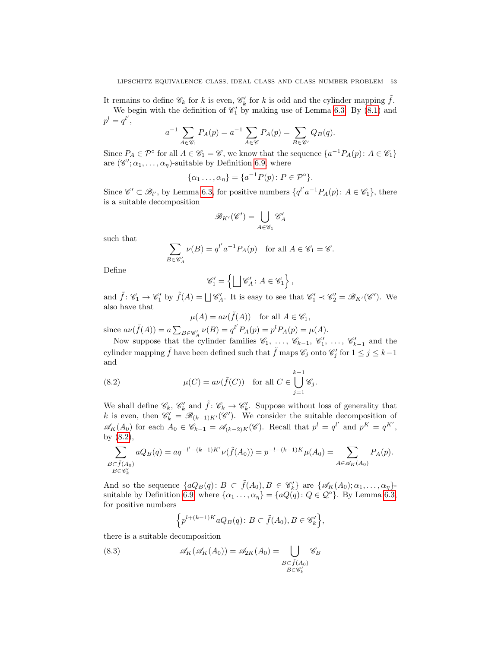It remains to define  $\mathscr{C}_k$  for k is even,  $\mathscr{C}'_k$  for k is odd and the cylinder mapping  $\tilde{f}$ . We begin with the definition of  $\mathcal{C}'_1$  by making use of Lemma [6.3.](#page-36-2) By [\(8.1\)](#page-51-2) and  $p^l = q^{l'},$ 

$$
a^{-1} \sum_{A \in \mathscr{C}_1} P_A(p) = a^{-1} \sum_{A \in \mathscr{C}} P_A(p) = \sum_{B \in \mathscr{C}'} Q_B(q).
$$

Since  $P_A \in \mathcal{P}^\circ$  for all  $A \in \mathcal{C}_1 = \mathcal{C}$ , we know that the sequence  $\{a^{-1}P_A(p): A \in \mathcal{C}_1\}$ are  $(\mathscr{C}', \alpha_1, \ldots, \alpha_n)$ -suitable by Definition [6.9,](#page-36-3) where

$$
\{\alpha_1 \ldots, \alpha_\eta\} = \{a^{-1}P(p) \colon P \in \mathcal{P}^\circ\}.
$$

Since  $\mathscr{C}' \subset \mathscr{B}_{l'}$ , by Lemma [6.3,](#page-36-2) for positive numbers  $\{q^{l'}a^{-1}P_A(p): A \in \mathscr{C}_1\}$ , there is a suitable decomposition

$$
\mathscr{B}_{K'}(\mathscr{C}')=\bigcup_{A\in\mathscr{C}_1}\mathscr{C}'_A
$$

such that

$$
\sum_{B \in \mathscr{C}'_A} \nu(B) = q^{l'} a^{-1} P_A(p) \quad \text{for all } A \in \mathscr{C}_1 = \mathscr{C}.
$$

Define

$$
\mathscr{C}'_1 = \left\{ \bigsqcup \mathscr{C}'_A \colon A \in \mathscr{C}_1 \right\},\
$$

and  $\tilde{f} : \mathscr{C}_1 \to \mathscr{C}'_1$  by  $\tilde{f}(A) = \bigsqcup \mathscr{C}'_A$ . It is easy to see that  $\mathscr{C}'_1 \prec \mathscr{C}'_2 = \mathscr{B}_{K'}(\mathscr{C}')$ . We also have that

<span id="page-52-0"></span>
$$
\mu(A) = a\nu(\tilde{f}(A)) \quad \text{for all } A \in \mathscr{C}_1,
$$

since  $a\nu(\tilde{f}(A)) = a \sum_{B \in \mathscr{C}_A} \nu(B) = q^{l'} P_A(p) = p^l P_A(p) = \mu(A).$ 

Now suppose that the cylinder families  $\mathscr{C}_1, \ldots, \mathscr{C}_{k-1}, \mathscr{C}'_1, \ldots, \mathscr{C}'_{k-1}$  and the cylinder mapping  $\tilde{f}$  have been defined such that  $\tilde{f}$  maps  $\mathscr{C}_j$  onto  $\mathscr{C}'_j$  for  $1 \leq j \leq k-1$ and

(8.2) 
$$
\mu(C) = a\nu(\tilde{f}(C)) \text{ for all } C \in \bigcup_{j=1}^{k-1} \mathscr{C}_j.
$$

We shall define  $\mathscr{C}_k$ ,  $\mathscr{C}'_k$  and  $\tilde{f} : \mathscr{C}_k \to \mathscr{C}'_k$ . Suppose without loss of generality that k is even, then  $\mathscr{C}'_k = \mathscr{B}_{(k-1)K'}(\mathscr{C}')$ . We consider the suitable decomposition of  $\mathscr{A}_K(A_0)$  for each  $A_0 \in \mathscr{C}_{k-1} = \mathscr{A}_{(k-2)K}(\mathscr{C})$ . Recall that  $p^l = q^{l'}$  and  $p^K = q^{K'}$ , by [\(8.2\)](#page-52-0),

$$
\sum_{\substack{B \subset \tilde{f}(A_0) \\ B \in \mathscr{C}'_k}} aQ_B(q) = aq^{-l' - (k-1)K'} \nu(\tilde{f}(A_0)) = p^{-l - (k-1)K} \mu(A_0) = \sum_{A \in \mathscr{A}_K(A_0)} P_A(p).
$$

And so the sequence  $\{aQ_B(q): B \subset \tilde{f}(A_0), B \in \mathscr{C}'_k\}$  are  $\{\mathscr{A}_K(A_0); \alpha_1, \ldots, \alpha_\eta\}$ suitable by Definition [6.9,](#page-36-3) where  $\{\alpha_1 \ldots, \alpha_n\} = \{aQ(q): Q \in \mathcal{Q}^{\circ}\}\$ . By Lemma [6.3,](#page-36-2) for positive numbers

<span id="page-52-1"></span>
$$
\left\{ p^{l+(k-1)K}aQ_B(q) : B \subset \tilde{f}(A_0), B \in \mathscr{C}'_k \right\},\
$$

there is a suitable decomposition

(8.3) 
$$
\mathscr{A}_K(\mathscr{A}_K(A_0)) = \mathscr{A}_{2K}(A_0) = \bigcup_{\substack{B \subset \tilde{f}(A_0) \\ B \in \mathscr{C}'_k}} \mathscr{C}_B
$$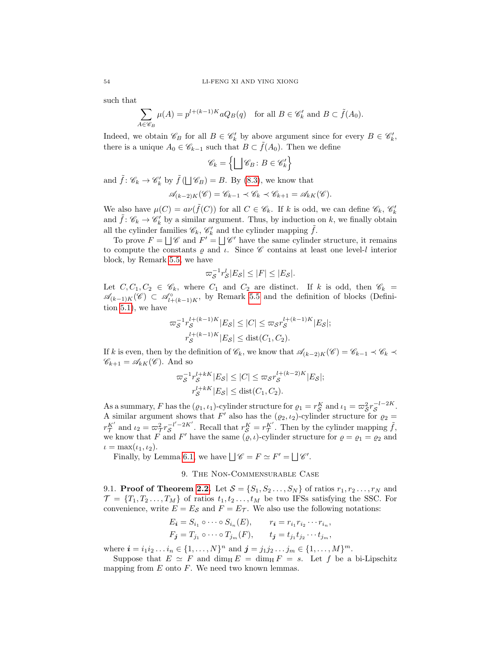such that

$$
\sum_{A \in \mathscr{C}_B} \mu(A) = p^{l + (k-1)K} a Q_B(q) \quad \text{for all } B \in \mathscr{C}'_k \text{ and } B \subset \tilde{f}(A_0).
$$

Indeed, we obtain  $\mathscr{C}_B$  for all  $B \in \mathscr{C}'_k$  by above argument since for every  $B \in \mathscr{C}'_k$ , there is a unique  $A_0 \in \mathscr{C}_{k-1}$  such that  $B \subset f(A_0)$ . Then we define

$$
\mathscr{C}_k = \left\{ \bigsqcup \mathscr{C}_B \colon B \in \mathscr{C}'_k \right\}
$$

and  $\tilde{f}$ :  $\mathscr{C}_k \to \mathscr{C}'_k$  by  $\tilde{f}(\bigsqcup \mathscr{C}_B) = B$ . By [\(8.3\)](#page-52-1), we know that

$$
\mathscr{A}_{(k-2)K}(\mathscr{C}) = \mathscr{C}_{k-1} \prec \mathscr{C}_k \prec \mathscr{C}_{k+1} = \mathscr{A}_{kK}(\mathscr{C}).
$$

We also have  $\mu(C) = a\nu(\tilde{f}(C))$  for all  $C \in \mathscr{C}_k$ . If k is odd, we can define  $\mathscr{C}_k$ ,  $\mathscr{C}'_k$ and  $\tilde{f}$ :  $\mathscr{C}_k \to \mathscr{C}'_k$  by a similar argument. Thus, by induction on k, we finally obtain all the cylinder families  $\mathscr{C}_k$ ,  $\mathscr{C}'_k$  and the cylinder mapping  $\tilde{f}$ .

To prove  $F = \bigsqcup \mathscr{C}$  and  $F' = \bigsqcup \mathscr{C}'$  have the same cylinder structure, it remains to compute the constants  $\rho$  and  $\iota$ . Since  $\mathscr C$  contains at least one level-l interior block, by Remark [5.5,](#page-29-1) we have

$$
\varpi_{\mathcal{S}}^{-1}r_{\mathcal{S}}^l|E_{\mathcal{S}}| \leq |F| \leq |E_{\mathcal{S}}|.
$$

Let  $C, C_1, C_2 \in \mathscr{C}_k$ , where  $C_1$  and  $C_2$  are distinct. If k is odd, then  $\mathscr{C}_k =$  $\mathscr{A}_{(k-1)K}(\mathscr{C}) \subset \mathscr{A}_{l+(k-1)K}^{\circ}$ , by Remark [5.5](#page-29-1) and the definition of blocks (Definition [5.1\)](#page-26-4), we have

$$
\begin{aligned} \n\varpi_{\mathcal{S}}^{-1} r_{\mathcal{S}}^{l+(k-1)K} |E_{\mathcal{S}}| &\leq |C| \leq \varpi_{\mathcal{S}} r_{\mathcal{S}}^{l+(k-1)K} |E_{\mathcal{S}}|;\\ \nr_{\mathcal{S}}^{l+(k-1)K} |E_{\mathcal{S}}| &\leq \text{dist}(C_1, C_2). \n\end{aligned}
$$

If k is even, then by the definition of  $\mathscr{C}_k$ , we know that  $\mathscr{A}_{(k-2)K}(\mathscr{C}) = \mathscr{C}_{k-1} \prec \mathscr{C}_k$  $\mathscr{C}_{k+1} = \mathscr{A}_{kK}(\mathscr{C})$ . And so

$$
\varpi_{\mathcal{S}}^{-1} r_{\mathcal{S}}^{l+kK} |E_{\mathcal{S}}| \leq |C| \leq \varpi_{\mathcal{S}} r_{\mathcal{S}}^{l+(k-2)K} |E_{\mathcal{S}}|;
$$
  

$$
r_{\mathcal{S}}^{l+kK} |E_{\mathcal{S}}| \leq \text{dist}(C_1, C_2).
$$

As a summary, F has the  $(\varrho_1, \iota_1)$ -cylinder structure for  $\varrho_1 = r_S^K$  and  $\iota_1 = \varpi_S^2 r_S^{-l-2K}$ . A similar argument shows that F' also has the  $(\varrho_2, \iota_2)$ -cylinder structure for  $\varrho_2 =$  $r_{\mathcal{T}}^{K'}$  and  $\iota_2 = \varpi_{\mathcal{T}}^2 r_{\mathcal{S}}^{-l'-2K'}$ . Recall that  $r_{\mathcal{S}}^K = r_{\mathcal{T}}^{K'}$ . Then by the cylinder mapping  $\tilde{f}$ , we know that F and F' have the same  $(\varrho, \iota)$ -cylinder structure for  $\varrho = \varrho_1 = \varrho_2$  and  $\iota = \max(\iota_1, \iota_2).$ 

Finally, by Lemma [6.1,](#page-33-1) we have  $\bigcup \mathscr{C} = F \simeq F' = \bigcup \mathscr{C}'$ .

# 9. The Non-Commensurable Case

<span id="page-53-1"></span><span id="page-53-0"></span>9.1. **Proof of Theorem [2.2.](#page-12-0)** Let  $S = \{S_1, S_2, \ldots, S_N\}$  of ratios  $r_1, r_2, \ldots, r_N$  and  $\mathcal{T} = \{T_1, T_2, \ldots, T_M\}$  of ratios  $t_1, t_2, \ldots, t_M$  be two IFSs satisfying the SSC. For convenience, write  $E = E_{\mathcal{S}}$  and  $F = E_{\mathcal{T}}$ . We also use the following notations:

$$
E_{\mathbf{i}} = S_{i_1} \circ \cdots \circ S_{i_n}(E), \qquad r_{\mathbf{i}} = r_{i_1} r_{i_2} \cdots r_{i_n},
$$
  

$$
F_{\mathbf{j}} = T_{j_1} \circ \cdots \circ T_{j_m}(F), \qquad t_{\mathbf{j}} = t_{j_1} t_{j_2} \cdots t_{j_m},
$$

where  $\mathbf{i} = i_1 i_2 \dots i_n \in \{1, \dots, N\}^n$  and  $\mathbf{j} = j_1 j_2 \dots j_m \in \{1, \dots, M\}^m$ .

Suppose that  $E \simeq F$  and dim<sub>H</sub>  $E = \dim_\text{H} F = s$ . Let f be a bi-Lipschitz mapping from  $E$  onto  $F$ . We need two known lemmas.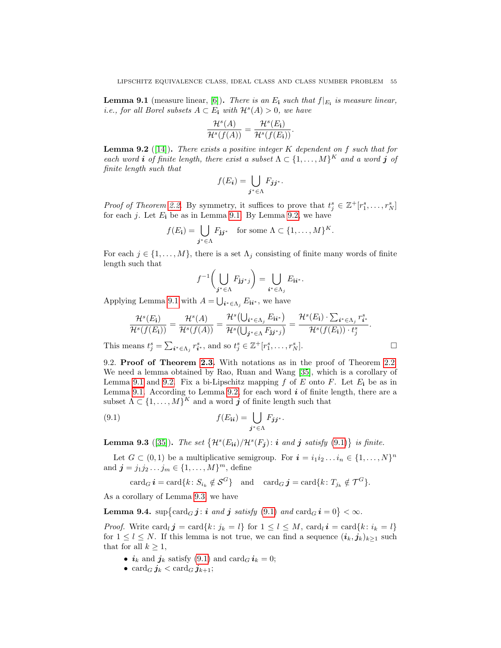<span id="page-54-1"></span>**Lemma 9.1** (measure linear, [\[6\]](#page-56-13)). There is an  $E_i$  such that  $f|_{E_i}$  is measure linear, *i.e., for all Borel subsets*  $A \subset E_i$  with  $\mathcal{H}^s(A) > 0$ , we have

$$
\frac{\mathcal{H}^s(A)}{\mathcal{H}^s(f(A))} = \frac{\mathcal{H}^s(E_{\mathbf{i}})}{\mathcal{H}^s(f(E_{\mathbf{i}}))}.
$$

<span id="page-54-2"></span>**Lemma 9.2** ([\[14\]](#page-56-14)). There exists a positive integer  $K$  dependent on  $f$  such that for each word **i** of finite length, there exist a subset  $\Lambda \subset \{1, \ldots, M\}^K$  and a word **j** of finite length such that

$$
f(E_i) = \bigcup_{j^* \in \Lambda} F_{jj^*}.
$$

*Proof of Theorem [2.2.](#page-12-0)* By symmetry, it suffices to prove that  $t_j^s \in \mathbb{Z}^+[r_1^s, \ldots, r_N^s]$ for each  $j$ . Let  $E_i$  be as in Lemma [9.1.](#page-54-1) By Lemma [9.2,](#page-54-2) we have

$$
f(E_{\mathbf{i}}) = \bigcup_{\mathbf{j}^* \in \Lambda} F_{\mathbf{j}\mathbf{j}^*} \quad \text{for some } \Lambda \subset \{1, \ldots, M\}^K.
$$

For each  $j \in \{1, ..., M\}$ , there is a set  $\Lambda_j$  consisting of finite many words of finite length such that

$$
f^{-1}\left(\bigcup_{\mathbf{j}^*\in\Lambda}F_{\mathbf{j}\mathbf{j}^*\mathbf{j}}\right)=\bigcup_{\mathbf{i}^*\in\Lambda_{\mathbf{j}}}E_{\mathbf{i}\mathbf{i}^*}.
$$

Applying Lemma [9.1](#page-54-1) with  $A = \bigcup_{i^* \in \Lambda_j} E_{ii^*}$ , we have

$$
\frac{\mathcal{H}^s(E_{\mathbf{i}})}{\mathcal{H}^s(f(E_{\mathbf{i}}))} = \frac{\mathcal{H}^s(A)}{\mathcal{H}^s(f(A))} = \frac{\mathcal{H}^s(\bigcup_{\mathbf{i}^* \in \Lambda_j} E_{\mathbf{i}\mathbf{i}^*})}{\mathcal{H}^s(\bigcup_{\mathbf{j}^* \in \Lambda} F_{\mathbf{j}\mathbf{j}^*j})} = \frac{\mathcal{H}^s(E_{\mathbf{i}}) \cdot \sum_{\mathbf{i}^* \in \Lambda_j} r_{\mathbf{i}^*}^s}{\mathcal{H}^s(f(E_{\mathbf{i}})) \cdot t_j^s}.
$$

This means  $t_j^s = \sum_{i^* \in \Lambda_j} r_{i^*}^s$ , and so  $t_j^s \in \mathbb{Z}^+[r_1^s, \ldots, r_N^s]$ .

<span id="page-54-0"></span>9.2. Proof of Theorem [2.3.](#page-13-0) With notations as in the proof of Theorem [2.2.](#page-12-0) We need a lemma obtained by Rao, Ruan and Wang [\[35\]](#page-57-21), which is a corollary of Lemma [9.1](#page-54-1) and [9.2.](#page-54-2) Fix a bi-Lipschitz mapping  $f$  of  $E$  onto  $F$ . Let  $E_i$  be as in Lemma [9.1.](#page-54-1) According to Lemma [9.2,](#page-54-2) for each word  $\boldsymbol{i}$  of finite length, there are a subset  $\Lambda \subset \{1, \ldots, M\}^K$  and a word j of finite length such that

(9.1) 
$$
f(E_{ii}) = \bigcup_{j^* \in \Lambda} F_{jj^*}.
$$

<span id="page-54-4"></span>**Lemma 9.3** ([\[35\]](#page-57-21)). The set  $\{\mathcal{H}^s(E_{ii})/\mathcal{H}^s(F_j): i \text{ and } j \text{ satisfy (9.1)}\}$  $\{\mathcal{H}^s(E_{ii})/\mathcal{H}^s(F_j): i \text{ and } j \text{ satisfy (9.1)}\}$  $\{\mathcal{H}^s(E_{ii})/\mathcal{H}^s(F_j): i \text{ and } j \text{ satisfy (9.1)}\}$  is finite.

Let  $G \subset (0,1)$  be a multiplicative semigroup. For  $\mathbf{i} = i_1 i_2 \dots i_n \in \{1, \dots, N\}^n$ and  $j = j_1 j_2 ... j_m \in \{1, ..., M\}^m$ , define

<span id="page-54-3"></span> $\operatorname{card}_G \boldsymbol{i} = \operatorname{card}\{k \colon S_{i_k} \notin \mathcal{S}^G\} \quad \text{and} \quad \operatorname{card}_G \boldsymbol{j} = \operatorname{card}\{k \colon T_{j_k} \notin \mathcal{T}^G\}.$ 

As a corollary of Lemma [9.3,](#page-54-4) we have

<span id="page-54-5"></span>**Lemma 9.4.**  $\sup{\text{card}_G j : i \text{ and } j \text{ satisfy (9.1) and } \text{card}_G i = 0} < \infty$  $\sup{\text{card}_G j : i \text{ and } j \text{ satisfy (9.1) and } \text{card}_G i = 0} < \infty$  $\sup{\text{card}_G j : i \text{ and } j \text{ satisfy (9.1) and } \text{card}_G i = 0} < \infty$ .

*Proof.* Write card<sub>l</sub>  $j = \text{card}\{k : j_k = l\}$  for  $1 \leq l \leq M$ ,  $\text{card}_l i = \text{card}\{k : i_k = l\}$ for  $1 \leq l \leq N$ . If this lemma is not true, we can find a sequence  $(i_k, j_k)_{k>1}$  such that for all  $k \geq 1$ ,

- $i_k$  and  $j_k$  satisfy [\(9.1\)](#page-54-3) and  $\operatorname{card}_G i_k = 0$ ;
- card<sub>G</sub>  $j_k <$  card<sub>G</sub>  $j_{k+1}$ ;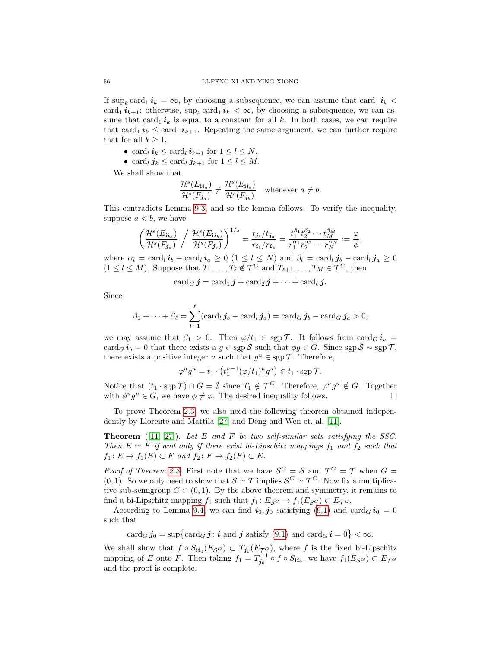If  $\sup_k \text{card}_1 \, i_k = \infty$ , by choosing a subsequence, we can assume that  $\text{card}_1 \, i_k$ card<sub>1</sub>  $i_{k+1}$ ; otherwise, sup<sub>k</sub> card<sub>1</sub>  $i_k < \infty$ , by choosing a subsequence, we can assume that card<sub>1</sub>  $i_k$  is equal to a constant for all k. In both cases, we can require that card<sub>1</sub>  $i_k \leq$  card<sub>1</sub>  $i_{k+1}$ . Repeating the same argument, we can further require that for all  $k \geq 1$ ,

- card<sub>l</sub>  $i_k \leq \text{card}_l i_{k+1}$  for  $1 \leq l \leq N$ .
- card<sub>l</sub>  $j_k \leq \text{card}_l j_{k+1}$  for  $1 \leq l \leq M$ .

We shall show that

$$
\frac{\mathcal{H}^s(E_{ii_a})}{\mathcal{H}^s(F_{j_a})} \neq \frac{\mathcal{H}^s(E_{ii_b})}{\mathcal{H}^s(F_{j_b})} \quad \text{whenever } a \neq b.
$$

This contradicts Lemma [9.3,](#page-54-4) and so the lemma follows. To verify the inequality, suppose  $a < b$ , we have

$$
\left(\frac{\mathcal{H}^s(E_{ii_a})}{\mathcal{H}^s(F_{j_a})}\biggm/ \frac{\mathcal{H}^s(E_{ii_b})}{\mathcal{H}^s(F_{j_b})}\right)^{1/s} = \frac{t_{j_b}/t_{j_a}}{r_{i_b}/r_{i_a}} = \frac{t_1^{\beta_1} t_2^{\beta_2} \cdots t_M^{\beta_M}}{r_1^{\alpha_1} r_2^{\alpha_2} \cdots r_N^{\alpha_N}} := \frac{\varphi}{\phi}
$$

,

where  $\alpha_l = \text{card}_l \, i_b - \text{card}_l \, i_a \geq 0 \, (1 \leq l \leq N)$  and  $\beta_l = \text{card}_l \, j_b - \text{card}_l \, j_a \geq 0$  $(1 \leq l \leq M)$ . Suppose that  $T_1, \ldots, T_\ell \notin \mathcal{T}^G$  and  $T_{\ell+1}, \ldots, T_M \in \mathcal{T}^G$ , then

$$
\operatorname{card}_G \boldsymbol j = \operatorname{card}_1 \boldsymbol j + \operatorname{card}_2 \boldsymbol j + \cdots + \operatorname{card}_\ell \boldsymbol j.
$$

Since

$$
\beta_1+\cdots+\beta_\ell=\sum_{l=1}^\ell(\operatorname{card}_l\boldsymbol{j}_b-\operatorname{card}_l\boldsymbol{j}_a)=\operatorname{card}_G\boldsymbol{j}_b-\operatorname{card}_G\boldsymbol{j}_a>0,
$$

we may assume that  $\beta_1 > 0$ . Then  $\varphi/t_1 \in \operatorname{sgp} \mathcal{T}$ . It follows from card $_G i_a =$ card<sub>G</sub>  $i_b = 0$  that there exists a  $g \in \text{sgp} S$  such that  $\phi g \in G$ . Since sgp  $S \sim \text{sgp} \mathcal{T}$ , there exists a positive integer u such that  $g^u \in \text{sgp } \mathcal{T}$ . Therefore,

$$
\varphi^u g^u = t_1 \cdot \left(t_1^{u-1} (\varphi/t_1)^u g^u\right) \in t_1 \cdot \operatorname{sgp} \mathcal{T}.
$$

Notice that  $(t_1 \cdot \text{sgp } \mathcal{T}) \cap G = \emptyset$  since  $T_1 \notin \mathcal{T}^G$ . Therefore,  $\varphi^u g^u \notin G$ . Together with  $\phi^u g^u \in G$ , we have  $\phi \neq \varphi$ . The desired inequality follows.

To prove Theorem [2.3,](#page-13-0) we also need the following theorem obtained independently by Llorente and Mattila [\[27\]](#page-57-22) and Deng and Wen et. al. [\[11\]](#page-56-15).

**Theorem** ([\[11,](#page-56-15) [27\]](#page-57-22)). Let E and F be two self-similar sets satisfying the SSC. Then  $E \simeq F$  if and only if there exist bi-Lipschitz mappings  $f_1$  and  $f_2$  such that  $f_1: E \to f_1(E) \subset F$  and  $f_2: F \to f_2(F) \subset E$ .

*Proof of Theorem [2.3.](#page-13-0)* First note that we have  $S^G = S$  and  $\mathcal{T}^G = \mathcal{T}$  when  $G =$  $(0, 1)$ . So we only need to show that  $\mathcal{S} \simeq \mathcal{T}$  implies  $\mathcal{S}^G \simeq \mathcal{T}^G$ . Now fix a multiplicative sub-semigroup  $G \subset (0, 1)$ . By the above theorem and symmetry, it remains to find a bi-Lipschitz mapping  $f_1$  such that  $f_1: E_{\mathcal{S}^G} \to f_1(E_{\mathcal{S}^G}) \subset E_{\mathcal{T}^G}$ .

According to Lemma [9.4,](#page-54-5) we can find  $\mathbf{i}_0, \mathbf{j}_0$  satisfying [\(9.1\)](#page-54-3) and card $_G \mathbf{i}_0 = 0$ such that

 $\operatorname{card}_G \pmb{j}_0 = \sup \bigl\{\operatorname{card}_G \pmb{j} \colon \pmb{i} \text{ and } \pmb{j} \text{ satisfy (9.1) and } \operatorname{card}_G \pmb{i} = 0 \bigr\} < \infty.$  $\operatorname{card}_G \pmb{j}_0 = \sup \bigl\{\operatorname{card}_G \pmb{j} \colon \pmb{i} \text{ and } \pmb{j} \text{ satisfy (9.1) and } \operatorname{card}_G \pmb{i} = 0 \bigr\} < \infty.$  $\operatorname{card}_G \pmb{j}_0 = \sup \bigl\{\operatorname{card}_G \pmb{j} \colon \pmb{i} \text{ and } \pmb{j} \text{ satisfy (9.1) and } \operatorname{card}_G \pmb{i} = 0 \bigr\} < \infty.$ 

We shall show that  $f \circ S_{i i_0}(E_{\mathcal{S}^G}) \subset T_{j_0}(E_{\mathcal{T}^G})$ , where f is the fixed bi-Lipschitz mapping of E onto F. Then taking  $f_1 = T_{j_0}^{-1} \circ f \circ S_{i i_0}$ , we have  $f_1(E_{\mathcal{S}^G}) \subset E_{\mathcal{T}^G}$ and the proof is complete.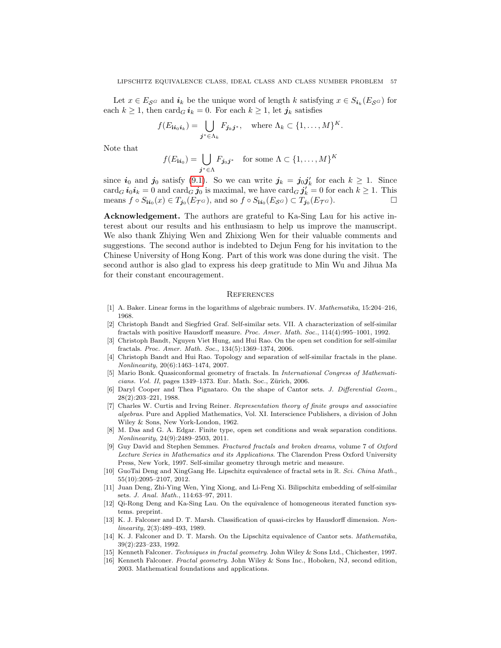Let  $x \in E_{\mathcal{S}^G}$  and  $i_k$  be the unique word of length k satisfying  $x \in S_{i_k}(E_{\mathcal{S}^G})$  for each  $k \geq 1$ , then card<sub>G</sub>  $i_k = 0$ . For each  $k \geq 1$ , let  $j_k$  satisfies

$$
f(E_{\mathbf{i}i_0i_k}) = \bigcup_{\mathbf{j}^* \in \Lambda_k} F_{\mathbf{j}_k\mathbf{j}^*}, \quad \text{where } \Lambda_k \subset \{1, \ldots, M\}^K.
$$

Note that

$$
f(E_{\mathbf{ii}_0}) = \bigcup_{\mathbf{j}^* \in \Lambda} F_{\mathbf{j}_0 \mathbf{j}^*} \quad \text{for some } \Lambda \subset \{1, \dots, M\}^K
$$

since  $i_0$  and  $j_0$  satisfy [\(9.1\)](#page-54-3). So we can write  $j_k = j_0 j'_k$  for each  $k \geq 1$ . Since  $\operatorname{card}_G \bm{i}_0 \bm{i}_k = 0$  and  $\operatorname{card}_G \bm{j}_0$  is maximal, we have  $\operatorname{card}_G \bm{j}'_k = 0$  for each  $k \geq 1$ . This means  $f \circ S_{ii_0}(x) \in T_{j_0}(E_{\mathcal{T}^G})$ , and so  $f \circ S_{ii_0}(E_{\mathcal{S}^G}) \subset T_{j_0}(E_{\mathcal{T}^G})$ .

<span id="page-56-0"></span>Acknowledgement. The authors are grateful to Ka-Sing Lau for his active interest about our results and his enthusiasm to help us improve the manuscript. We also thank Zhiying Wen and Zhixiong Wen for their valuable comments and suggestions. The second author is indebted to Dejun Feng for his invitation to the Chinese University of Hong Kong. Part of this work was done during the visit. The second author is also glad to express his deep gratitude to Min Wu and Jihua Ma for their constant encouragement.

#### <span id="page-56-1"></span>**REFERENCES**

- <span id="page-56-6"></span>[1] A. Baker. Linear forms in the logarithms of algebraic numbers. IV. Mathematika, 15:204–216, 1968.
- <span id="page-56-5"></span>[2] Christoph Bandt and Siegfried Graf. Self-similar sets. VII. A characterization of self-similar fractals with positive Hausdorff measure. Proc. Amer. Math. Soc., 114(4):995–1001, 1992.
- <span id="page-56-8"></span>[3] Christoph Bandt, Nguyen Viet Hung, and Hui Rao. On the open set condition for self-similar fractals. Proc. Amer. Math. Soc., 134(5):1369–1374, 2006.
- <span id="page-56-9"></span>[4] Christoph Bandt and Hui Rao. Topology and separation of self-similar fractals in the plane. Nonlinearity, 20(6):1463–1474, 2007.
- <span id="page-56-2"></span>[5] Mario Bonk. Quasiconformal geometry of fractals. In International Congress of Mathematicians. Vol. II, pages 1349–1373. Eur. Math. Soc., Zürich, 2006.
- <span id="page-56-13"></span>[6] Daryl Cooper and Thea Pignataro. On the shape of Cantor sets. J. Differential Geom., 28(2):203–221, 1988.
- <span id="page-56-17"></span>[7] Charles W. Curtis and Irving Reiner. Representation theory of finite groups and associative algebras. Pure and Applied Mathematics, Vol. XI. Interscience Publishers, a division of John Wiley & Sons, New York-London, 1962.
- <span id="page-56-10"></span>[8] M. Das and G. A. Edgar. Finite type, open set conditions and weak separation conditions. Nonlinearity, 24(9):2489–2503, 2011.
- <span id="page-56-11"></span>[9] Guy David and Stephen Semmes. Fractured fractals and broken dreams, volume 7 of Oxford Lecture Series in Mathematics and its Applications. The Clarendon Press Oxford University Press, New York, 1997. Self-similar geometry through metric and measure.
- <span id="page-56-16"></span>[10] GuoTai Deng and XingGang He. Lipschitz equivalence of fractal sets in R. Sci. China Math., 55(10):2095–2107, 2012.
- <span id="page-56-15"></span>[11] Juan Deng, Zhi-Ying Wen, Ying Xiong, and Li-Feng Xi. Bilipschitz embedding of self-similar sets. J. Anal. Math., 114:63–97, 2011.
- <span id="page-56-7"></span>[12] Qi-Rong Deng and Ka-Sing Lau. On the equivalence of homogeneous iterated function systems. preprint.
- <span id="page-56-12"></span>[13] K. J. Falconer and D. T. Marsh. Classification of quasi-circles by Hausdorff dimension. Nonlinearity, 2(3):489–493, 1989.
- <span id="page-56-14"></span>[14] K. J. Falconer and D. T. Marsh. On the Lipschitz equivalence of Cantor sets. *Mathematika*, 39(2):223–233, 1992.
- <span id="page-56-3"></span>[15] Kenneth Falconer. Techniques in fractal geometry. John Wiley & Sons Ltd., Chichester, 1997.
- <span id="page-56-4"></span>[16] Kenneth Falconer. Fractal geometry. John Wiley & Sons Inc., Hoboken, NJ, second edition, 2003. Mathematical foundations and applications.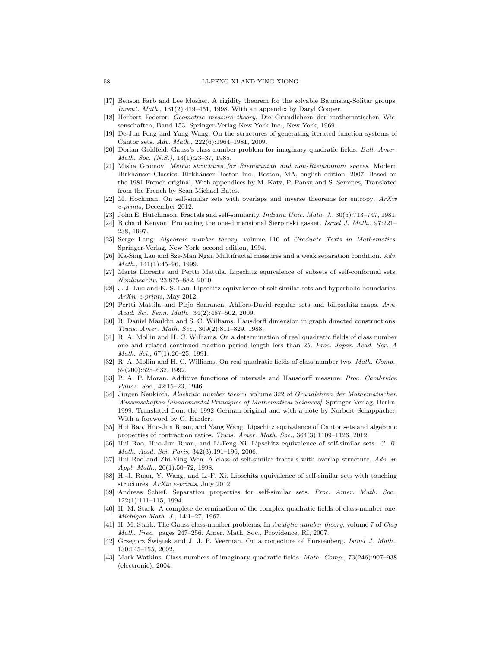- <span id="page-57-1"></span>[17] Benson Farb and Lee Mosher. A rigidity theorem for the solvable Baumslag-Solitar groups. Invent. Math., 131(2):419–451, 1998. With an appendix by Daryl Cooper.
- <span id="page-57-26"></span>[18] Herbert Federer. Geometric measure theory. Die Grundlehren der mathematischen Wissenschaften, Band 153. Springer-Verlag New York Inc., New York, 1969.
- <span id="page-57-13"></span>[19] De-Jun Feng and Yang Wang. On the structures of generating iterated function systems of Cantor sets. Adv. Math., 222(6):1964–1981, 2009.
- <span id="page-57-4"></span>[20] Dorian Goldfeld. Gauss's class number problem for imaginary quadratic fields. Bull. Amer. Math. Soc. (N.S.), 13(1):23-37, 1985.
- <span id="page-57-0"></span>[21] Misha Gromov. Metric structures for Riemannian and non-Riemannian spaces. Modern Birkhäuser Classics. Birkhäuser Boston Inc., Boston, MA, english edition, 2007. Based on the 1981 French original, With appendices by M. Katz, P. Pansu and S. Semmes, Translated from the French by Sean Michael Bates.
- <span id="page-57-14"></span>[22] M. Hochman. On self-similar sets with overlaps and inverse theorems for entropy.  $ArXiv$ e-prints, December 2012.
- <span id="page-57-6"></span>[23] John E. Hutchinson. Fractals and self-similarity. Indiana Univ. Math. J., 30(5):713–747, 1981.
- <span id="page-57-15"></span>[24] Richard Kenyon. Projecting the one-dimensional Sierpinski gasket. Israel J. Math., 97:221– 238, 1997.
- <span id="page-57-2"></span>[25] Serge Lang. Algebraic number theory, volume 110 of Graduate Texts in Mathematics. Springer-Verlag, New York, second edition, 1994.
- <span id="page-57-19"></span>[26] Ka-Sing Lau and Sze-Man Ngai. Multifractal measures and a weak separation condition. Adv. Math., 141(1):45–96, 1999.
- <span id="page-57-22"></span>[27] Marta Llorente and Pertti Mattila. Lipschitz equivalence of subsets of self-conformal sets. Nonlinearity, 23:875–882, 2010.
- <span id="page-57-24"></span>[28] J. J. Luo and K.-S. Lau. Lipschitz equivalence of self-similar sets and hyperbolic boundaries. ArXiv e-prints, May 2012.
- <span id="page-57-20"></span>[29] Pertti Mattila and Pirjo Saaranen. Ahlfors-David regular sets and bilipschitz maps. Ann. Acad. Sci. Fenn. Math., 34(2):487–502, 2009.
- <span id="page-57-25"></span>[30] R. Daniel Mauldin and S. C. Williams. Hausdorff dimension in graph directed constructions. Trans. Amer. Math. Soc., 309(2):811–829, 1988.
- <span id="page-57-8"></span>[31] R. A. Mollin and H. C. Williams. On a determination of real quadratic fields of class number one and related continued fraction period length less than 25. Proc. Japan Acad. Ser. A Math. Sci., 67(1):20–25, 1991.
- <span id="page-57-9"></span>[32] R. A. Mollin and H. C. Williams. On real quadratic fields of class number two. Math. Comp., 59(200):625–632, 1992.
- <span id="page-57-18"></span>[33] P. A. P. Moran. Additive functions of intervals and Hausdorff measure. Proc. Cambridge Philos. Soc., 42:15–23, 1946.
- <span id="page-57-3"></span>[34] Jürgen Neukirch. Algebraic number theory, volume 322 of Grundlehren der Mathematischen Wissenschaften [Fundamental Principles of Mathematical Sciences]. Springer-Verlag, Berlin, 1999. Translated from the 1992 German original and with a note by Norbert Schappacher, With a foreword by G. Harder.
- <span id="page-57-21"></span>[35] Hui Rao, Huo-Jun Ruan, and Yang Wang. Lipschitz equivalence of Cantor sets and algebraic properties of contraction ratios. Trans. Amer. Math. Soc., 364(3):1109–1126, 2012.
- <span id="page-57-23"></span>[36] Hui Rao, Huo-Jun Ruan, and Li-Feng Xi. Lipschitz equivalence of self-similar sets. C. R. Math. Acad. Sci. Paris, 342(3):191–196, 2006.
- <span id="page-57-16"></span>[37] Hui Rao and Zhi-Ying Wen. A class of self-similar fractals with overlap structure. Adv. in Appl. Math., 20(1):50–72, 1998.
- <span id="page-57-12"></span>[38] H.-J. Ruan, Y. Wang, and L.-F. Xi. Lipschitz equivalence of self-similar sets with touching structures. ArXiv e-prints, July 2012.
- <span id="page-57-7"></span>[39] Andreas Schief. Separation properties for self-similar sets. Proc. Amer. Math. Soc., 122(1):111–115, 1994.
- <span id="page-57-11"></span>[40] H. M. Stark. A complete determination of the complex quadratic fields of class-number one. Michigan Math. J., 14:1–27, 1967.
- <span id="page-57-5"></span>[41] H. M. Stark. The Gauss class-number problems. In Analytic number theory, volume 7 of Clay Math. Proc., pages 247–256. Amer. Math. Soc., Providence, RI, 2007.
- <span id="page-57-17"></span>[42] Grzegorz Swiątek and J. J. P. Veerman. On a conjecture of Furstenberg. Israel J. Math., 130:145–155, 2002.
- <span id="page-57-10"></span>[43] Mark Watkins. Class numbers of imaginary quadratic fields. Math. Comp., 73(246):907–938 (electronic), 2004.